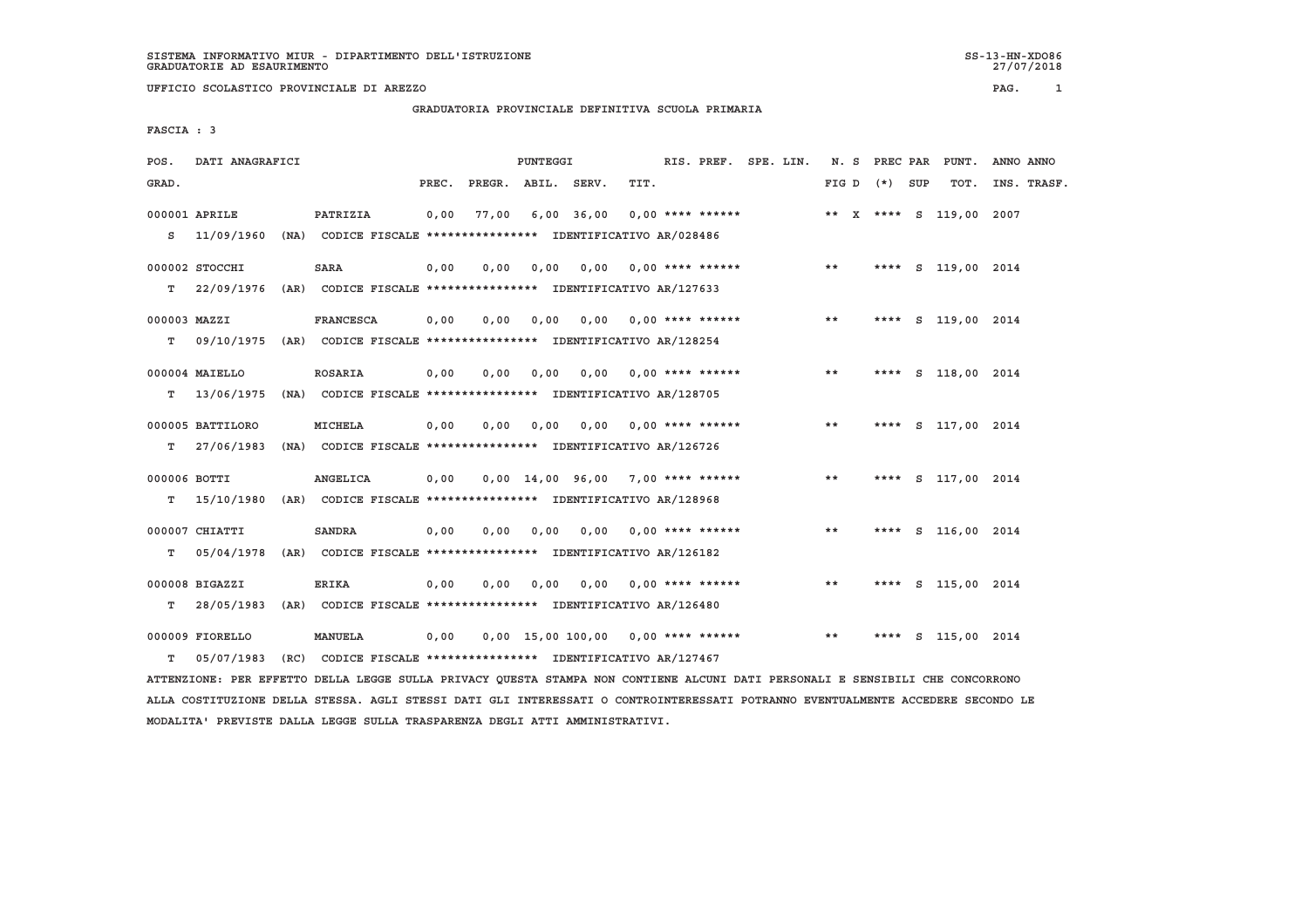# **GRADUATORIA PROVINCIALE DEFINITIVA SCUOLA PRIMARIA**

 **FASCIA : 3**

| POS.         | DATI ANAGRAFICI  |                                                               |       |                    | <b>PUNTEGGI</b> |              |                                     |                    | RIS. PREF. SPE. LIN. |               | N. S PREC PAR | PUNT.                   | ANNO ANNO   |
|--------------|------------------|---------------------------------------------------------------|-------|--------------------|-----------------|--------------|-------------------------------------|--------------------|----------------------|---------------|---------------|-------------------------|-------------|
| GRAD.        |                  |                                                               | PREC. | PREGR. ABIL. SERV. |                 |              | TIT.                                |                    |                      | FIG D (*) SUP |               | TOT.                    | INS. TRASF. |
|              | 000001 APRILE    | PATRIZIA                                                      | 0,00  | 77,00              |                 | $6,00$ 36,00 | $0,00$ **** ******                  |                    |                      |               |               | ** X **** S 119,00 2007 |             |
| s            | 11/09/1960       | (NA) CODICE FISCALE **************** IDENTIFICATIVO AR/028486 |       |                    |                 |              |                                     |                    |                      |               |               |                         |             |
|              | 000002 STOCCHI   | <b>SARA</b>                                                   | 0,00  | 0.00               | 0,00            |              | $0.00$ $0.00$ **** ******           |                    |                      | $* *$         | ****          | S 119,00 2014           |             |
| т            | 22/09/1976       | (AR) CODICE FISCALE **************** IDENTIFICATIVO AR/127633 |       |                    |                 |              |                                     |                    |                      |               |               |                         |             |
| 000003 MAZZI |                  | <b>FRANCESCA</b>                                              | 0,00  | 0.00               | 0.00            |              | 0,00 0,00 **** ******               |                    |                      | $* *$         | ****          | S 119,00 2014           |             |
| т            | 09/10/1975       | (AR) CODICE FISCALE **************** IDENTIFICATIVO AR/128254 |       |                    |                 |              |                                     |                    |                      |               |               |                         |             |
|              | 000004 MAIELLO   | <b>ROSARIA</b>                                                | 0,00  | 0.00               | 0.00            |              | $0.00$ $0.00$ **** ******           |                    |                      | $* *$         |               | **** S 118,00 2014      |             |
| T.           | 13/06/1975       | (NA) CODICE FISCALE **************** IDENTIFICATIVO AR/128705 |       |                    |                 |              |                                     |                    |                      |               |               |                         |             |
|              | 000005 BATTILORO | <b>MICHELA</b>                                                | 0.00  | 0.00               | 0.00            | 0.00         |                                     | $0.00$ **** ****** |                      | $***$         | ****          | S 117,00 2014           |             |
| т            | 27/06/1983       | (NA) CODICE FISCALE *************** IDENTIFICATIVO AR/126726  |       |                    |                 |              |                                     |                    |                      |               |               |                         |             |
| 000006 BOTTI |                  | <b>ANGELICA</b>                                               | 0,00  |                    |                 |              | $0,00$ 14,00 96,00 7,00 **** ****** |                    |                      | $* *$         |               | **** S 117,00 2014      |             |
| T.           | 15/10/1980       | (AR) CODICE FISCALE **************** IDENTIFICATIVO AR/128968 |       |                    |                 |              |                                     |                    |                      |               |               |                         |             |
|              | 000007 CHIATTI   | <b>SANDRA</b>                                                 | 0,00  | 0,00               | 0,00            |              | $0,00$ $0,00$ **** ******           |                    |                      | $* *$         |               | **** S 116,00 2014      |             |
| т            | 05/04/1978       | (AR) CODICE FISCALE **************** IDENTIFICATIVO AR/126182 |       |                    |                 |              |                                     |                    |                      |               |               |                         |             |
|              | 000008 BIGAZZI   | <b>ERIKA</b>                                                  | 0,00  | 0,00               | 0,00            |              | $0,00$ 0,00 **** ******             |                    |                      | $***$         | ****          | S 115,00 2014           |             |
| т            | 28/05/1983       | (AR) CODICE FISCALE **************** IDENTIFICATIVO AR/126480 |       |                    |                 |              |                                     |                    |                      |               |               |                         |             |
|              | 000009 FIORELLO  | <b>MANUELA</b>                                                | 0,00  |                    |                 |              | 0,00 15,00 100,00 0,00 **** ******  |                    |                      | $* *$         | ****          | S 115,00 2014           |             |
| T.           | 05/07/1983       | (RC) CODICE FISCALE **************** IDENTIFICATIVO AR/127467 |       |                    |                 |              |                                     |                    |                      |               |               |                         |             |

 **ATTENZIONE: PER EFFETTO DELLA LEGGE SULLA PRIVACY QUESTA STAMPA NON CONTIENE ALCUNI DATI PERSONALI E SENSIBILI CHE CONCORRONO ALLA COSTITUZIONE DELLA STESSA. AGLI STESSI DATI GLI INTERESSATI O CONTROINTERESSATI POTRANNO EVENTUALMENTE ACCEDERE SECONDO LE MODALITA' PREVISTE DALLA LEGGE SULLA TRASPARENZA DEGLI ATTI AMMINISTRATIVI.**

27/07/2018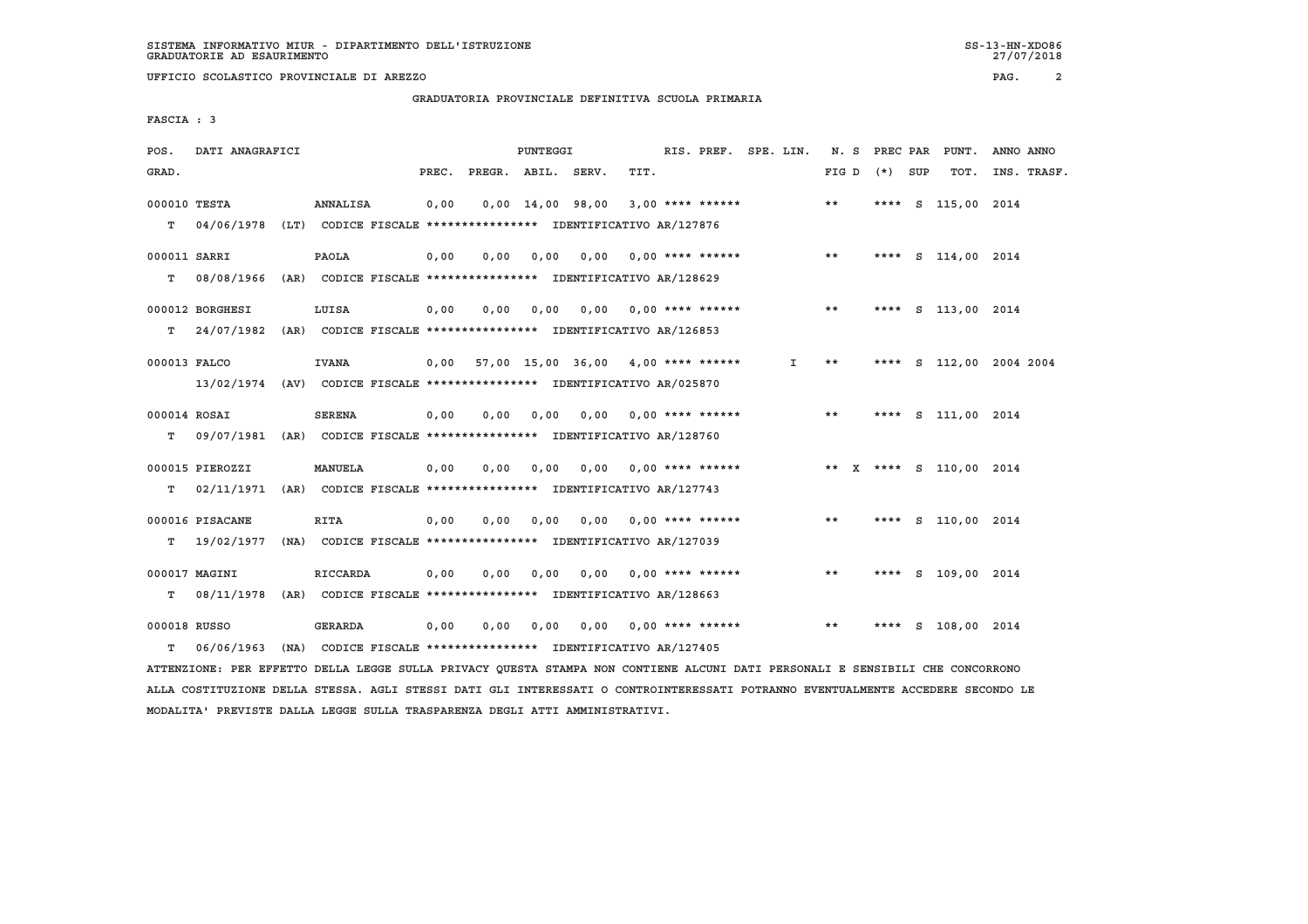**GRADUATORIA PROVINCIALE DEFINITIVA SCUOLA PRIMARIA**

 **FASCIA : 3**

| POS.               | DATI ANAGRAFICI                                                          |                                                               |       |                    | PUNTEGGI |                                           |      | RIS. PREF. SPE. LIN.      |    |       | N. S PREC PAR | PUNT.                                          | ANNO ANNO   |
|--------------------|--------------------------------------------------------------------------|---------------------------------------------------------------|-------|--------------------|----------|-------------------------------------------|------|---------------------------|----|-------|---------------|------------------------------------------------|-------------|
| GRAD.              |                                                                          |                                                               | PREC. | PREGR. ABIL. SERV. |          |                                           | TIT. |                           |    | FIG D | (*) SUP       | TOT.                                           | INS. TRASF. |
| 000010 TESTA<br>T. | 04/06/1978 (LT) CODICE FISCALE *************** IDENTIFICATIVO AR/127876  | ANNALISA                                                      | 0,00  |                    |          | $0,00$ $14,00$ $98,00$                    |      | $3,00$ **** ******        |    | $* *$ |               | **** S 115,00 2014                             |             |
|                    |                                                                          |                                                               |       |                    |          |                                           |      |                           |    |       |               |                                                |             |
| 000011 SARRI       |                                                                          | PAOLA                                                         | 0,00  | 0.00               | 0.00     | 0.00                                      |      | $0.00$ **** ******        |    | **    | ****          | S 114,00 2014                                  |             |
| т                  | 08/08/1966 (AR) CODICE FISCALE **************** IDENTIFICATIVO AR/128629 |                                                               |       |                    |          |                                           |      |                           |    |       |               |                                                |             |
|                    | 000012 BORGHESI                                                          | LUISA                                                         | 0.00  | 0.00               | 0,00     |                                           |      | $0.00$ $0.00$ **** ****** |    | **    |               | **** S 113,00 2014                             |             |
| т                  | 24/07/1982 (AR) CODICE FISCALE **************** IDENTIFICATIVO AR/126853 |                                                               |       |                    |          |                                           |      |                           |    |       |               |                                                |             |
| 000013 FALCO       |                                                                          | <b>IVANA</b>                                                  |       |                    |          | $0.00$ 57.00 15.00 36.00 4.00 **** ****** |      |                           | Ι. | $* *$ |               | **** S 112,00 2004 2004                        |             |
|                    | 13/02/1974 (AV) CODICE FISCALE *************** IDENTIFICATIVO AR/025870  |                                                               |       |                    |          |                                           |      |                           |    |       |               |                                                |             |
|                    |                                                                          |                                                               |       |                    |          |                                           |      |                           |    | $***$ |               |                                                |             |
| 000014 ROSAI       | 09/07/1981 (AR) CODICE FISCALE **************** IDENTIFICATIVO AR/128760 | <b>SERENA</b>                                                 | 0,00  | 0.00               | 0,00     | 0.00                                      |      | $0.00$ **** ******        |    |       | ****          | S 111,00 2014                                  |             |
| т                  |                                                                          |                                                               |       |                    |          |                                           |      |                           |    |       |               |                                                |             |
|                    | 000015 PIEROZZI                                                          | <b>MANUELA</b>                                                | 0,00  | 0.00               | 0.00     | 0.00                                      |      |                           |    |       |               | 0,00 **** ****** ** ** ** *** ** 5 110,00 2014 |             |
| т                  | 02/11/1971                                                               | (AR) CODICE FISCALE **************** IDENTIFICATIVO AR/127743 |       |                    |          |                                           |      |                           |    |       |               |                                                |             |
|                    | 000016 PISACANE                                                          | <b>RITA</b>                                                   | 0,00  | 0.00               | 0.00     | 0.00                                      |      | $0.00$ **** ******        |    | **    |               | **** S 110,00 2014                             |             |
| т                  | 19/02/1977                                                               | (NA) CODICE FISCALE **************** IDENTIFICATIVO AR/127039 |       |                    |          |                                           |      |                           |    |       |               |                                                |             |
|                    | 000017 MAGINI                                                            | <b>RICCARDA</b>                                               | 0.00  | 0.00               | 0,00     |                                           |      | $0.00$ $0.00$ **** ****** |    | **    |               | **** S 109,00 2014                             |             |
| т                  | 08/11/1978                                                               | (AR) CODICE FISCALE **************** IDENTIFICATIVO AR/128663 |       |                    |          |                                           |      |                           |    |       |               |                                                |             |
|                    |                                                                          |                                                               |       |                    |          |                                           |      |                           |    |       |               |                                                |             |
| 000018 RUSSO       |                                                                          | <b>GERARDA</b>                                                | 0,00  | 0,00               | 0,00     | 0,00                                      |      | $0.00$ **** ******        |    | $* *$ | ****          | S 108,00 2014                                  |             |
| т                  | 06/06/1963                                                               | (NA) CODICE FISCALE **************** IDENTIFICATIVO AR/127405 |       |                    |          |                                           |      |                           |    |       |               |                                                |             |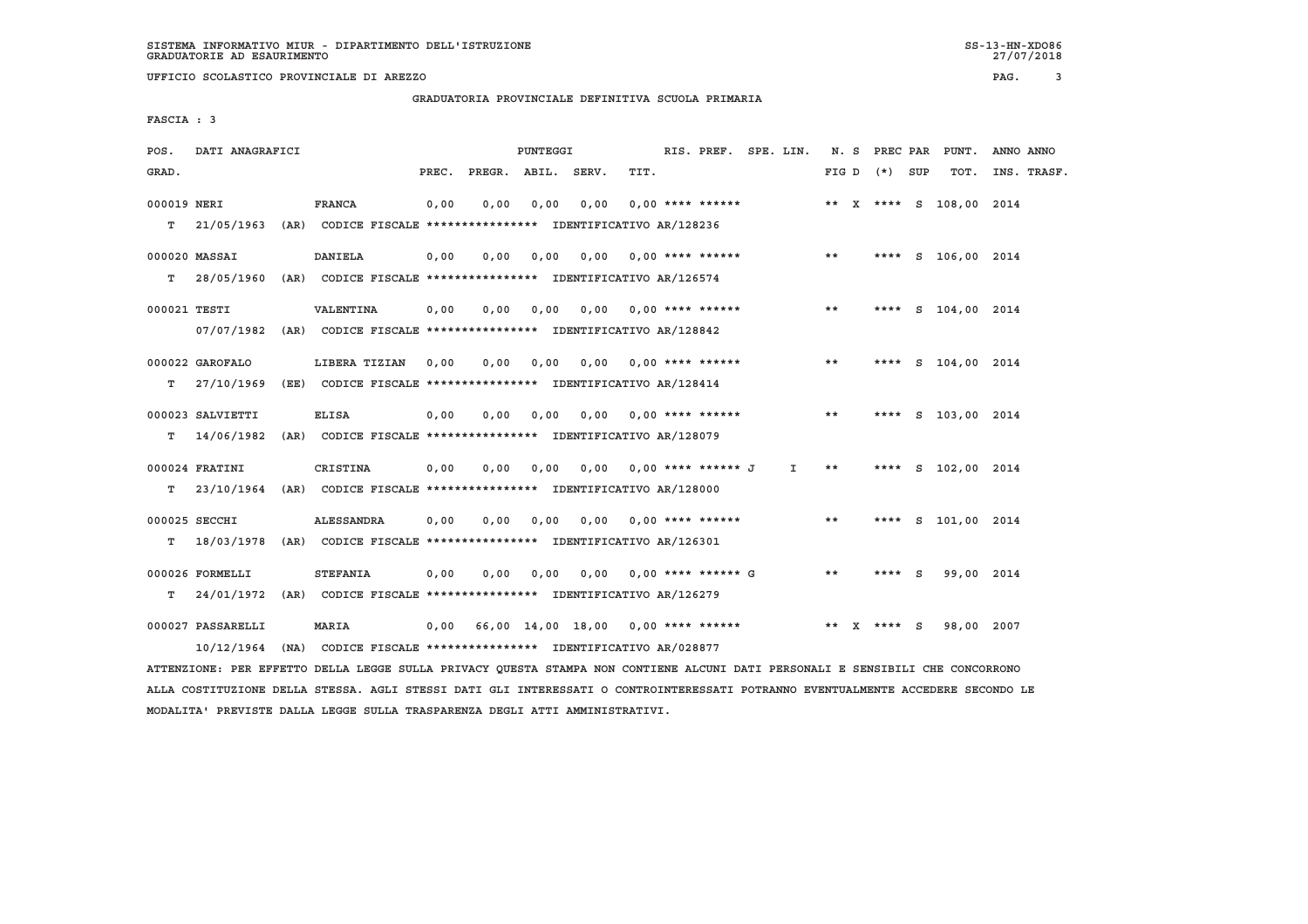#### **GRADUATORIA PROVINCIALE DEFINITIVA SCUOLA PRIMARIA**

 **FASCIA : 3**

| POS.        | DATI ANAGRAFICI   |                                                                          |       |                    | PUNTEGGI |      |                                    | RIS. PREF. SPE. LIN. |       |              |                   |     | N. S PREC PAR PUNT.     | ANNO ANNO   |
|-------------|-------------------|--------------------------------------------------------------------------|-------|--------------------|----------|------|------------------------------------|----------------------|-------|--------------|-------------------|-----|-------------------------|-------------|
| GRAD.       |                   |                                                                          | PREC. | PREGR. ABIL. SERV. |          |      | TIT.                               |                      |       |              | FIG $D$ $(*)$ SUP |     | TOT.                    | INS. TRASF. |
| 000019 NERI |                   | <b>FRANCA</b>                                                            | 0,00  | 0,00               | 0,00     | 0,00 | $0.00$ **** ******                 |                      |       |              |                   |     | ** X **** S 108,00 2014 |             |
| т           |                   | 21/05/1963 (AR) CODICE FISCALE *************** IDENTIFICATIVO AR/128236  |       |                    |          |      |                                    |                      |       |              |                   |     |                         |             |
|             | 000020 MASSAI     | <b>DANIELA</b>                                                           | 0,00  | 0.00               | 0.00     |      | $0.00$ $0.00$ **** ******          |                      | $***$ |              |                   |     | **** S 106,00 2014      |             |
| т           |                   | 28/05/1960 (AR) CODICE FISCALE **************** IDENTIFICATIVO AR/126574 |       |                    |          |      |                                    |                      |       |              |                   |     |                         |             |
|             | 000021 TESTI      | <b>VALENTINA</b>                                                         | 0.00  | 0.00               | 0.00     |      | $0.00$ $0.00$ **** ******          |                      | **    |              |                   |     | **** S 104,00 2014      |             |
|             | 07/07/1982        | (AR) CODICE FISCALE **************** IDENTIFICATIVO AR/128842            |       |                    |          |      |                                    |                      |       |              |                   |     |                         |             |
|             | 000022 GAROFALO   | LIBERA TIZIAN                                                            | 0.00  | 0.00               | 0.00     |      | $0.00$ $0.00$ **** ******          |                      | $* *$ |              |                   |     | **** S 104,00 2014      |             |
| т           | 27/10/1969        | (EE) CODICE FISCALE *************** IDENTIFICATIVO AR/128414             |       |                    |          |      |                                    |                      |       |              |                   |     |                         |             |
|             | 000023 SALVIETTI  | <b>ELISA</b>                                                             | 0,00  | 0.00               | 0.00     |      | $0.00$ $0.00$ **** ******          |                      | $* *$ |              |                   |     | **** S 103,00 2014      |             |
| т           | 14/06/1982        | (AR) CODICE FISCALE **************** IDENTIFICATIVO AR/128079            |       |                    |          |      |                                    |                      |       |              |                   |     |                         |             |
|             | 000024 FRATINI    | <b>CRISTINA</b>                                                          | 0,00  | 0.00               | 0,00     |      | $0.00$ $0.00$ **** ****** J        | Ι.                   | $* *$ |              |                   |     | **** S 102,00 2014      |             |
| т           |                   | 23/10/1964 (AR) CODICE FISCALE **************** IDENTIFICATIVO AR/128000 |       |                    |          |      |                                    |                      |       |              |                   |     |                         |             |
|             | 000025 SECCHI     | <b>ALESSANDRA</b>                                                        | 0,00  | 0,00               | 0,00     |      | $0,00$ 0,00 **** ******            |                      | $* *$ |              | ****              |     | S 101,00 2014           |             |
| т           | 18/03/1978        | (AR) CODICE FISCALE **************** IDENTIFICATIVO AR/126301            |       |                    |          |      |                                    |                      |       |              |                   |     |                         |             |
|             | 000026 FORMELLI   | <b>STEFANIA</b>                                                          | 0.00  | 0,00               | 0.00     | 0.00 | $0.00$ **** ****** G               |                      | $* *$ |              | ****              | - S | 99,00 2014              |             |
| т           |                   | 24/01/1972 (AR) CODICE FISCALE *************** IDENTIFICATIVO AR/126279  |       |                    |          |      |                                    |                      |       |              |                   |     |                         |             |
|             | 000027 PASSARELLI | MARIA                                                                    | 0.00  |                    |          |      | 66,00 14,00 18,00 0,00 **** ****** |                      | **    | $\mathbf{x}$ | $***$ S           |     | 98,00 2007              |             |
|             | 10/12/1964        | (NA) CODICE FISCALE **************** IDENTIFICATIVO AR/028877            |       |                    |          |      |                                    |                      |       |              |                   |     |                         |             |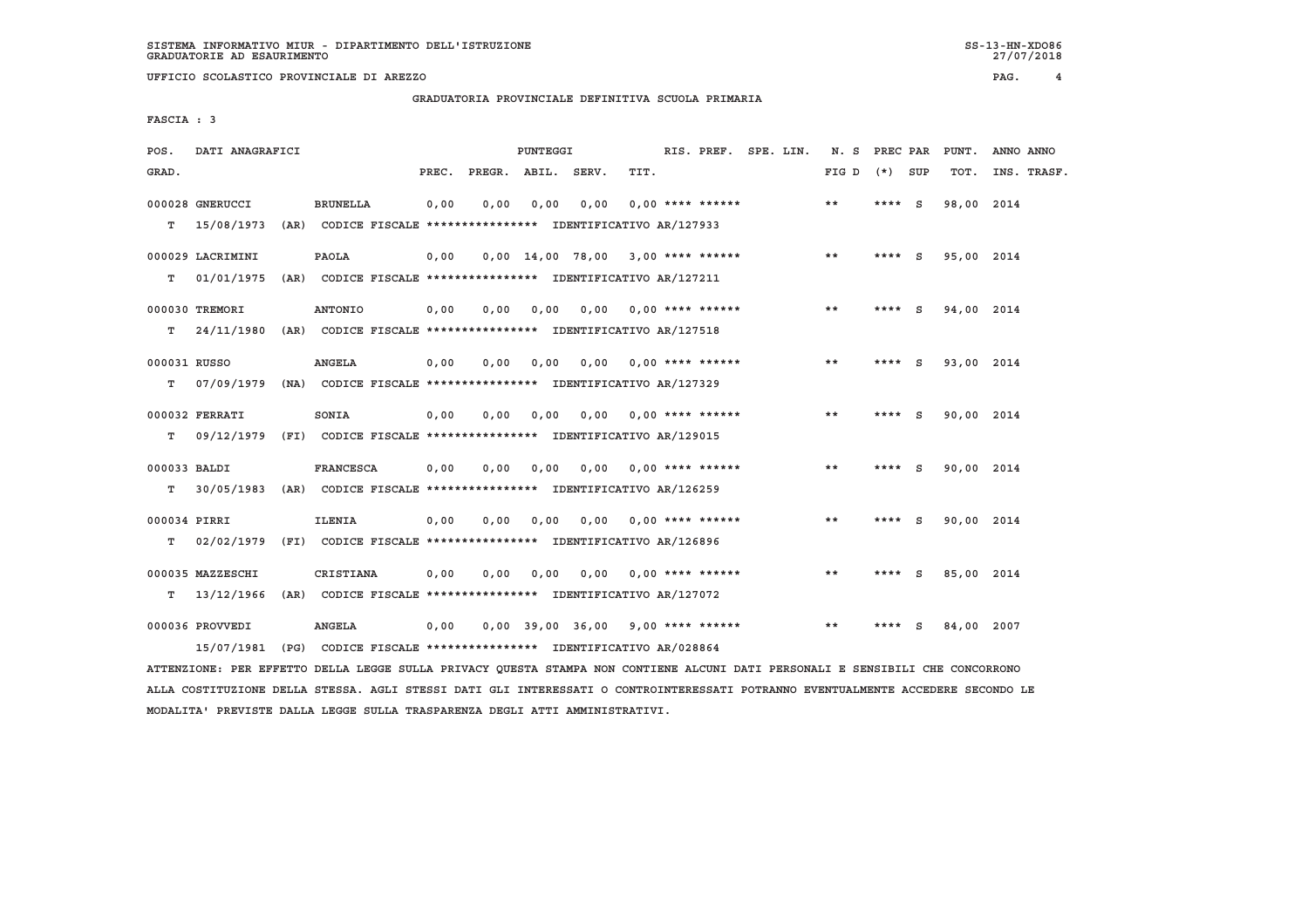**GRADUATORIA PROVINCIALE DEFINITIVA SCUOLA PRIMARIA**

 **FASCIA : 3**

| POS.                   | DATI ANAGRAFICI                |      |                  |       |      | PUNTEGGI |                                                                                                                                        |      | RIS. PREF. SPE. LIN. |  | N. S  | PREC PAR |     | PUNT.      | ANNO ANNO |             |
|------------------------|--------------------------------|------|------------------|-------|------|----------|----------------------------------------------------------------------------------------------------------------------------------------|------|----------------------|--|-------|----------|-----|------------|-----------|-------------|
| GRAD.                  |                                |      |                  | PREC. |      |          | PREGR. ABIL. SERV.                                                                                                                     | TIT. |                      |  | FIG D | (*) SUP  |     | TOT.       |           | INS. TRASF. |
| T.                     | 000028 GNERUCCI<br>15/08/1973  | (AR) | <b>BRUNELLA</b>  | 0,00  | 0.00 | 0,00     | 0.00<br>CODICE FISCALE **************** IDENTIFICATIVO AR/127933                                                                       |      | $0.00$ **** ******   |  | **    | **** $S$ |     | 98,00 2014 |           |             |
| т                      | 000029 LACRIMINI<br>01/01/1975 |      | <b>PAOLA</b>     | 0,00  |      |          | $0,00$ 14,00 78,00 3,00 **** ******<br>(AR) CODICE FISCALE **************** IDENTIFICATIVO AR/127211                                   |      |                      |  | $* *$ | ****     | - S | 95,00 2014 |           |             |
|                        | 000030 TREMORI                 |      | <b>ANTONIO</b>   | 0,00  | 0.00 | 0.00     | 0.00                                                                                                                                   |      | $0.00$ **** ******   |  | **    | ****     | - S | 94,00 2014 |           |             |
| т<br>000031 RUSSO<br>т | 24/11/1980<br>07/09/1979       |      | <b>ANGELA</b>    | 0,00  | 0.00 | 0.00     | (AR) CODICE FISCALE **************** IDENTIFICATIVO AR/127518<br>0.00<br>(NA) CODICE FISCALE **************** IDENTIFICATIVO AR/127329 |      | $0.00$ **** ******   |  | $* *$ | ****     | - S | 93,00 2014 |           |             |
| т                      | 000032 FERRATI<br>09/12/1979   |      | SONIA            | 0,00  | 0.00 | 0,00     | 0,00<br>(FI) CODICE FISCALE **************** IDENTIFICATIVO AR/129015                                                                  |      | $0.00$ **** ******   |  | $* *$ | ****     | S.  | 90,00 2014 |           |             |
| 000033 BALDI<br>т      | 30/05/1983                     |      | <b>FRANCESCA</b> | 0,00  | 0.00 | 0,00     | 0.00<br>(AR) CODICE FISCALE **************** IDENTIFICATIVO AR/126259                                                                  |      | $0.00$ **** ******   |  | $* *$ | ****     | - S | 90,00 2014 |           |             |
| 000034 PIRRI<br>т      | 02/02/1979                     |      | <b>ILENIA</b>    | 0,00  | 0,00 | 0,00     | 0,00<br>(FI) CODICE FISCALE **************** IDENTIFICATIVO AR/126896                                                                  |      | $0.00$ **** ******   |  | $***$ | **** S   |     | 90,00 2014 |           |             |
|                        | 000035 MAZZESCHI<br>13/12/1966 |      | CRISTIANA        | 0,00  | 0.00 | 0.00     | 0.00<br>(AR) CODICE FISCALE **************** IDENTIFICATIVO AR/127072                                                                  |      | $0.00$ **** ******   |  | $* *$ | **** $S$ |     | 85,00 2014 |           |             |
| т                      | 000036 PROVVEDI<br>15/07/1981  |      | <b>ANGELA</b>    | 0,00  |      |          | 0,00 39,00 36,00<br>(PG) CODICE FISCALE **************** IDENTIFICATIVO AR/028864                                                      |      | $9,00$ **** ******   |  | $* *$ | ****     | - S | 84,00 2007 |           |             |
|                        |                                |      |                  |       |      |          |                                                                                                                                        |      |                      |  |       |          |     |            |           |             |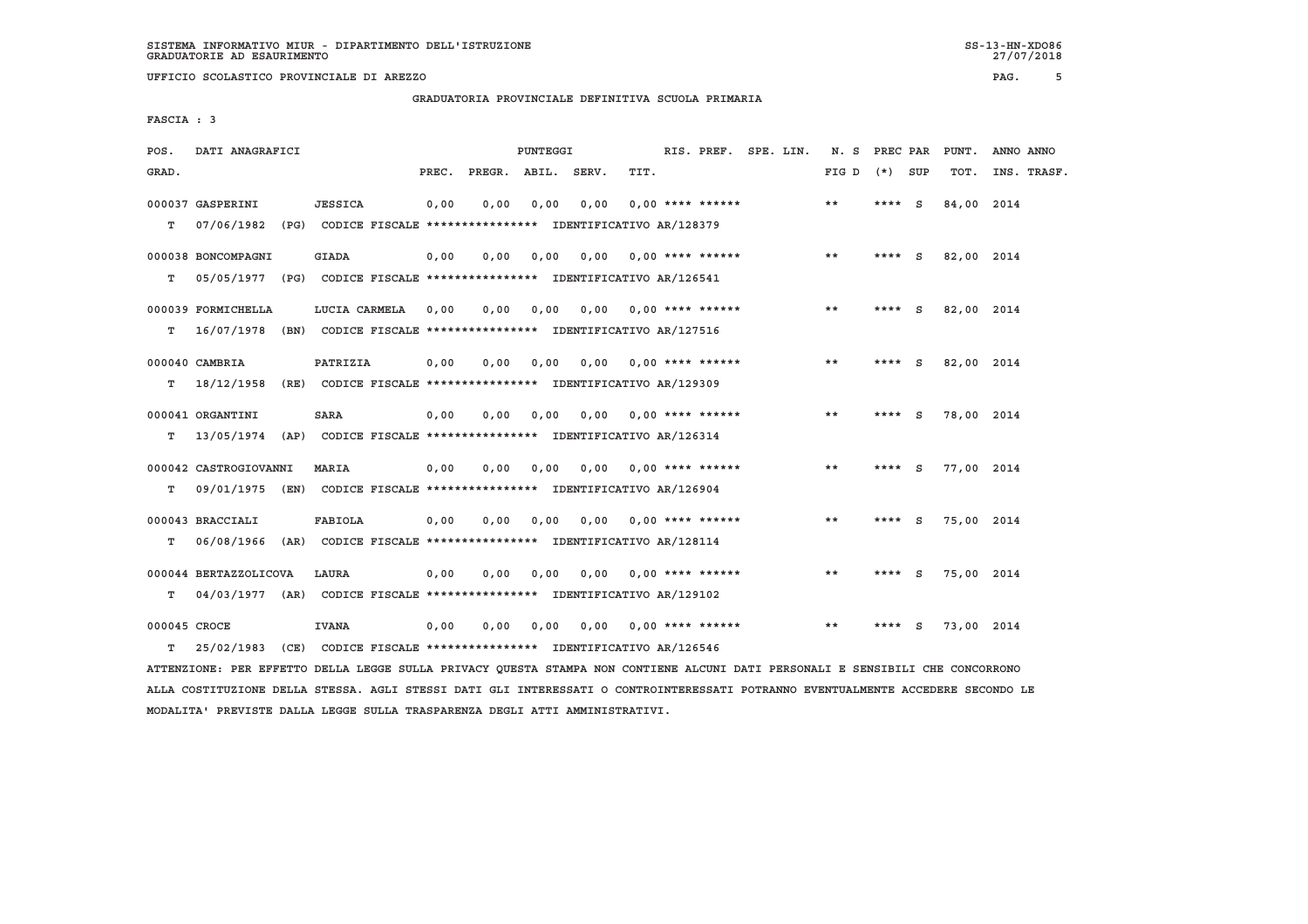**GRADUATORIA PROVINCIALE DEFINITIVA SCUOLA PRIMARIA**

 **FASCIA : 3**

| POS.         | DATI ANAGRAFICI       |                                                                         |       |              | PUNTEGGI |       |                           | RIS. PREF.         | SPE. LIN. | N.S   | PREC PAR |          | PUNT.      | ANNO ANNO   |
|--------------|-----------------------|-------------------------------------------------------------------------|-------|--------------|----------|-------|---------------------------|--------------------|-----------|-------|----------|----------|------------|-------------|
| GRAD.        |                       |                                                                         | PREC. | PREGR. ABIL. |          | SERV. | TIT.                      |                    |           | FIG D | $(*)$    | SUP      | TOT.       | INS. TRASF. |
|              | 000037 GASPERINI      | <b>JESSICA</b>                                                          | 0,00  | 0.00         | 0.00     | 0,00  |                           | $0.00$ **** ****** |           | $* *$ | ****     | - S      | 84,00 2014 |             |
| т            | 07/06/1982            | (PG) CODICE FISCALE **************** IDENTIFICATIVO AR/128379           |       |              |          |       |                           |                    |           |       |          |          |            |             |
|              |                       |                                                                         |       |              |          |       |                           |                    |           |       |          |          |            |             |
|              | 000038 BONCOMPAGNI    | <b>GIADA</b>                                                            | 0.00  | 0.00         | 0.00     | 0.00  |                           | $0.00$ **** ****** |           | $***$ | **** S   |          | 82,00 2014 |             |
| т            | 05/05/1977            | (PG) CODICE FISCALE **************** IDENTIFICATIVO AR/126541           |       |              |          |       |                           |                    |           |       |          |          |            |             |
|              | 000039 FORMICHELLA    | LUCIA CARMELA                                                           | 0.00  | 0.00         | 0.00     |       | $0.00$ $0.00$ **** ****** |                    |           | $* *$ | ****     | - S      | 82,00 2014 |             |
| т            | 16/07/1978            | (BN) CODICE FISCALE **************** IDENTIFICATIVO AR/127516           |       |              |          |       |                           |                    |           |       |          |          |            |             |
|              |                       | PATRIZIA                                                                |       | 0.00         | 0.00     | 0.00  |                           | $0.00$ **** ****** |           | $* *$ | ****     |          | 82,00 2014 |             |
|              | 000040 CAMBRIA        |                                                                         | 0,00  |              |          |       |                           |                    |           |       |          | - S      |            |             |
| т            | 18/12/1958            | (RE) CODICE FISCALE **************** IDENTIFICATIVO AR/129309           |       |              |          |       |                           |                    |           |       |          |          |            |             |
|              | 000041 ORGANTINI      | <b>SARA</b>                                                             | 0,00  | 0,00         | 0.00     | 0.00  |                           | $0.00$ **** ****** |           | $* *$ | **** $S$ |          | 78,00 2014 |             |
| T.           | 13/05/1974            | (AP) CODICE FISCALE **************** IDENTIFICATIVO AR/126314           |       |              |          |       |                           |                    |           |       |          |          |            |             |
|              | 000042 CASTROGIOVANNI |                                                                         |       | 0.00         | 0.00     | 0.00  |                           | $0.00$ **** ****** |           | $* *$ | ****     | <b>S</b> | 77,00 2014 |             |
|              |                       | MARIA                                                                   | 0,00  |              |          |       |                           |                    |           |       |          |          |            |             |
| т            |                       | 09/01/1975 (EN) CODICE FISCALE *************** IDENTIFICATIVO AR/126904 |       |              |          |       |                           |                    |           |       |          |          |            |             |
|              | 000043 BRACCIALI      | <b>FABIOLA</b>                                                          | 0,00  | 0,00         | 0.00     | 0.00  |                           | $0.00$ **** ****** |           | $* *$ | ****     | <b>S</b> | 75,00 2014 |             |
| т            | 06/08/1966            | (AR) CODICE FISCALE **************** IDENTIFICATIVO AR/128114           |       |              |          |       |                           |                    |           |       |          |          |            |             |
|              |                       |                                                                         |       |              |          |       |                           |                    |           |       |          |          |            |             |
|              | 000044 BERTAZZOLICOVA | LAURA                                                                   | 0,00  | 0.00         | 0.00     | 0.00  |                           | $0.00$ **** ****** |           | $* *$ | **** S   |          | 75,00 2014 |             |
| T.           |                       | 04/03/1977 (AR) CODICE FISCALE *************** IDENTIFICATIVO AR/129102 |       |              |          |       |                           |                    |           |       |          |          |            |             |
| 000045 CROCE |                       | <b>IVANA</b>                                                            | 0,00  | 0,00         | 0,00     | 0,00  |                           | $0.00$ **** ****** |           | $***$ | ****     | S.       | 73,00 2014 |             |
| T.           | 25/02/1983            | (CE) CODICE FISCALE **************** IDENTIFICATIVO AR/126546           |       |              |          |       |                           |                    |           |       |          |          |            |             |

 **ATTENZIONE: PER EFFETTO DELLA LEGGE SULLA PRIVACY QUESTA STAMPA NON CONTIENE ALCUNI DATI PERSONALI E SENSIBILI CHE CONCORRONO ALLA COSTITUZIONE DELLA STESSA. AGLI STESSI DATI GLI INTERESSATI O CONTROINTERESSATI POTRANNO EVENTUALMENTE ACCEDERE SECONDO LE MODALITA' PREVISTE DALLA LEGGE SULLA TRASPARENZA DEGLI ATTI AMMINISTRATIVI.**

27/07/2018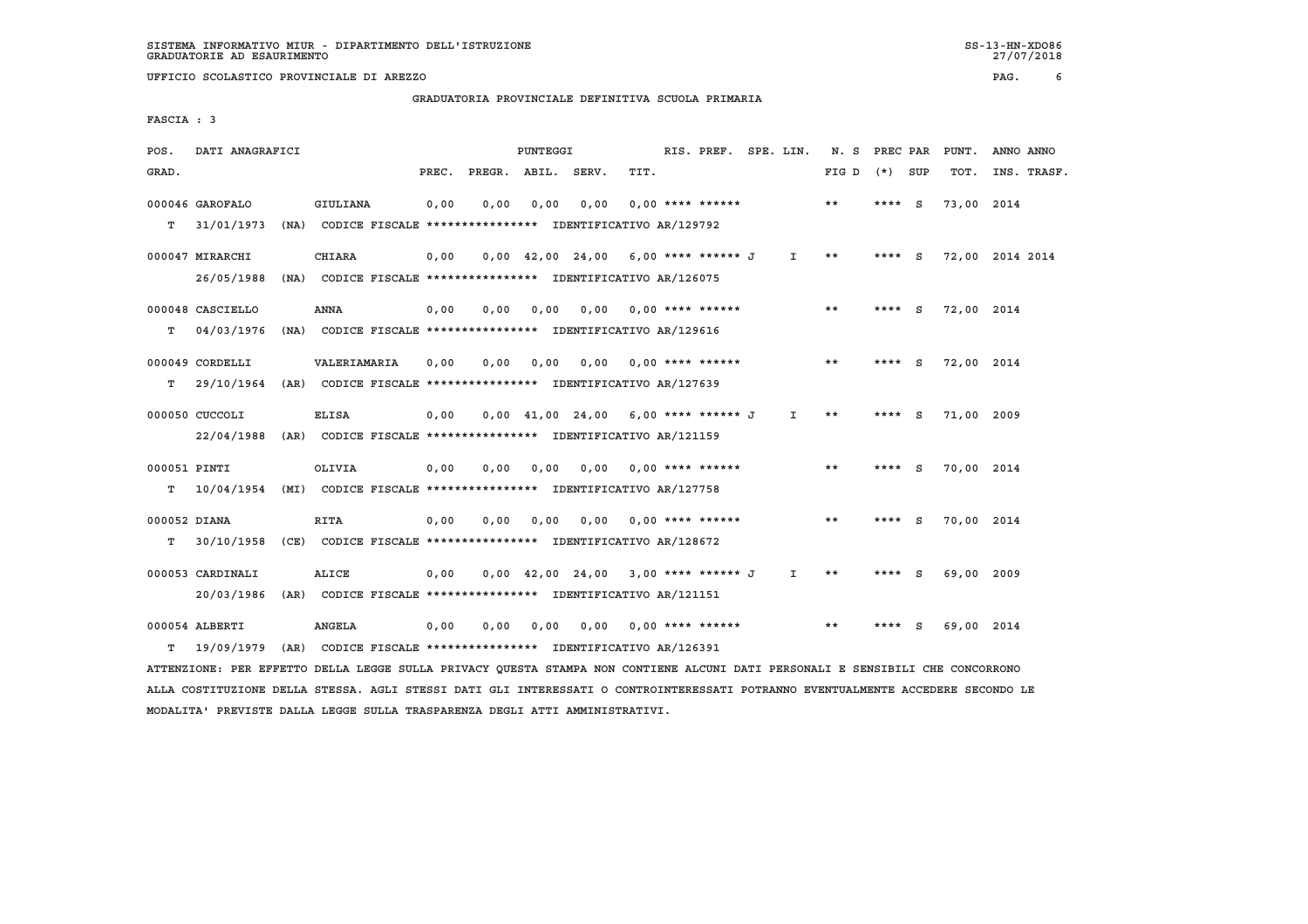## **GRADUATORIA PROVINCIALE DEFINITIVA SCUOLA PRIMARIA**

 **FASCIA : 3**

| POS.         | DATI ANAGRAFICI  |      |                                                                          |       |                    | PUNTEGGI |                                                                       |      | RIS. PREF. SPE. LIN. |              | N. S  | PREC PAR |     | PUNT.           | ANNO ANNO |             |
|--------------|------------------|------|--------------------------------------------------------------------------|-------|--------------------|----------|-----------------------------------------------------------------------|------|----------------------|--------------|-------|----------|-----|-----------------|-----------|-------------|
| GRAD.        |                  |      |                                                                          | PREC. | PREGR. ABIL. SERV. |          |                                                                       | TIT. |                      |              | FIG D | $(*)$    | SUP | TOT.            |           | INS. TRASF. |
|              | 000046 GAROFALO  |      | <b>GIULIANA</b>                                                          | 0,00  | 0.00               | 0.00     | 0,00                                                                  |      | $0.00$ **** ******   |              | **    | $***$ S  |     | 73,00 2014      |           |             |
| т            | 31/01/1973       |      | (NA) CODICE FISCALE **************** IDENTIFICATIVO AR/129792            |       |                    |          |                                                                       |      |                      |              |       |          |     |                 |           |             |
|              | 000047 MIRARCHI  |      | <b>CHIARA</b>                                                            | 0.00  |                    |          | $0,00$ 42,00 24,00 6,00 **** ****** J                                 |      |                      | I.           | **    | **** $S$ |     | 72,00 2014 2014 |           |             |
|              | 26/05/1988       | (NA) | CODICE FISCALE **************** IDENTIFICATIVO AR/126075                 |       |                    |          |                                                                       |      |                      |              |       |          |     |                 |           |             |
|              | 000048 CASCIELLO |      | <b>ANNA</b>                                                              | 0.00  | 0.00               | 0.00     | 0.00                                                                  |      | 0,00 **** ******     |              | **    | ****     | - S | 72,00 2014      |           |             |
| т            | 04/03/1976       |      | (NA) CODICE FISCALE **************** IDENTIFICATIVO AR/129616            |       |                    |          |                                                                       |      |                      |              |       |          |     |                 |           |             |
|              | 000049 CORDELLI  |      | VALERIAMARIA                                                             | 0.00  | 0.00               | 0.00     | 0.00                                                                  |      | $0.00$ **** ******   |              | $* *$ | ****     | - S | 72,00 2014      |           |             |
| T.           | 29/10/1964       |      | (AR) CODICE FISCALE **************** IDENTIFICATIVO AR/127639            |       |                    |          |                                                                       |      |                      |              |       |          |     |                 |           |             |
|              | 000050 CUCCOLI   |      | <b>ELISA</b>                                                             | 0,00  |                    |          | $0,00$ 41,00 24,00 6,00 **** ****** J                                 |      |                      | $\mathbf{I}$ | $* *$ | **** $S$ |     | 71.00 2009      |           |             |
|              | 22/04/1988       |      | (AR) CODICE FISCALE **************** IDENTIFICATIVO AR/121159            |       |                    |          |                                                                       |      |                      |              |       |          |     |                 |           |             |
| 000051 PINTI |                  |      | OLIVIA                                                                   | 0,00  | 0.00               | 0,00     | 0.00                                                                  |      | $0.00$ **** ******   |              | $* *$ | $***$ S  |     | 70,00 2014      |           |             |
| T.           |                  |      | 10/04/1954 (MI) CODICE FISCALE **************** IDENTIFICATIVO AR/127758 |       |                    |          |                                                                       |      |                      |              |       |          |     |                 |           |             |
|              |                  |      |                                                                          |       |                    |          |                                                                       |      |                      |              | $* *$ |          |     |                 |           |             |
| 000052 DIANA |                  |      | <b>RITA</b>                                                              | 0.00  | 0.00               | 0.00     | 0.00                                                                  |      | $0.00$ **** ******   |              |       | ****     | - S | 70,00 2014      |           |             |
| т            |                  |      | 30/10/1958 (CE) CODICE FISCALE *************** IDENTIFICATIVO AR/128672  |       |                    |          |                                                                       |      |                      |              |       |          |     |                 |           |             |
|              | 000053 CARDINALI |      | <b>ALICE</b>                                                             | 0,00  |                    |          | $0.00 \quad 42.00 \quad 24.00 \quad 3.00 \quad *** \quad *** \quad J$ |      |                      | I.           | **    | **** $S$ |     | 69,00 2009      |           |             |
|              | 20/03/1986       |      | (AR) CODICE FISCALE **************** IDENTIFICATIVO AR/121151            |       |                    |          |                                                                       |      |                      |              |       |          |     |                 |           |             |
|              | 000054 ALBERTI   |      | <b>ANGELA</b>                                                            | 0.00  | 0.00               | 0,00     | 0,00                                                                  |      | $0.00$ **** ******   |              | **    |          | S   | 69,00 2014      |           |             |
| т            | 19/09/1979       |      | (AR) CODICE FISCALE **************** IDENTIFICATIVO AR/126391            |       |                    |          |                                                                       |      |                      |              |       |          |     |                 |           |             |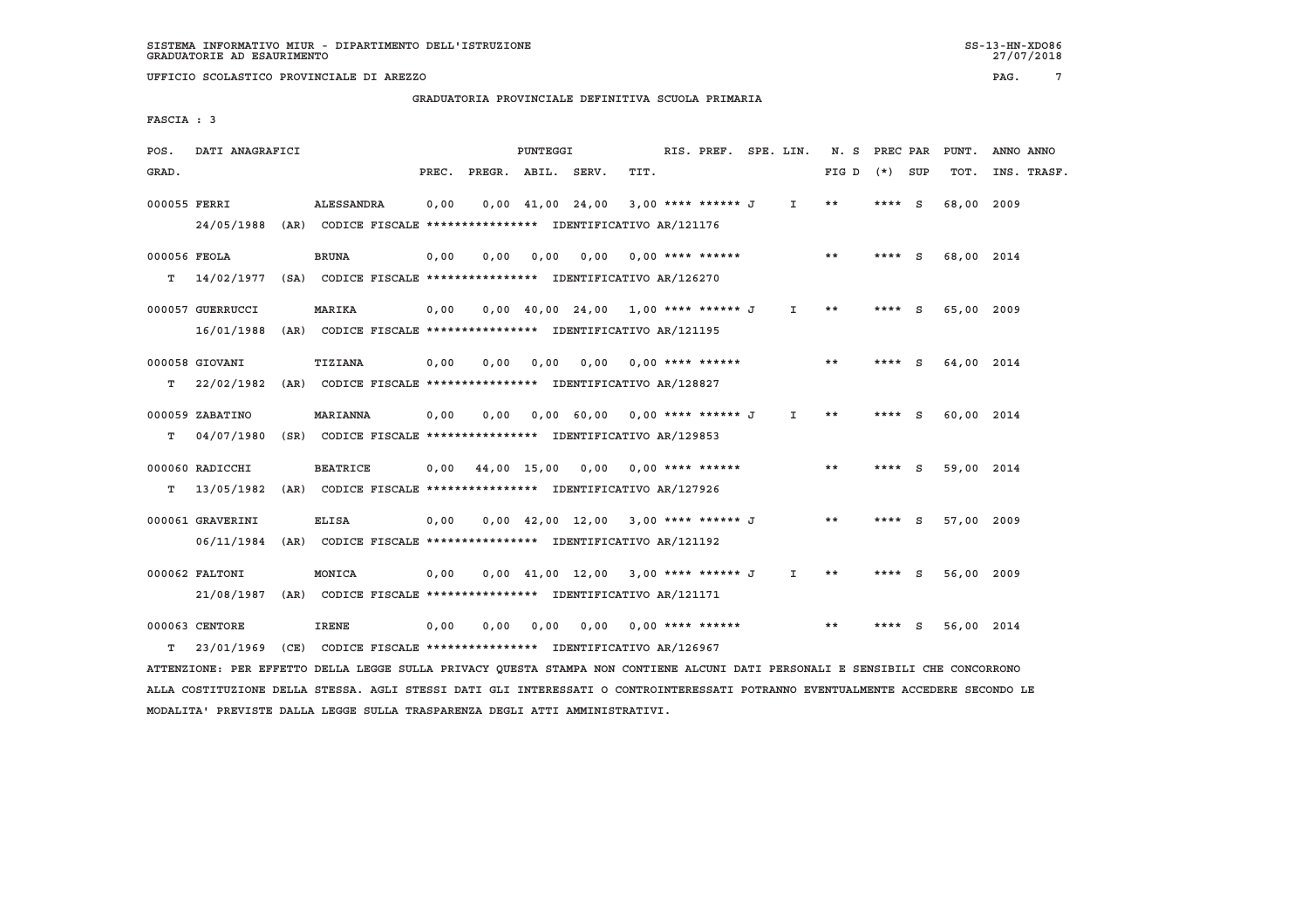## **GRADUATORIA PROVINCIALE DEFINITIVA SCUOLA PRIMARIA**

 **FASCIA : 3**

| POS.         | DATI ANAGRAFICI  |      |                                                                          |       |                               | PUNTEGGI |                                                                                |      | RIS. PREF. SPE. LIN. |              | N. S PREC PAR |          |     | PUNT.      | ANNO ANNO   |
|--------------|------------------|------|--------------------------------------------------------------------------|-------|-------------------------------|----------|--------------------------------------------------------------------------------|------|----------------------|--------------|---------------|----------|-----|------------|-------------|
| GRAD.        |                  |      |                                                                          | PREC. | PREGR. ABIL. SERV.            |          |                                                                                | TIT. |                      |              | FIG D         | $(*)$    | SUP | TOT.       | INS. TRASF. |
| 000055 FERRI |                  |      | ALESSANDRA                                                               | 0,00  |                               |          | $0.00 \quad 41.00 \quad 24.00$                                                 |      | 3,00 **** ****** J   | $\mathbf{I}$ | **            | $***$ S  |     | 68,00      | 2009        |
|              |                  |      | 24/05/1988 (AR) CODICE FISCALE *************** IDENTIFICATIVO AR/121176  |       |                               |          |                                                                                |      |                      |              |               |          |     |            |             |
| 000056 FEOLA |                  |      | <b>BRUNA</b>                                                             | 0,00  | 0.00                          | 0.00     | 0.00                                                                           |      | $0,00$ **** ******   |              | **            | **** $S$ |     | 68,00 2014 |             |
| т            | 14/02/1977 (SA)  |      | CODICE FISCALE **************** IDENTIFICATIVO AR/126270                 |       |                               |          |                                                                                |      |                      |              |               |          |     |            |             |
|              | 000057 GUERRUCCI |      | <b>MARIKA</b>                                                            | 0,00  |                               |          | $0,00$ 40,00 24,00 1,00 **** ****** J I **                                     |      |                      |              |               | $***$ S  |     | 65,00 2009 |             |
|              | 16/01/1988       | (AR) | CODICE FISCALE **************** IDENTIFICATIVO AR/121195                 |       |                               |          |                                                                                |      |                      |              |               |          |     |            |             |
|              | 000058 GIOVANI   |      | <b>TIZIANA</b>                                                           | 0,00  | 0.00                          | 0,00     | 0,00                                                                           |      | 0,00 **** ******     |              | $* *$         | **** S   |     | 64,00 2014 |             |
| т            | 22/02/1982       |      | (AR) CODICE FISCALE **************** IDENTIFICATIVO AR/128827            |       |                               |          |                                                                                |      |                      |              |               |          |     |            |             |
|              |                  |      |                                                                          |       |                               |          |                                                                                |      |                      |              |               |          |     |            |             |
|              | 000059 ZABATINO  |      | <b>MARIANNA</b>                                                          | 0,00  | 0.00                          |          | 0,00 60,00 0,00 **** ****** J I                                                |      |                      |              | $* *$         | $***$ S  |     | 60,00 2014 |             |
| т            | 04/07/1980       |      | (SR) CODICE FISCALE **************** IDENTIFICATIVO AR/129853            |       |                               |          |                                                                                |      |                      |              |               |          |     |            |             |
|              | 000060 RADICCHI  |      | <b>BEATRICE</b>                                                          |       | $0,00$ $44,00$ $15,00$ $0,00$ |          |                                                                                |      | $0.00$ **** ******   |              | $* *$         | **** S   |     | 59,00 2014 |             |
| т            | 13/05/1982       |      | (AR) CODICE FISCALE **************** IDENTIFICATIVO AR/127926            |       |                               |          |                                                                                |      |                      |              |               |          |     |            |             |
|              | 000061 GRAVERINI |      | <b>ELISA</b>                                                             | 0,00  |                               |          | $0.00 \quad 42.00 \quad 12.00 \quad 3.00 \quad *** \quad *** \quad J$          |      |                      |              | $* *$         | $***$ S  |     | 57,00 2009 |             |
|              | 06/11/1984       | (AR) | CODICE FISCALE **************** IDENTIFICATIVO AR/121192                 |       |                               |          |                                                                                |      |                      |              |               |          |     |            |             |
|              |                  |      | MONICA                                                                   |       |                               |          | $0.00 \quad 41.00 \quad 12.00 \quad 3.00 \quad *** \quad *** \quad J \qquad I$ |      |                      |              | **            | $***$ S  |     |            |             |
|              | 000062 FALTONI   |      |                                                                          | 0,00  |                               |          |                                                                                |      |                      |              |               |          |     | 56,00 2009 |             |
|              |                  |      | 21/08/1987 (AR) CODICE FISCALE **************** IDENTIFICATIVO AR/121171 |       |                               |          |                                                                                |      |                      |              |               |          |     |            |             |
|              | 000063 CENTORE   |      | <b>IRENE</b>                                                             | 0.00  | 0.00                          | 0,00     | 0.00                                                                           |      | $0.00$ **** ******   |              | **            |          | - S | 56,00 2014 |             |
| т            | 23/01/1969       |      | (CE) CODICE FISCALE **************** IDENTIFICATIVO AR/126967            |       |                               |          |                                                                                |      |                      |              |               |          |     |            |             |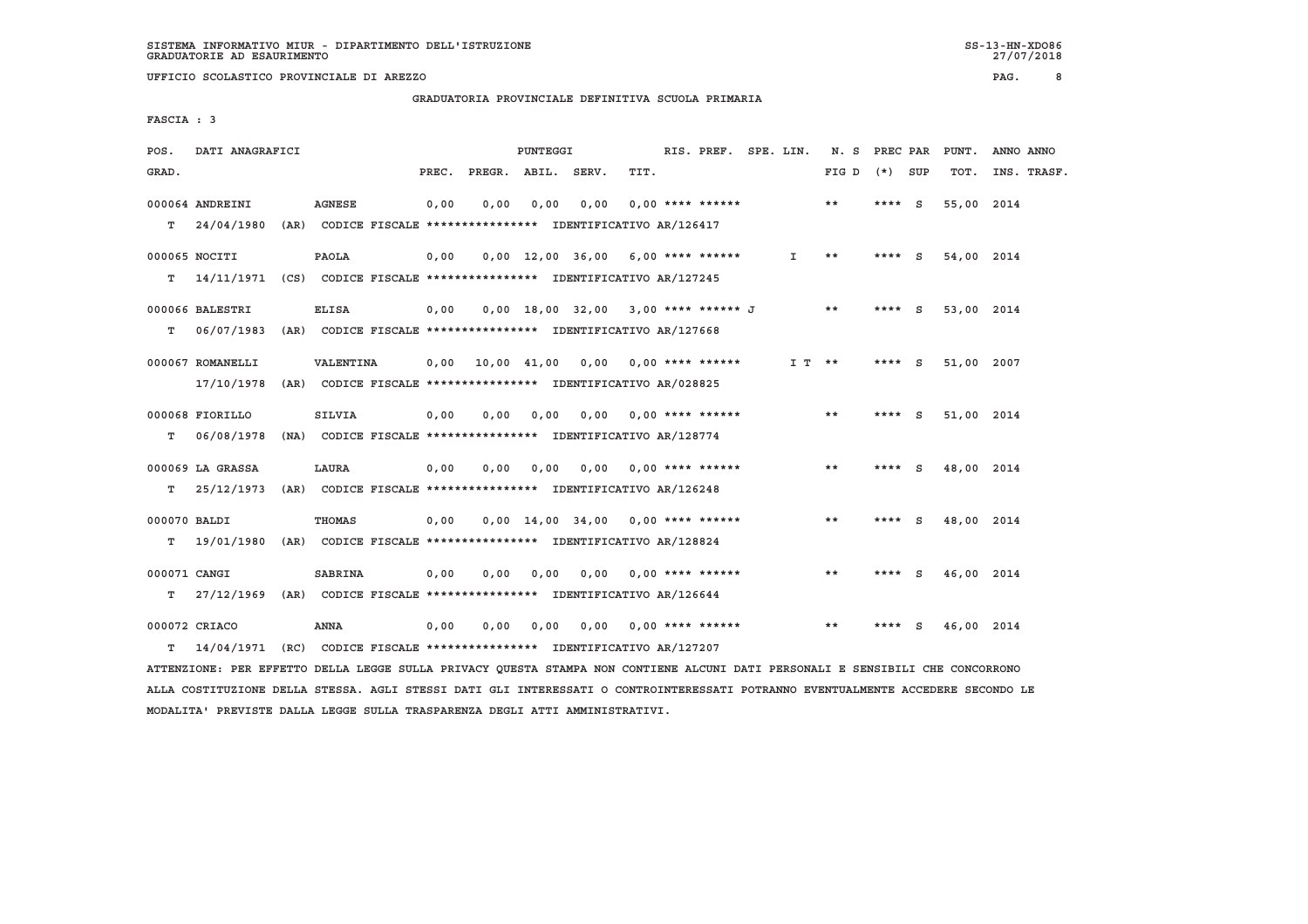## **GRADUATORIA PROVINCIALE DEFINITIVA SCUOLA PRIMARIA**

 **FASCIA : 3**

| POS.         | DATI ANAGRAFICI                                                          |                  |       |      | PUNTEGGI |                                                               |      | RIS. PREF. SPE. LIN.      |              | N. S PREC PAR |          |     | PUNT.      | ANNO ANNO   |
|--------------|--------------------------------------------------------------------------|------------------|-------|------|----------|---------------------------------------------------------------|------|---------------------------|--------------|---------------|----------|-----|------------|-------------|
| GRAD.        |                                                                          |                  | PREC. |      |          | PREGR. ABIL. SERV.                                            | TIT. |                           |              | FIG D         | (*) SUP  |     | TOT.       | INS. TRASF. |
|              | 000064 ANDREINI                                                          | <b>AGNESE</b>    | 0,00  | 0.00 | 0,00     | 0.00                                                          |      | $0.00$ **** ******        |              | **            | **** $S$ |     | 55,00 2014 |             |
|              | $T = 24/04/1980$                                                         |                  |       |      |          | (AR) CODICE FISCALE **************** IDENTIFICATIVO AR/126417 |      |                           |              |               |          |     |            |             |
|              | 000065 NOCITI                                                            | PAOLA            | 0,00  |      |          | $0,00$ 12,00 36,00 6,00 **** ******                           |      |                           | $\mathbf{I}$ | $* *$         | **** S   |     | 54,00 2014 |             |
| т            | 14/11/1971 (CS) CODICE FISCALE *************** IDENTIFICATIVO AR/127245  |                  |       |      |          |                                                               |      |                           |              |               |          |     |            |             |
|              | 000066 BALESTRI                                                          | <b>ELISA</b>     | 0.00  |      |          | $0.00$ 18.00 32.00 3.00 **** ****** J                         |      |                           |              | $* *$         | ****     | - S | 53,00 2014 |             |
| т            | 06/07/1983                                                               |                  |       |      |          | (AR) CODICE FISCALE **************** IDENTIFICATIVO AR/127668 |      |                           |              |               |          |     |            |             |
|              | 000067 ROMANELLI                                                         | <b>VALENTINA</b> |       |      |          | $0.00$ 10.00 41.00 0.00 0.00 **** ******                      |      |                           | I T **       |               | $***$ S  |     | 51,00 2007 |             |
|              | 17/10/1978                                                               |                  |       |      |          | (AR) CODICE FISCALE **************** IDENTIFICATIVO AR/028825 |      |                           |              |               |          |     |            |             |
|              | 000068 FIORILLO                                                          | <b>SILVIA</b>    | 0.00  | 0.00 | 0,00     | 0.00                                                          |      | 0,00 **** ******          |              | **            | **** S   |     | 51,00 2014 |             |
| т            | 06/08/1978                                                               |                  |       |      |          | (NA) CODICE FISCALE *************** IDENTIFICATIVO AR/128774  |      |                           |              |               |          |     |            |             |
|              | 000069 LA GRASSA                                                         | LAURA            | 0,00  | 0.00 | 0,00     | 0,00                                                          |      | $0.00$ **** ******        |              | $* *$         | ****     | - S | 48,00 2014 |             |
| T.           | 25/12/1973                                                               |                  |       |      |          | (AR) CODICE FISCALE **************** IDENTIFICATIVO AR/126248 |      |                           |              |               |          |     |            |             |
| 000070 BALDI |                                                                          | <b>THOMAS</b>    | 0,00  |      |          | $0,00$ 14,00 34,00 0,00 **** ******                           |      |                           |              | $***$         | $***$ S  |     | 48,00 2014 |             |
| т            | 19/01/1980                                                               |                  |       |      |          | (AR) CODICE FISCALE **************** IDENTIFICATIVO AR/128824 |      |                           |              |               |          |     |            |             |
| 000071 CANGI |                                                                          | <b>SABRINA</b>   | 0,00  | 0.00 | 0,00     |                                                               |      | $0.00$ $0.00$ **** ****** |              | $* *$         | ****     | - S | 46,00 2014 |             |
| т            | 27/12/1969 (AR) CODICE FISCALE **************** IDENTIFICATIVO AR/126644 |                  |       |      |          |                                                               |      |                           |              |               |          |     |            |             |
|              | 000072 CRIACO                                                            | <b>ANNA</b>      | 0,00  | 0.00 | 0,00     | 0,00                                                          |      | $0.00$ **** ******        |              | $* *$         |          | s   | 46,00 2014 |             |
| т            | 14/04/1971 (RC) CODICE FISCALE *************** IDENTIFICATIVO AR/127207  |                  |       |      |          |                                                               |      |                           |              |               |          |     |            |             |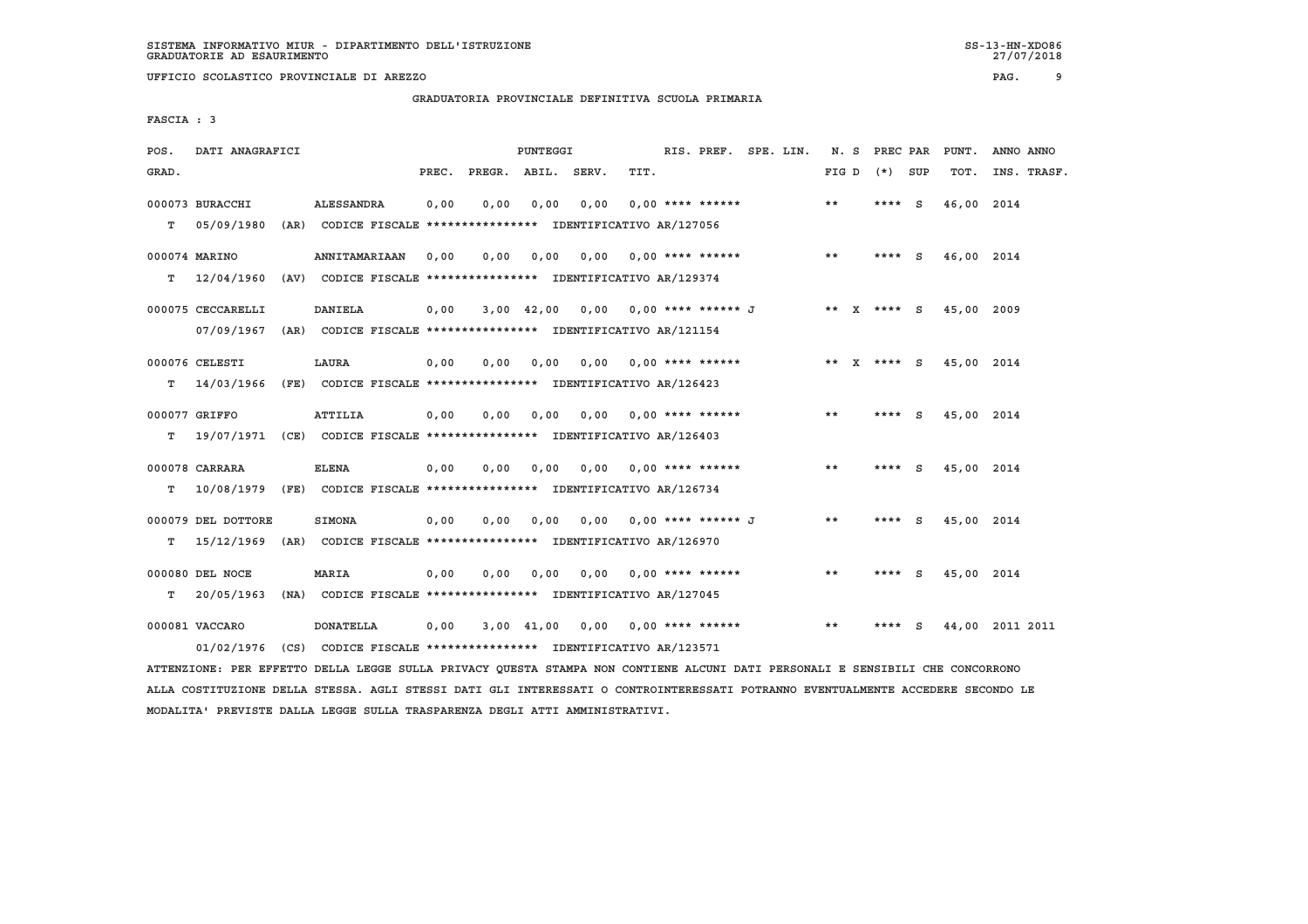**UFFICIO SCOLASTICO PROVINCIALE DI AREZZO PAG. 9**

 **GRADUATORIA PROVINCIALE DEFINITIVA SCUOLA PRIMARIA**

 **FASCIA : 3**

| POS.  | DATI ANAGRAFICI    |                                                                         |       |                    | PUNTEGGI       |      |                           | RIS. PREF. SPE. LIN. | N.S   | PREC PAR        |     | PUNT.      | ANNO ANNO       |
|-------|--------------------|-------------------------------------------------------------------------|-------|--------------------|----------------|------|---------------------------|----------------------|-------|-----------------|-----|------------|-----------------|
| GRAD. |                    |                                                                         | PREC. | PREGR. ABIL. SERV. |                |      | TIT.                      |                      | FIG D | $(*)$           | SUP | TOT.       | INS. TRASF.     |
|       | 000073 BURACCHI    | <b>ALESSANDRA</b>                                                       | 0,00  | 0,00               | 0,00           | 0,00 | $0.00$ **** ******        |                      | **    | **** S          |     | 46,00 2014 |                 |
| т     | 05/09/1980         | (AR) CODICE FISCALE **************** IDENTIFICATIVO AR/127056           |       |                    |                |      |                           |                      |       |                 |     |            |                 |
|       | 000074 MARINO      | <b>ANNITAMARIAAN</b>                                                    | 0,00  | 0,00               | 0,00           | 0.00 | 0,00 **** ******          |                      | $* *$ | **** S          |     | 46,00 2014 |                 |
| т     | 12/04/1960         | (AV) CODICE FISCALE **************** IDENTIFICATIVO AR/129374           |       |                    |                |      |                           |                      |       |                 |     |            |                 |
|       | 000075 CECCARELLI  | <b>DANIELA</b>                                                          | 0,00  |                    | $3,00$ 42,00   | 0,00 |                           | $0.00$ **** ****** J |       | ** $X$ **** $S$ |     | 45,00 2009 |                 |
|       |                    | 07/09/1967 (AR) CODICE FISCALE *************** IDENTIFICATIVO AR/121154 |       |                    |                |      |                           |                      |       |                 |     |            |                 |
|       | 000076 CELESTI     | LAURA                                                                   | 0,00  | 0,00               | 0,00           | 0,00 | $0.00$ **** ******        |                      |       | ** $X$ **** $S$ |     | 45,00 2014 |                 |
| т     | 14/03/1966         | (FE) CODICE FISCALE **************** IDENTIFICATIVO AR/126423           |       |                    |                |      |                           |                      |       |                 |     |            |                 |
|       | 000077 GRIFFO      | <b>ATTILIA</b>                                                          | 0,00  | 0,00               | 0,00           | 0,00 | $0.00$ **** ******        |                      | **    | **** S          |     | 45,00 2014 |                 |
| т     |                    | 19/07/1971 (CE) CODICE FISCALE *************** IDENTIFICATIVO AR/126403 |       |                    |                |      |                           |                      |       |                 |     |            |                 |
|       | 000078 CARRARA     | <b>ELENA</b>                                                            | 0,00  | 0,00               | 0,00           |      | $0,00$ $0,00$ **** ****** |                      | $* *$ | **** S          |     | 45,00 2014 |                 |
| т     |                    | 10/08/1979 (FE) CODICE FISCALE *************** IDENTIFICATIVO AR/126734 |       |                    |                |      |                           |                      |       |                 |     |            |                 |
|       | 000079 DEL DOTTORE | <b>SIMONA</b>                                                           | 0,00  | 0.00               | 0.00           | 0.00 | 0,00 **** ****** J        |                      | **    | **** S          |     | 45,00 2014 |                 |
| т     | 15/12/1969         | (AR) CODICE FISCALE **************** IDENTIFICATIVO AR/126970           |       |                    |                |      |                           |                      |       |                 |     |            |                 |
|       | 000080 DEL NOCE    | <b>MARIA</b>                                                            | 0,00  | 0,00               | 0,00           | 0,00 | $0.00$ **** ******        |                      | $* *$ | **** $S$        |     | 45,00 2014 |                 |
| т     | 20/05/1963         | (NA) CODICE FISCALE **************** IDENTIFICATIVO AR/127045           |       |                    |                |      |                           |                      |       |                 |     |            |                 |
|       | 000081 VACCARO     | <b>DONATELLA</b>                                                        | 0,00  |                    | $3,00$ $41,00$ | 0.00 | $0.00$ **** ******        |                      | $* *$ | ****            | S   |            | 44,00 2011 2011 |
|       | 01/02/1976         | (CS) CODICE FISCALE **************** IDENTIFICATIVO AR/123571           |       |                    |                |      |                           |                      |       |                 |     |            |                 |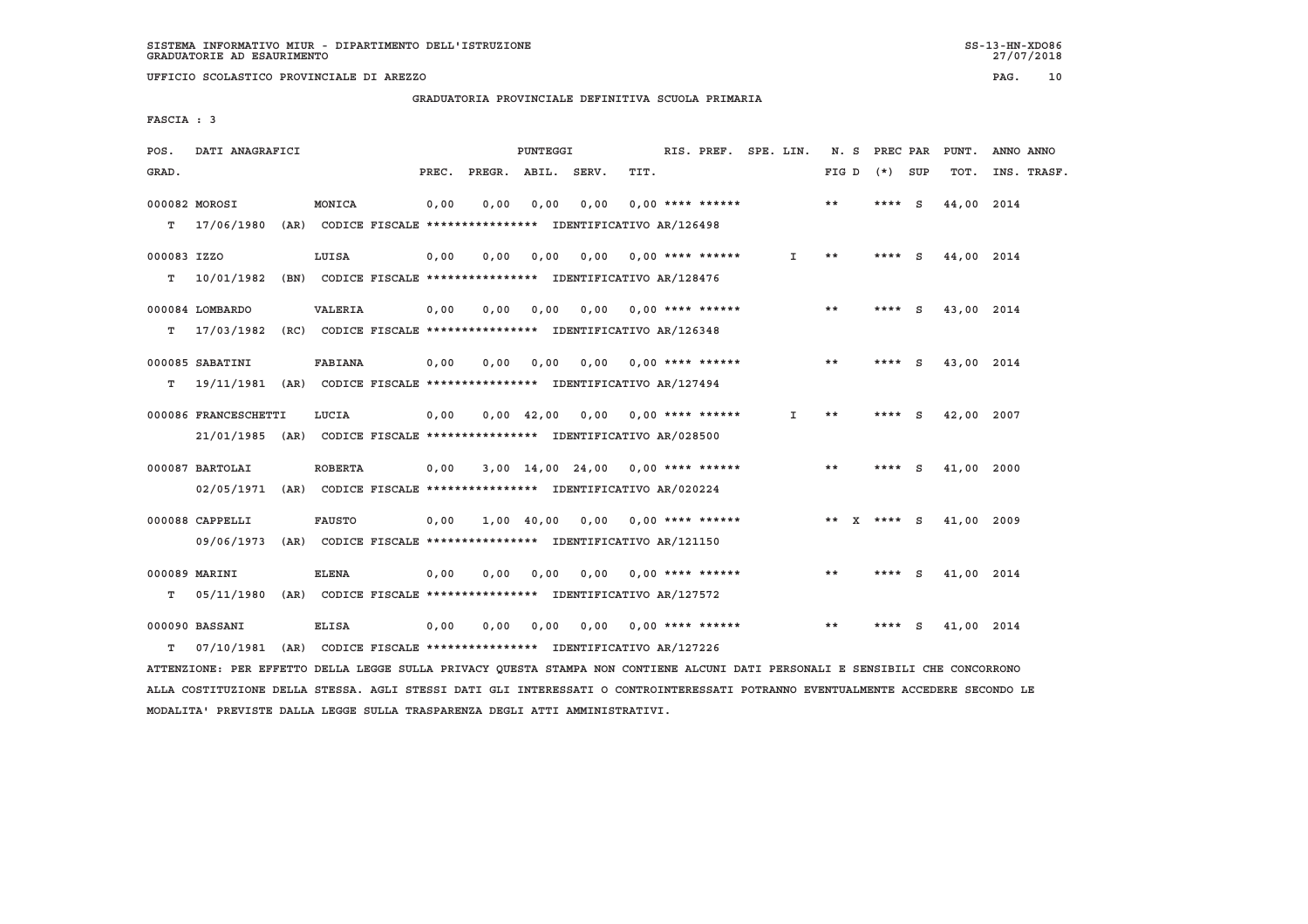**UFFICIO SCOLASTICO PROVINCIALE DI AREZZO PAG. 10**

 **GRADUATORIA PROVINCIALE DEFINITIVA SCUOLA PRIMARIA**

 **FASCIA : 3**

| POS.        | DATI ANAGRAFICI                                                          |                |       |                    | PUNTEGGI           |                                                               |      | RIS. PREF. SPE. LIN.      |              |       | N. S PREC PAR |     | PUNT.      | ANNO ANNO   |
|-------------|--------------------------------------------------------------------------|----------------|-------|--------------------|--------------------|---------------------------------------------------------------|------|---------------------------|--------------|-------|---------------|-----|------------|-------------|
| GRAD.       |                                                                          |                | PREC. | PREGR. ABIL. SERV. |                    |                                                               | TIT. |                           |              | FIG D | (*) SUP       |     | TOT.       | INS. TRASF. |
|             | 000082 MOROSI                                                            | MONICA         | 0,00  | 0.00               | 0.00               | 0.00                                                          |      | $0.00$ **** ******        |              | **    | **** $S$      |     | 44,00 2014 |             |
| T.          | 17/06/1980 (AR) CODICE FISCALE **************** IDENTIFICATIVO AR/126498 |                |       |                    |                    |                                                               |      |                           |              |       |               |     |            |             |
| 000083 IZZO |                                                                          | LUISA          | 0,00  | 0,00               | 0,00               | 0.00                                                          |      | $0.00$ **** ******        | $\mathbf{I}$ | $* *$ | **** S        |     | 44,00 2014 |             |
| т           | 10/01/1982 (BN) CODICE FISCALE *************** IDENTIFICATIVO AR/128476  |                |       |                    |                    |                                                               |      |                           |              |       |               |     |            |             |
|             | 000084 LOMBARDO                                                          | <b>VALERIA</b> | 0.00  | 0.00               | 0,00               |                                                               |      | $0.00$ $0.00$ **** ****** |              | **    | ****          | - S | 43,00 2014 |             |
| т           | 17/03/1982 (RC) CODICE FISCALE **************** IDENTIFICATIVO AR/126348 |                |       |                    |                    |                                                               |      |                           |              |       |               |     |            |             |
|             | 000085 SABATINI                                                          | <b>FABIANA</b> | 0,00  | 0.00               | 0.00               | 0.00                                                          |      | $0.00$ **** ******        |              | **    | **** S        |     | 43,00 2014 |             |
| т           | 19/11/1981 (AR) CODICE FISCALE **************** IDENTIFICATIVO AR/127494 |                |       |                    |                    |                                                               |      |                           |              |       |               |     |            |             |
|             | 000086 FRANCESCHETTI                                                     | LUCIA          | 0.00  |                    | $0.00 \quad 42.00$ | 0.00                                                          |      | 0,00 **** ******          | Ι.           | $* *$ | $***$ S       |     | 42,00 2007 |             |
|             | 21/01/1985 (AR) CODICE FISCALE *************** IDENTIFICATIVO AR/028500  |                |       |                    |                    |                                                               |      |                           |              |       |               |     |            |             |
|             | 000087 BARTOLAI                                                          | <b>ROBERTA</b> | 0,00  |                    |                    | 3,00 14,00 24,00                                              |      | $0.00$ **** ******        |              | $* *$ | ****          | - S | 41,00 2000 |             |
|             | 02/05/1971                                                               |                |       |                    |                    | (AR) CODICE FISCALE **************** IDENTIFICATIVO AR/020224 |      |                           |              |       |               |     |            |             |
|             | 000088 CAPPELLI                                                          | <b>FAUSTO</b>  | 0,00  |                    | 1,00 40,00         | 0,00                                                          |      | $0.00$ **** ******        |              |       | ** X **** S   |     | 41,00 2009 |             |
|             | 09/06/1973                                                               |                |       |                    |                    | (AR) CODICE FISCALE **************** IDENTIFICATIVO AR/121150 |      |                           |              |       |               |     |            |             |
|             | 000089 MARINI                                                            | <b>ELENA</b>   | 0,00  | 0.00               | 0,00               |                                                               |      | $0.00$ $0.00$ **** ****** |              | $* *$ | ****          | - S | 41,00 2014 |             |
| т           | 05/11/1980 (AR) CODICE FISCALE *************** IDENTIFICATIVO AR/127572  |                |       |                    |                    |                                                               |      |                           |              |       |               |     |            |             |
|             | 000090 BASSANI                                                           | <b>ELISA</b>   | 0,00  | 0,00               | 0,00               | 0,00                                                          |      | $0.00$ **** ******        |              | $* *$ |               | s   | 41,00 2014 |             |
| т           | 07/10/1981 (AR) CODICE FISCALE *************** IDENTIFICATIVO AR/127226  |                |       |                    |                    |                                                               |      |                           |              |       |               |     |            |             |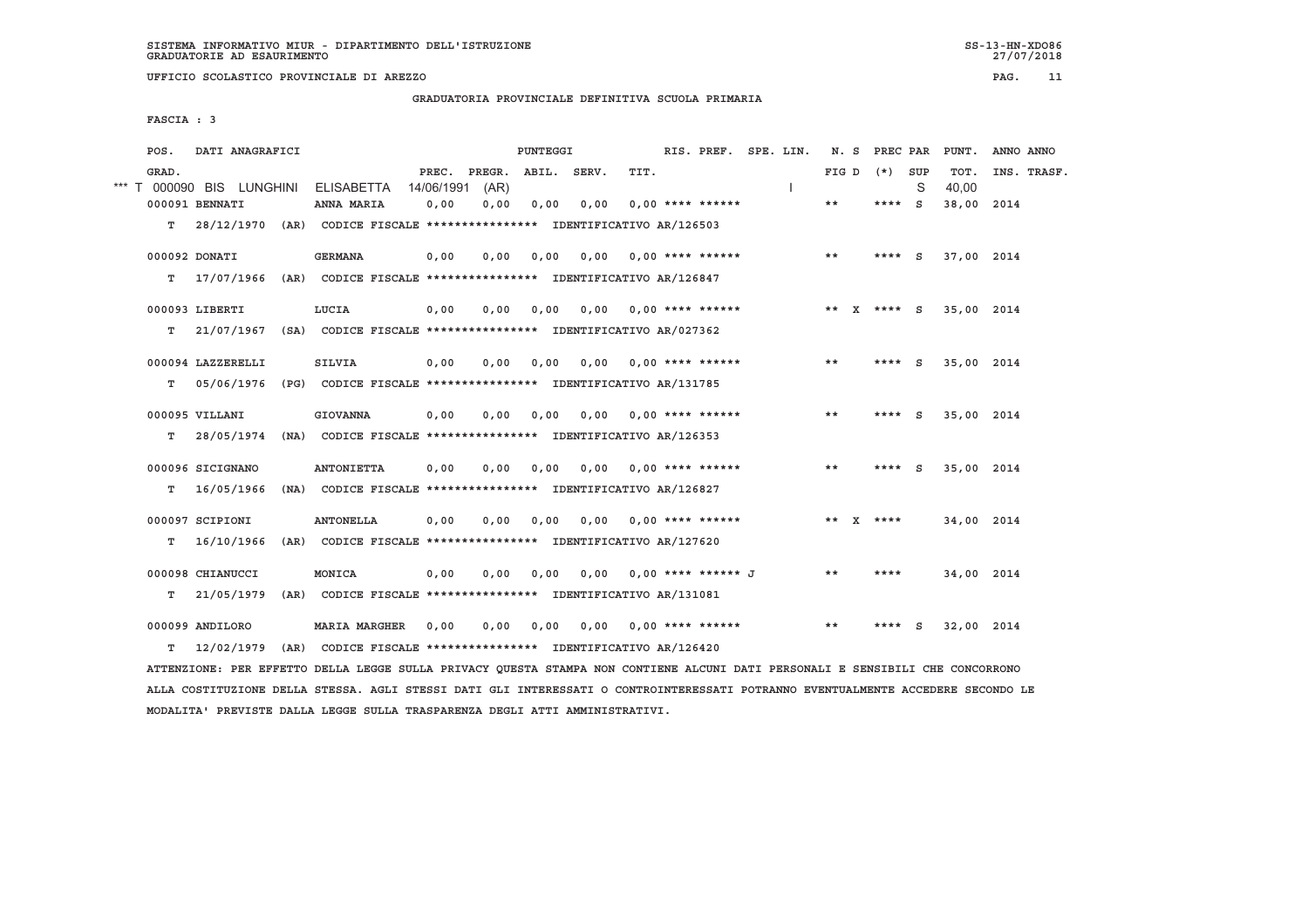**UFFICIO SCOLASTICO PROVINCIALE DI AREZZO PAG. 11**

 **GRADUATORIA PROVINCIALE DEFINITIVA SCUOLA PRIMARIA**

 **FASCIA : 3**

| POS.  | DATI ANAGRAFICI           |                                                                         |                     |                | PUNTEGGI    |      |                             | RIS. PREF. | SPE. LIN. | N. S  | PREC PAR    |          | PUNT.         | ANNO ANNO |             |
|-------|---------------------------|-------------------------------------------------------------------------|---------------------|----------------|-------------|------|-----------------------------|------------|-----------|-------|-------------|----------|---------------|-----------|-------------|
| GRAD. | *** T 000090 BIS LUNGHINI | <b>ELISABETTA</b>                                                       | PREC.<br>14/06/1991 | PREGR.<br>(AR) | ABIL. SERV. |      | TIT.                        |            |           | FIG D | $(*)$       | SUP<br>S | TOT.<br>40.00 |           | INS. TRASF. |
|       | 000091 BENNATI            | ANNA MARIA                                                              | 0,00                | 0,00           | 0,00        | 0,00 | $0.00$ **** ******          |            |           | $* *$ | $***$ S     |          | 38,00         | 2014      |             |
| T.    |                           | 28/12/1970 (AR) CODICE FISCALE *************** IDENTIFICATIVO AR/126503 |                     |                |             |      |                             |            |           |       |             |          |               |           |             |
|       | 000092 DONATI             | <b>GERMANA</b>                                                          | 0,00                | 0,00           | 0,00        | 0.00 | 0,00 **** ******            |            |           | $* *$ | $***$ S     |          | 37,00 2014    |           |             |
| т     | 17/07/1966                | (AR) CODICE FISCALE **************** IDENTIFICATIVO AR/126847           |                     |                |             |      |                             |            |           |       |             |          |               |           |             |
|       | 000093 LIBERTI            | LUCIA                                                                   | 0,00                | 0,00           | 0,00        | 0,00 | $0.00$ **** ******          |            |           |       | ** X **** S |          | 35,00 2014    |           |             |
| т     | 21/07/1967                | (SA) CODICE FISCALE **************** IDENTIFICATIVO AR/027362           |                     |                |             |      |                             |            |           |       |             |          |               |           |             |
|       | 000094 LAZZERELLI         | <b>SILVIA</b>                                                           | 0.00                | 0.00           | 0.00        | 0.00 | 0,00 **** ******            |            |           | **    | ****        | - S      | 35,00 2014    |           |             |
| т     | 05/06/1976                | (PG) CODICE FISCALE **************** IDENTIFICATIVO AR/131785           |                     |                |             |      |                             |            |           |       |             |          |               |           |             |
|       | 000095 VILLANI            | <b>GIOVANNA</b>                                                         | 0,00                | 0,00           | 0,00        | 0,00 | 0,00 **** ******            |            |           | **    | ****        | S.       | 35,00 2014    |           |             |
| т     | 28/05/1974                | (NA) CODICE FISCALE **************** IDENTIFICATIVO AR/126353           |                     |                |             |      |                             |            |           |       |             |          |               |           |             |
|       | 000096 SICIGNANO          | <b>ANTONIETTA</b>                                                       | 0,00                | 0,00           | 0.00        | 0,00 | $0,00$ **** ******          |            |           | $* *$ | ****        | S.       | 35,00 2014    |           |             |
| т     | 16/05/1966                | (NA) CODICE FISCALE **************** IDENTIFICATIVO AR/126827           |                     |                |             |      |                             |            |           |       |             |          |               |           |             |
|       | 000097 SCIPIONI           | <b>ANTONELLA</b>                                                        | 0.00                | 0.00           | 0.00        | 0,00 | 0,00 **** ******            |            |           |       | ** X ****   |          | 34,00 2014    |           |             |
| т     | 16/10/1966                | (AR) CODICE FISCALE **************** IDENTIFICATIVO AR/127620           |                     |                |             |      |                             |            |           |       |             |          |               |           |             |
|       | 000098 CHIANUCCI          | MONICA                                                                  | 0.00                | 0.00           | 0,00        |      | $0.00$ $0.00$ **** ****** J |            |           | **    | ****        |          | 34,00 2014    |           |             |
| т     | 21/05/1979                | (AR) CODICE FISCALE **************** IDENTIFICATIVO AR/131081           |                     |                |             |      |                             |            |           |       |             |          |               |           |             |
|       | 000099 ANDILORO           | <b>MARIA MARGHER</b>                                                    | 0,00                | 0,00           | 0,00        | 0,00 | 0,00 **** ******            |            |           | $* *$ | ****        | S        | 32,00 2014    |           |             |
| т     | 12/02/1979                | (AR) CODICE FISCALE **************** IDENTIFICATIVO AR/126420           |                     |                |             |      |                             |            |           |       |             |          |               |           |             |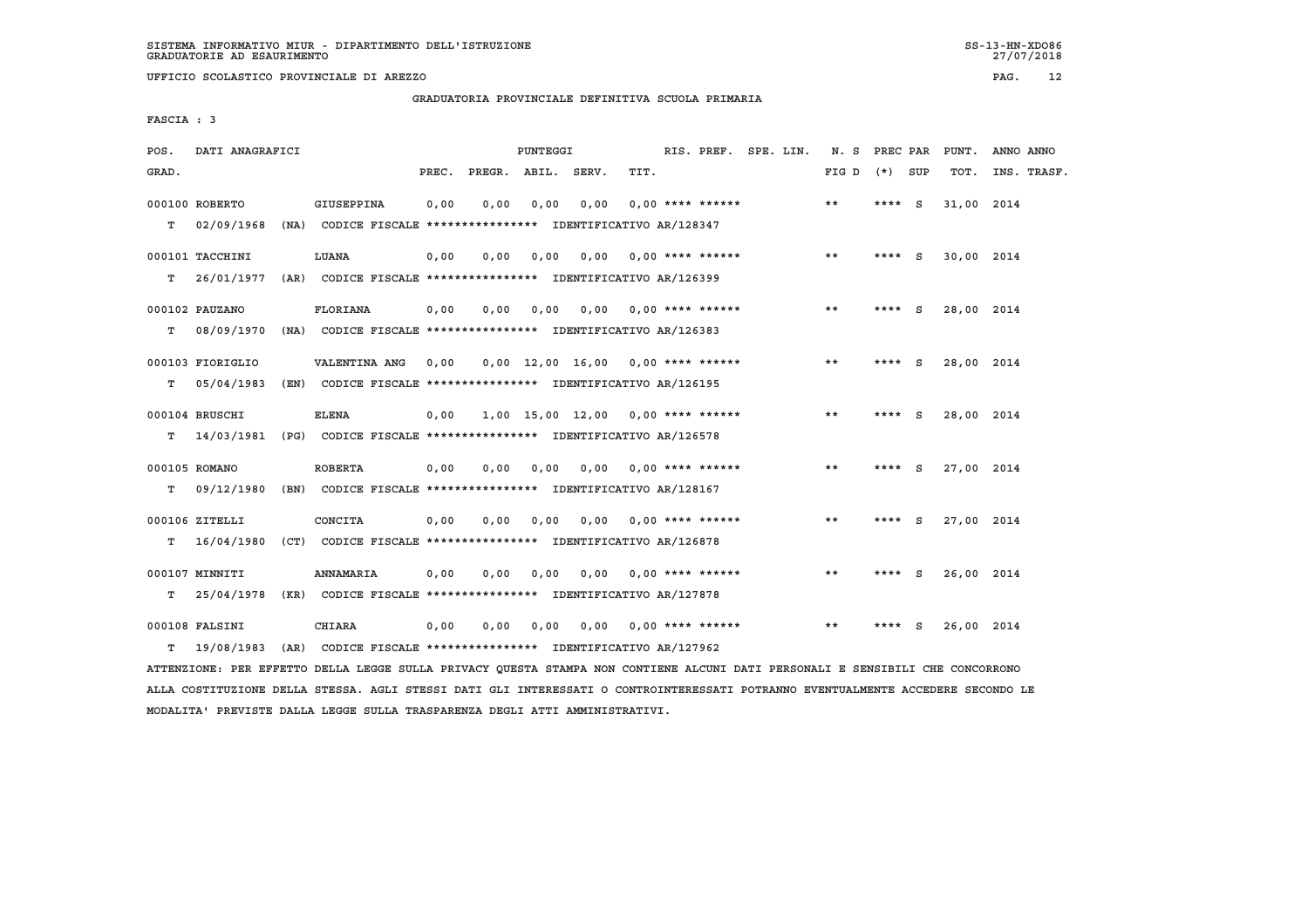**UFFICIO SCOLASTICO PROVINCIALE DI AREZZO PAG. 12**

 **GRADUATORIA PROVINCIALE DEFINITIVA SCUOLA PRIMARIA**

 **FASCIA : 3**

| POS.  | DATI ANAGRAFICI  |                                                                          |       |              | PUNTEGGI |       |                                           | RIS. PREF. SPE. LIN. | N.S   | PREC PAR |              | PUNT.      | ANNO ANNO   |
|-------|------------------|--------------------------------------------------------------------------|-------|--------------|----------|-------|-------------------------------------------|----------------------|-------|----------|--------------|------------|-------------|
| GRAD. |                  |                                                                          | PREC. | PREGR. ABIL. |          | SERV. | TIT.                                      |                      | FIG D | $(*)$    | SUP          | TOT.       | INS. TRASF. |
|       | 000100 ROBERTO   | GIUSEPPINA                                                               | 0.00  | 0.00         | 0,00     | 0.00  | $0.00$ **** ******                        |                      | $***$ | ****     | - S          | 31,00 2014 |             |
| т     | 02/09/1968       | (NA) CODICE FISCALE **************** IDENTIFICATIVO AR/128347            |       |              |          |       |                                           |                      |       |          |              |            |             |
|       | 000101 TACCHINI  | LUANA                                                                    | 0,00  | 0,00         | 0,00     |       | $0.00$ $0.00$ **** ******                 |                      | $***$ | **** $S$ |              | 30,00 2014 |             |
| т     | 26/01/1977       | (AR) CODICE FISCALE **************** IDENTIFICATIVO AR/126399            |       |              |          |       |                                           |                      |       |          |              |            |             |
|       | 000102 PAUZANO   | <b>FLORIANA</b>                                                          | 0,00  | 0.00         | 0,00     | 0.00  | $0.00$ **** ******                        |                      | **    | **** $S$ |              | 28,00 2014 |             |
| т     | 08/09/1970       | (NA) CODICE FISCALE **************** IDENTIFICATIVO AR/126383            |       |              |          |       |                                           |                      |       |          |              |            |             |
|       | 000103 FIORIGLIO | VALENTINA ANG                                                            | 0.00  |              |          |       | $0.00$ 12.00 16.00 0.00 **** ******       |                      | $* *$ | ****     | - S          | 28,00 2014 |             |
| т     | 05/04/1983       | (EN) CODICE FISCALE **************** IDENTIFICATIVO AR/126195            |       |              |          |       |                                           |                      |       |          |              |            |             |
|       | 000104 BRUSCHI   | <b>ELENA</b>                                                             | 0.00  |              |          |       | $1,00$ $15,00$ $12,00$ $0,00$ **** ****** |                      | **    | **** S   |              | 28,00 2014 |             |
| т     |                  | 14/03/1981 (PG) CODICE FISCALE **************** IDENTIFICATIVO AR/126578 |       |              |          |       |                                           |                      |       |          |              |            |             |
|       | 000105 ROMANO    | <b>ROBERTA</b>                                                           | 0,00  | 0,00         | 0,00     | 0,00  | $0.00$ **** ******                        |                      | $* *$ | $***$ S  |              | 27,00 2014 |             |
| т     |                  | 09/12/1980 (BN) CODICE FISCALE *************** IDENTIFICATIVO AR/128167  |       |              |          |       |                                           |                      |       |          |              |            |             |
|       |                  |                                                                          |       |              |          |       |                                           |                      |       |          |              |            |             |
|       | 000106 ZITELLI   | CONCITA                                                                  | 0,00  | 0.00         | 0.00     | 0.00  | $0.00$ **** ******                        |                      | $* *$ | ****     | $\mathbf{s}$ | 27,00 2014 |             |
| т     | 16/04/1980       | (CT) CODICE FISCALE **************** IDENTIFICATIVO AR/126878            |       |              |          |       |                                           |                      |       |          |              |            |             |
|       | 000107 MINNITI   | <b>ANNAMARIA</b>                                                         | 0,00  | 0.00         | 0.00     | 0.00  | $0.00$ **** ******                        |                      | **    | **** $S$ |              | 26,00 2014 |             |
| т     | 25/04/1978       | (KR) CODICE FISCALE **************** IDENTIFICATIVO AR/127878            |       |              |          |       |                                           |                      |       |          |              |            |             |
|       | 000108 FALSINI   | <b>CHIARA</b>                                                            | 0,00  | 0.00         | 0.00     | 0.00  | $0.00$ **** ******                        |                      | $* *$ | ****     | S            | 26,00 2014 |             |
| т     | 19/08/1983       | (AR) CODICE FISCALE **************** IDENTIFICATIVO AR/127962            |       |              |          |       |                                           |                      |       |          |              |            |             |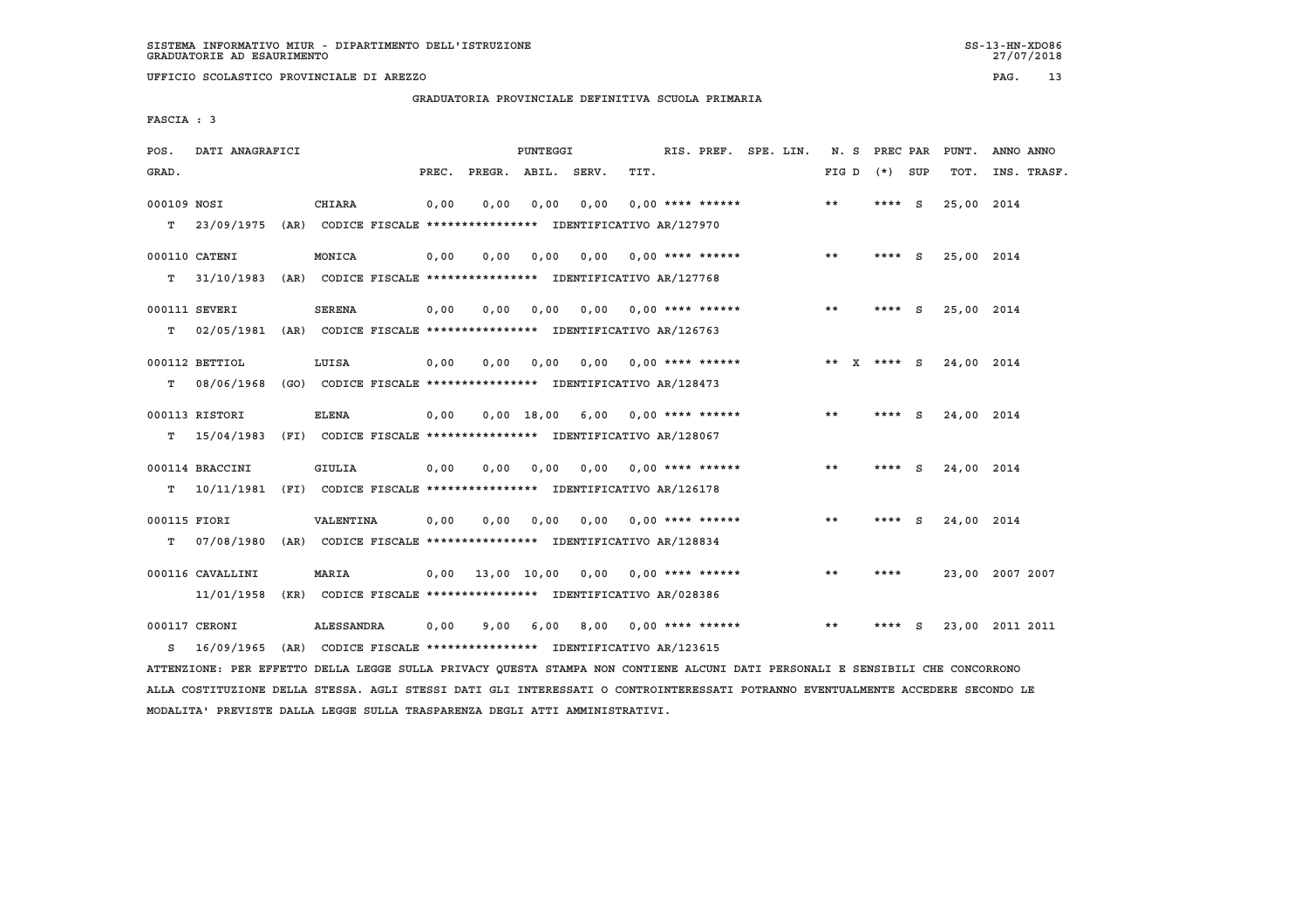**UFFICIO SCOLASTICO PROVINCIALE DI AREZZO PAG. 13**

 **GRADUATORIA PROVINCIALE DEFINITIVA SCUOLA PRIMARIA**

 **FASCIA : 3**

|            |                                                                                                                                                                                       |                 |            |      |                                                              |      |                                                                                      |      |                                                                                                                                                                                                                                                                                                                                                                                                                                                                                                                                                                                                                                                                         |                                                                                                                                                                                                                                                                |                                           | PUNT.                                                                                                               | ANNO ANNO                                                                                                                                                                                                                                          |
|------------|---------------------------------------------------------------------------------------------------------------------------------------------------------------------------------------|-----------------|------------|------|--------------------------------------------------------------|------|--------------------------------------------------------------------------------------|------|-------------------------------------------------------------------------------------------------------------------------------------------------------------------------------------------------------------------------------------------------------------------------------------------------------------------------------------------------------------------------------------------------------------------------------------------------------------------------------------------------------------------------------------------------------------------------------------------------------------------------------------------------------------------------|----------------------------------------------------------------------------------------------------------------------------------------------------------------------------------------------------------------------------------------------------------------|-------------------------------------------|---------------------------------------------------------------------------------------------------------------------|----------------------------------------------------------------------------------------------------------------------------------------------------------------------------------------------------------------------------------------------------|
|            |                                                                                                                                                                                       |                 |            |      |                                                              |      | TIT.                                                                                 |      |                                                                                                                                                                                                                                                                                                                                                                                                                                                                                                                                                                                                                                                                         |                                                                                                                                                                                                                                                                |                                           | TOT.                                                                                                                | INS. TRASF.                                                                                                                                                                                                                                        |
|            |                                                                                                                                                                                       | <b>CHIARA</b>   |            | 0,00 |                                                              | 0,00 |                                                                                      |      |                                                                                                                                                                                                                                                                                                                                                                                                                                                                                                                                                                                                                                                                         | $* *$                                                                                                                                                                                                                                                          | ****                                      |                                                                                                                     |                                                                                                                                                                                                                                                    |
|            |                                                                                                                                                                                       |                 |            |      |                                                              |      |                                                                                      |      |                                                                                                                                                                                                                                                                                                                                                                                                                                                                                                                                                                                                                                                                         |                                                                                                                                                                                                                                                                |                                           |                                                                                                                     |                                                                                                                                                                                                                                                    |
|            |                                                                                                                                                                                       | MONICA          |            | 0,00 |                                                              |      |                                                                                      |      |                                                                                                                                                                                                                                                                                                                                                                                                                                                                                                                                                                                                                                                                         | $* *$                                                                                                                                                                                                                                                          |                                           |                                                                                                                     |                                                                                                                                                                                                                                                    |
|            |                                                                                                                                                                                       |                 |            |      |                                                              |      |                                                                                      |      |                                                                                                                                                                                                                                                                                                                                                                                                                                                                                                                                                                                                                                                                         |                                                                                                                                                                                                                                                                |                                           |                                                                                                                     |                                                                                                                                                                                                                                                    |
|            |                                                                                                                                                                                       | <b>SERENA</b>   |            | 0.00 |                                                              |      |                                                                                      |      |                                                                                                                                                                                                                                                                                                                                                                                                                                                                                                                                                                                                                                                                         | $* *$                                                                                                                                                                                                                                                          |                                           |                                                                                                                     |                                                                                                                                                                                                                                                    |
|            |                                                                                                                                                                                       |                 |            |      |                                                              |      |                                                                                      |      |                                                                                                                                                                                                                                                                                                                                                                                                                                                                                                                                                                                                                                                                         |                                                                                                                                                                                                                                                                |                                           |                                                                                                                     |                                                                                                                                                                                                                                                    |
|            |                                                                                                                                                                                       | LUISA           |            | 0,00 |                                                              |      |                                                                                      |      |                                                                                                                                                                                                                                                                                                                                                                                                                                                                                                                                                                                                                                                                         |                                                                                                                                                                                                                                                                |                                           |                                                                                                                     |                                                                                                                                                                                                                                                    |
|            |                                                                                                                                                                                       |                 |            |      |                                                              |      |                                                                                      |      |                                                                                                                                                                                                                                                                                                                                                                                                                                                                                                                                                                                                                                                                         |                                                                                                                                                                                                                                                                |                                           |                                                                                                                     |                                                                                                                                                                                                                                                    |
|            |                                                                                                                                                                                       | <b>ELENA</b>    |            |      |                                                              |      |                                                                                      |      |                                                                                                                                                                                                                                                                                                                                                                                                                                                                                                                                                                                                                                                                         | $* *$                                                                                                                                                                                                                                                          |                                           |                                                                                                                     |                                                                                                                                                                                                                                                    |
|            |                                                                                                                                                                                       |                 |            |      |                                                              |      |                                                                                      |      |                                                                                                                                                                                                                                                                                                                                                                                                                                                                                                                                                                                                                                                                         |                                                                                                                                                                                                                                                                |                                           |                                                                                                                     |                                                                                                                                                                                                                                                    |
|            |                                                                                                                                                                                       | GIULIA          |            | 0.00 |                                                              |      |                                                                                      |      |                                                                                                                                                                                                                                                                                                                                                                                                                                                                                                                                                                                                                                                                         | $* *$                                                                                                                                                                                                                                                          |                                           |                                                                                                                     |                                                                                                                                                                                                                                                    |
|            |                                                                                                                                                                                       |                 |            |      |                                                              |      |                                                                                      |      |                                                                                                                                                                                                                                                                                                                                                                                                                                                                                                                                                                                                                                                                         |                                                                                                                                                                                                                                                                |                                           |                                                                                                                     |                                                                                                                                                                                                                                                    |
|            |                                                                                                                                                                                       | VALENTINA       |            | 0,00 |                                                              |      |                                                                                      |      |                                                                                                                                                                                                                                                                                                                                                                                                                                                                                                                                                                                                                                                                         | $* *$                                                                                                                                                                                                                                                          |                                           |                                                                                                                     |                                                                                                                                                                                                                                                    |
|            |                                                                                                                                                                                       |                 |            |      |                                                              |      |                                                                                      |      |                                                                                                                                                                                                                                                                                                                                                                                                                                                                                                                                                                                                                                                                         |                                                                                                                                                                                                                                                                |                                           |                                                                                                                     |                                                                                                                                                                                                                                                    |
|            |                                                                                                                                                                                       | <b>MARIA</b>    |            |      |                                                              |      |                                                                                      |      |                                                                                                                                                                                                                                                                                                                                                                                                                                                                                                                                                                                                                                                                         | $* *$                                                                                                                                                                                                                                                          | ****                                      |                                                                                                                     | 23,00 2007 2007                                                                                                                                                                                                                                    |
| 11/01/1958 |                                                                                                                                                                                       |                 |            |      |                                                              |      |                                                                                      |      |                                                                                                                                                                                                                                                                                                                                                                                                                                                                                                                                                                                                                                                                         |                                                                                                                                                                                                                                                                |                                           |                                                                                                                     |                                                                                                                                                                                                                                                    |
|            |                                                                                                                                                                                       |                 |            |      |                                                              |      |                                                                                      |      |                                                                                                                                                                                                                                                                                                                                                                                                                                                                                                                                                                                                                                                                         |                                                                                                                                                                                                                                                                |                                           |                                                                                                                     |                                                                                                                                                                                                                                                    |
|            |                                                                                                                                                                                       |                 |            |      |                                                              |      |                                                                                      |      |                                                                                                                                                                                                                                                                                                                                                                                                                                                                                                                                                                                                                                                                         |                                                                                                                                                                                                                                                                |                                           |                                                                                                                     |                                                                                                                                                                                                                                                    |
|            |                                                                                                                                                                                       |                 |            |      |                                                              |      |                                                                                      |      |                                                                                                                                                                                                                                                                                                                                                                                                                                                                                                                                                                                                                                                                         |                                                                                                                                                                                                                                                                |                                           |                                                                                                                     |                                                                                                                                                                                                                                                    |
| s          | 000109 NOSI<br>23/09/1975<br>000110 CATENI<br>000111 SEVERI<br>000112 BETTIOL<br>000113 RISTORI<br>000114 BRACCINI<br>000115 FIORI<br>000116 CAVALLINI<br>000117 CERONI<br>16/09/1965 | DATI ANAGRAFICI | ALESSANDRA |      | 0,00<br>0,00<br>0,00<br>0,00<br>0,00<br>0,00<br>0,00<br>0,00 | 9,00 | PUNTEGGI<br>PREC. PREGR. ABIL. SERV.<br>0,00<br>0,00<br>0.00<br>0.00<br>0,00<br>6,00 | 0,00 | (AR) CODICE FISCALE **************** IDENTIFICATIVO AR/127970<br>31/10/1983 (AR) CODICE FISCALE **************** IDENTIFICATIVO AR/127768<br>02/05/1981 (AR) CODICE FISCALE *************** IDENTIFICATIVO AR/126763<br>08/06/1968 (GO) CODICE FISCALE *************** IDENTIFICATIVO AR/128473<br>T 15/04/1983 (FI) CODICE FISCALE **************** IDENTIFICATIVO AR/128067<br>10/11/1981 (FI) CODICE FISCALE **************** IDENTIFICATIVO AR/126178<br>07/08/1980 (AR) CODICE FISCALE **************** IDENTIFICATIVO AR/128834<br>(KR) CODICE FISCALE **************** IDENTIFICATIVO AR/028386<br>(AR) CODICE FISCALE **************** IDENTIFICATIVO AR/123615 | RIS. PREF. SPE. LIN.<br>$0.00$ **** ******<br>$0,00$ $0,00$ **** ******<br>$0.00$ $0.00$ **** ******<br>$0,00$ 18,00 6,00 0,00 **** ******<br>0,00 0,00 **** ******<br>$0.00$ **** ******<br>$0,00$ 13,00 10,00 0,00 0,00 **** ******<br>8,00 0,00 **** ****** | $0,00$ $0,00$ $0,00$ **** ******<br>$* *$ | N. S PREC PAR<br>FIG D $(*)$ SUP<br>- S<br>**** S<br>$***$ S<br>** X **** S<br>**** S<br>**** S<br>**** S<br>**** S | 25,00 2014<br>25,00 2014<br>25,00 2014<br>24,00 2014<br>24,00 2014<br>24,00 2014<br>24,00 2014<br>23,00 2011 2011<br>ATTENZIONE: PER EFFETTO DELLA LEGGE SULLA PRIVACY QUESTA STAMPA NON CONTIENE ALCUNI DATI PERSONALI E SENSIBILI CHE CONCORRONO |

 **ALLA COSTITUZIONE DELLA STESSA. AGLI STESSI DATI GLI INTERESSATI O CONTROINTERESSATI POTRANNO EVENTUALMENTE ACCEDERE SECONDO LE MODALITA' PREVISTE DALLA LEGGE SULLA TRASPARENZA DEGLI ATTI AMMINISTRATIVI.**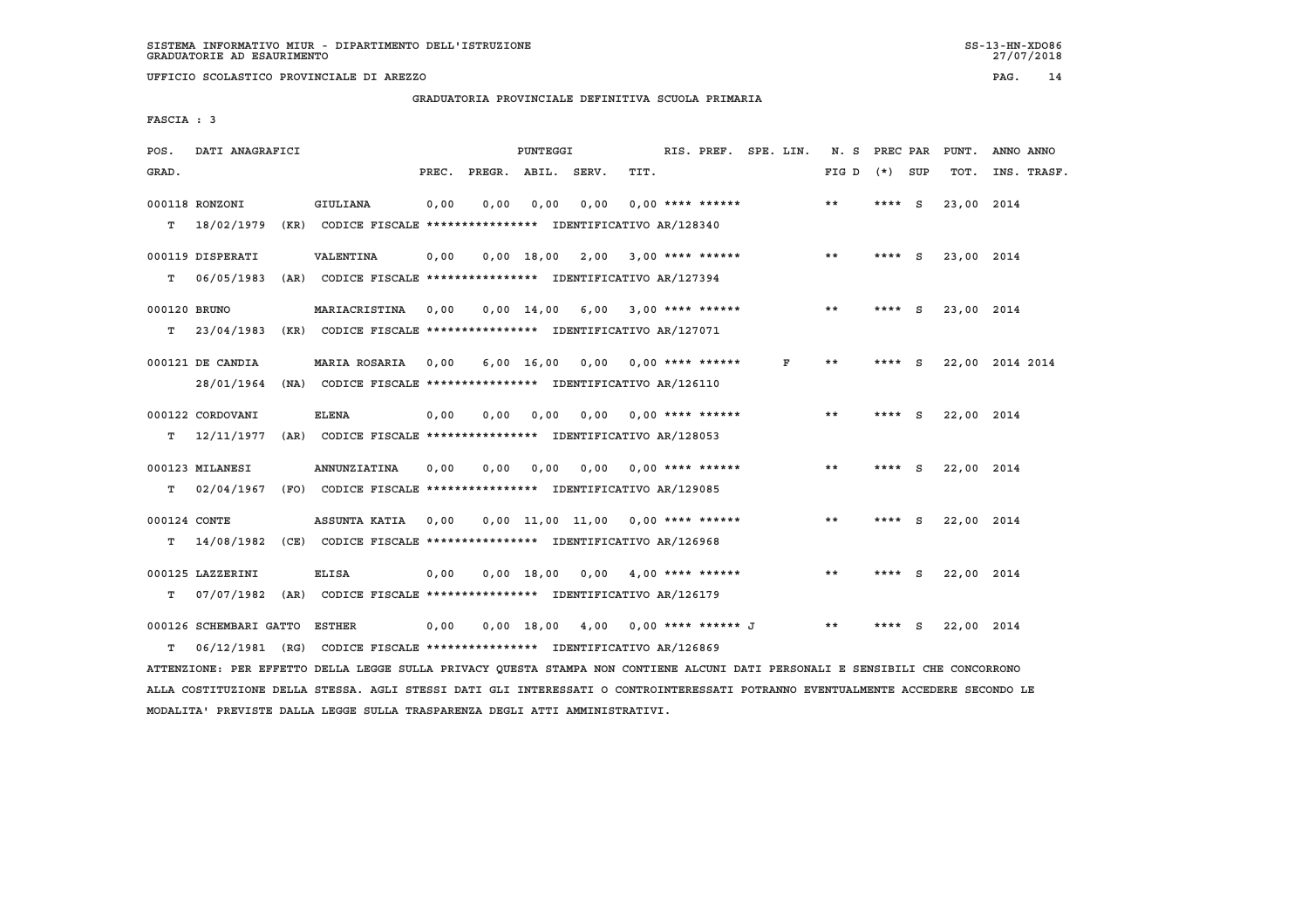**UFFICIO SCOLASTICO PROVINCIALE DI AREZZO PAG. 14**

 **GRADUATORIA PROVINCIALE DEFINITIVA SCUOLA PRIMARIA**

 **FASCIA : 3**

| POS.         | DATI ANAGRAFICI                                                         |                                                               |       |              | PUNTEGGI |                                     |      | RIS. PREF. SPE. LIN.       |   | N. S PREC PAR |          |     | PUNT.      | ANNO ANNO       |
|--------------|-------------------------------------------------------------------------|---------------------------------------------------------------|-------|--------------|----------|-------------------------------------|------|----------------------------|---|---------------|----------|-----|------------|-----------------|
| GRAD.        |                                                                         |                                                               | PREC. |              |          | PREGR. ABIL. SERV.                  | TIT. |                            |   | FIG D         | $(*)$    | SUP | TOT.       | INS. TRASF.     |
|              | 000118 RONZONI                                                          | <b>GIULIANA</b>                                               | 0,00  | 0.00         | 0.00     | 0.00                                |      | $0.00$ **** ******         |   | $***$         | ****     | - S | 23,00 2014 |                 |
| т            | 18/02/1979                                                              | (KR) CODICE FISCALE **************** IDENTIFICATIVO AR/128340 |       |              |          |                                     |      |                            |   |               |          |     |            |                 |
|              | 000119 DISPERATI                                                        | <b>VALENTINA</b>                                              | 0,00  |              |          | $0,00$ 18,00 2,00 3,00 **** ******  |      |                            |   | $* *$         | **** $S$ |     | 23,00 2014 |                 |
| т            | 06/05/1983                                                              | (AR) CODICE FISCALE **************** IDENTIFICATIVO AR/127394 |       |              |          |                                     |      |                            |   |               |          |     |            |                 |
| 000120 BRUNO |                                                                         | MARIACRISTINA                                                 | 0.00  | $0.00$ 14.00 |          | 6,00 3,00 **** ******               |      |                            |   | **            | **** S   |     | 23,00 2014 |                 |
| T.           | 23/04/1983                                                              | (KR) CODICE FISCALE **************** IDENTIFICATIVO AR/127071 |       |              |          |                                     |      |                            |   |               |          |     |            |                 |
|              | 000121 DE CANDIA                                                        | MARIA ROSARIA                                                 | 0.00  |              |          | $6,00$ 16,00 0,00 0,00 **** ******  |      |                            | F | **            | ****     | - S |            | 22,00 2014 2014 |
|              | 28/01/1964                                                              | (NA) CODICE FISCALE **************** IDENTIFICATIVO AR/126110 |       |              |          |                                     |      |                            |   |               |          |     |            |                 |
|              | 000122 CORDOVANI                                                        | <b>ELENA</b>                                                  | 0,00  | 0.00         | 0,00     | 0.00                                |      | $0.00$ **** ******         |   | $***$         | **** S   |     | 22,00 2014 |                 |
| т            | 12/11/1977                                                              | (AR) CODICE FISCALE **************** IDENTIFICATIVO AR/128053 |       |              |          |                                     |      |                            |   |               |          |     |            |                 |
|              | 000123 MILANESI                                                         | <b>ANNUNZIATINA</b>                                           | 0.00  | 0.00         | 0,00     | 0.00                                |      | $0.00$ **** ******         |   | **            | **** S   |     | 22,00 2014 |                 |
| т            | 02/04/1967                                                              | (FO) CODICE FISCALE **************** IDENTIFICATIVO AR/129085 |       |              |          |                                     |      |                            |   |               |          |     |            |                 |
| 000124 CONTE |                                                                         | ASSUNTA KATIA                                                 | 0.00  |              |          | $0.00$ 11.00 11.00 0.00 **** ****** |      |                            |   | $***$         | ****     | - S | 22,00 2014 |                 |
| т            | 14/08/1982                                                              | (CE) CODICE FISCALE **************** IDENTIFICATIVO AR/126968 |       |              |          |                                     |      |                            |   |               |          |     |            |                 |
|              |                                                                         |                                                               |       |              |          |                                     |      |                            |   |               |          |     |            |                 |
|              | 000125 LAZZERINI                                                        | <b>ELISA</b>                                                  | 0,00  | 0.00 18.00   |          |                                     |      | $0.00 \t 4.00$ **** ****** |   | $***$         | **** $S$ |     | 22,00 2014 |                 |
| т            | 07/07/1982                                                              | (AR) CODICE FISCALE **************** IDENTIFICATIVO AR/126179 |       |              |          |                                     |      |                            |   |               |          |     |            |                 |
|              | 000126 SCHEMBARI GATTO                                                  | ESTHER                                                        | 0.00  | $0.00$ 18.00 |          |                                     |      | 4,00 0,00 **** ****** J    |   | $* *$         | ****     | - S | 22,00 2014 |                 |
| т            | 06/12/1981 (RG) CODICE FISCALE *************** IDENTIFICATIVO AR/126869 |                                                               |       |              |          |                                     |      |                            |   |               |          |     |            |                 |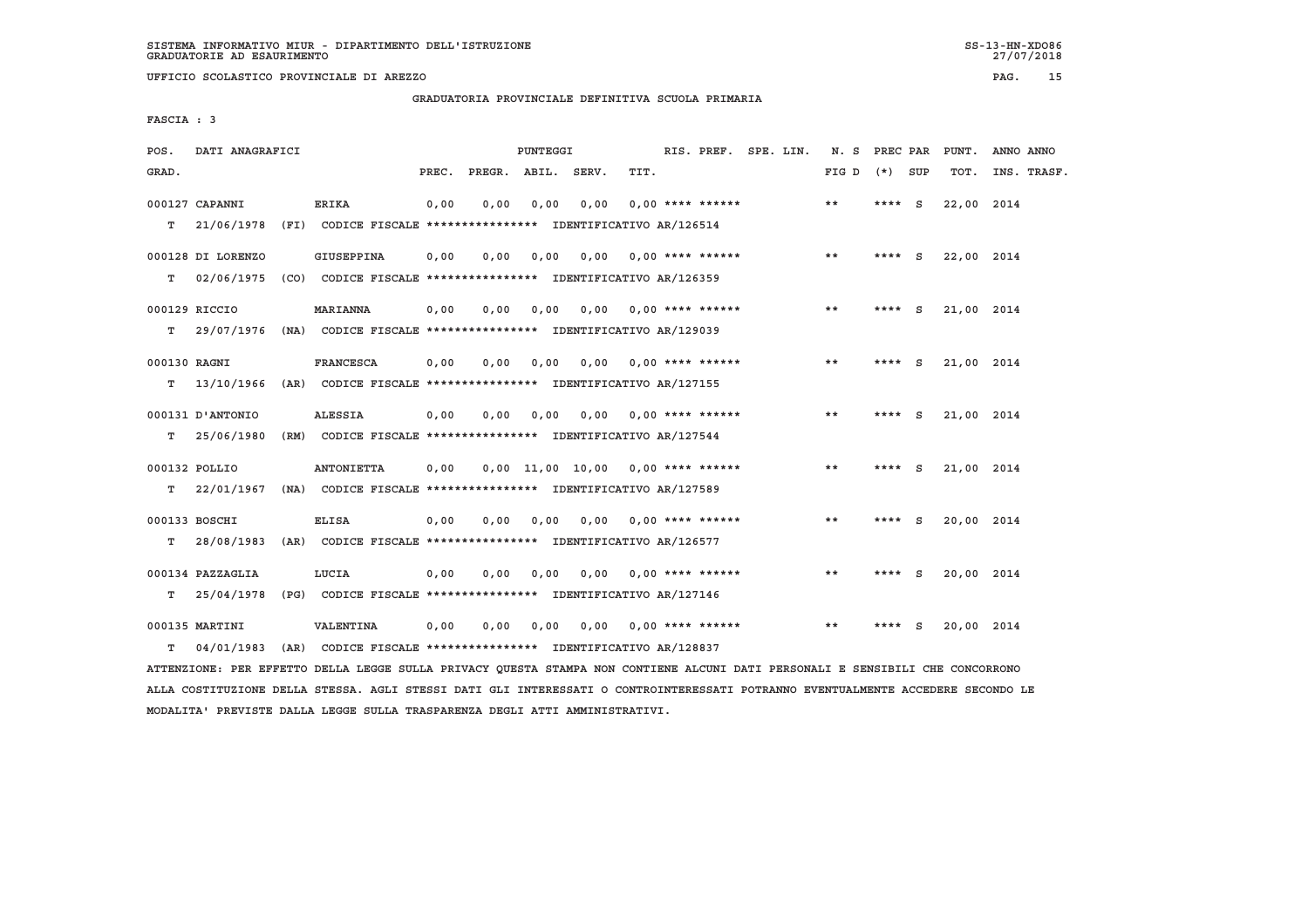**GRADUATORIA PROVINCIALE DEFINITIVA SCUOLA PRIMARIA**

 **FASCIA : 3**

| POS.         | DATI ANAGRAFICI   |                                                                          |       |              | PUNTEGGI |       |                                     | RIS. PREF. SPE. LIN. | N.S   | PREC PAR |          | PUNT.      | ANNO ANNO   |
|--------------|-------------------|--------------------------------------------------------------------------|-------|--------------|----------|-------|-------------------------------------|----------------------|-------|----------|----------|------------|-------------|
| GRAD.        |                   |                                                                          | PREC. | PREGR. ABIL. |          | SERV. | TIT.                                |                      | FIG D | $(*)$    | SUP      | TOT.       | INS. TRASF. |
|              | 000127 CAPANNI    | <b>ERIKA</b>                                                             | 0,00  | 0,00         | 0,00     | 0.00  | $0.00$ **** ******                  |                      | **    | ****     | - S      | 22,00 2014 |             |
| т            | 21/06/1978        | (FI) CODICE FISCALE **************** IDENTIFICATIVO AR/126514            |       |              |          |       |                                     |                      |       |          |          |            |             |
|              | 000128 DI LORENZO | GIUSEPPINA                                                               | 0,00  | 0,00         | 0,00     | 0.00  | $0.00$ **** ******                  |                      | $* *$ | **** S   |          | 22,00 2014 |             |
| т            | 02/06/1975        | (CO) CODICE FISCALE **************** IDENTIFICATIVO AR/126359            |       |              |          |       |                                     |                      |       |          |          |            |             |
|              | 000129 RICCIO     | <b>MARIANNA</b>                                                          | 0,00  | 0.00         | 0,00     | 0.00  | $0.00$ **** ******                  |                      | **    | ****     | - S      | 21,00 2014 |             |
| т            | 29/07/1976        | (NA) CODICE FISCALE **************** IDENTIFICATIVO AR/129039            |       |              |          |       |                                     |                      |       |          |          |            |             |
| 000130 RAGNI |                   | <b>FRANCESCA</b>                                                         | 0,00  | 0.00         | 0,00     |       | $0.00$ $0.00$ **** ******           |                      | **    | **** $S$ |          | 21,00 2014 |             |
| т            | 13/10/1966        | (AR) CODICE FISCALE **************** IDENTIFICATIVO AR/127155            |       |              |          |       |                                     |                      |       |          |          |            |             |
|              | 000131 D'ANTONIO  | <b>ALESSIA</b>                                                           | 0,00  | 0.00         | 0,00     | 0.00  | $0.00$ **** ******                  |                      | **    | ****     | <b>S</b> | 21,00 2014 |             |
| т            | 25/06/1980        | (RM) CODICE FISCALE **************** IDENTIFICATIVO AR/127544            |       |              |          |       |                                     |                      |       |          |          |            |             |
|              | 000132 POLLIO     | <b>ANTONIETTA</b>                                                        | 0,00  |              |          |       | $0.00$ 11.00 10.00 0.00 **** ****** |                      | $* *$ | ****     | - S      | 21,00 2014 |             |
| т            |                   | 22/01/1967 (NA) CODICE FISCALE **************** IDENTIFICATIVO AR/127589 |       |              |          |       |                                     |                      |       |          |          |            |             |
|              | 000133 BOSCHI     | <b>ELISA</b>                                                             | 0,00  | 0,00         | 0,00     | 0,00  | $0.00$ **** ******                  |                      | $* *$ | **** $S$ |          | 20,00 2014 |             |
| т            | 28/08/1983        | (AR) CODICE FISCALE **************** IDENTIFICATIVO AR/126577            |       |              |          |       |                                     |                      |       |          |          |            |             |
|              | 000134 PAZZAGLIA  | LUCIA                                                                    | 0,00  | 0,00         | 0,00     | 0.00  | $0.00$ **** ******                  |                      | $* *$ | ****     | - S      | 20,00 2014 |             |
| т            | 25/04/1978        | (PG) CODICE FISCALE **************** IDENTIFICATIVO AR/127146            |       |              |          |       |                                     |                      |       |          |          |            |             |
|              | 000135 MARTINI    | VALENTINA                                                                | 0,00  | 0.00         | 0,00     |       | $0.00$ $0.00$ **** ******           |                      | **    | ****     | - S      | 20,00 2014 |             |
| т            | 04/01/1983        | (AR) CODICE FISCALE **************** IDENTIFICATIVO AR/128837            |       |              |          |       |                                     |                      |       |          |          |            |             |

 **ATTENZIONE: PER EFFETTO DELLA LEGGE SULLA PRIVACY QUESTA STAMPA NON CONTIENE ALCUNI DATI PERSONALI E SENSIBILI CHE CONCORRONO ALLA COSTITUZIONE DELLA STESSA. AGLI STESSI DATI GLI INTERESSATI O CONTROINTERESSATI POTRANNO EVENTUALMENTE ACCEDERE SECONDO LE MODALITA' PREVISTE DALLA LEGGE SULLA TRASPARENZA DEGLI ATTI AMMINISTRATIVI.**

27/07/2018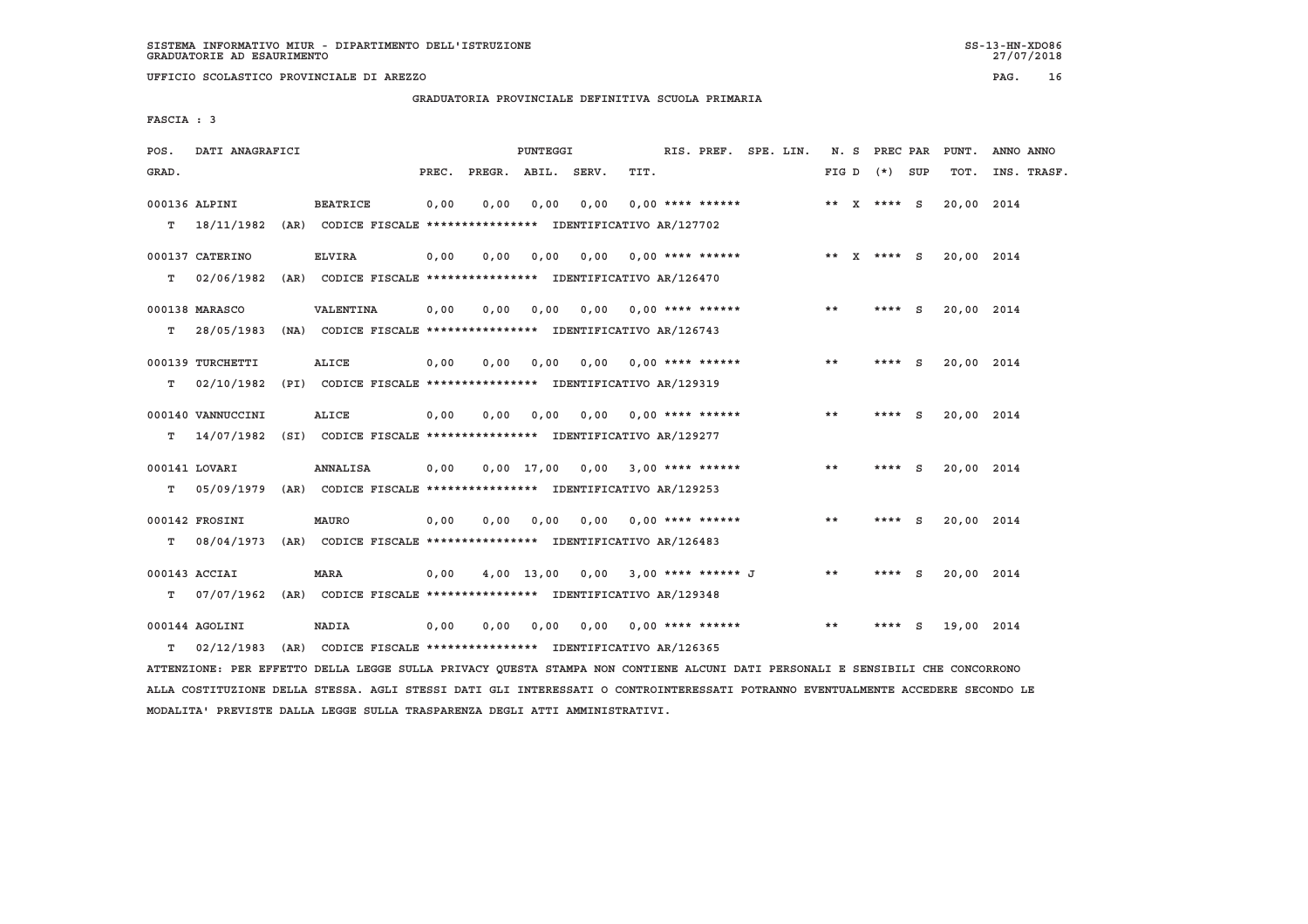**UFFICIO SCOLASTICO PROVINCIALE DI AREZZO PAG. 16**

 **GRADUATORIA PROVINCIALE DEFINITIVA SCUOLA PRIMARIA**

 **FASCIA : 3**

| POS.  | DATI ANAGRAFICI   |                                                                                        |       |                    | PUNTEGGI     |      |                                      | RIS. PREF. SPE. LIN. |  |       | N. S PREC PAR   |     | PUNT.      | ANNO ANNO   |
|-------|-------------------|----------------------------------------------------------------------------------------|-------|--------------------|--------------|------|--------------------------------------|----------------------|--|-------|-----------------|-----|------------|-------------|
| GRAD. |                   |                                                                                        | PREC. | PREGR. ABIL. SERV. |              |      | TIT.                                 |                      |  |       | FIG D $(*)$ SUP |     | TOT.       | INS. TRASF. |
|       | 000136 ALPINI     | <b>BEATRICE</b>                                                                        | 0,00  | 0.00               | 0.00         | 0.00 | $0.00$ **** ******                   |                      |  |       | ** X **** S     |     | 20,00 2014 |             |
|       | $T = 18/11/1982$  | (AR) CODICE FISCALE **************** IDENTIFICATIVO AR/127702                          |       |                    |              |      |                                      |                      |  |       |                 |     |            |             |
|       | 000137 CATERINO   | <b>ELVIRA</b>                                                                          | 0,00  | 0,00               | 0,00         |      | $0,00$ $0,00$ **** ******            |                      |  |       | ** X **** S     |     | 20,00 2014 |             |
| т     | 02/06/1982        | (AR) CODICE FISCALE **************** IDENTIFICATIVO AR/126470                          |       |                    |              |      |                                      |                      |  |       |                 |     |            |             |
|       | 000138 MARASCO    | <b>VALENTINA</b>                                                                       | 0,00  | 0,00               | 0,00         |      | $0.00$ $0.00$ **** ******            |                      |  | $* *$ | **** S          |     | 20,00 2014 |             |
| т     | 28/05/1983        | (NA) CODICE FISCALE **************** IDENTIFICATIVO AR/126743                          |       |                    |              |      |                                      |                      |  |       |                 |     |            |             |
|       | 000139 TURCHETTI  | <b>ALICE</b>                                                                           | 0,00  | 0.00               | 0.00         | 0.00 | $0.00$ **** ******                   |                      |  | **    | **** S          |     | 20,00 2014 |             |
| т     | 02/10/1982        | (PI) CODICE FISCALE **************** IDENTIFICATIVO AR/129319                          |       |                    |              |      |                                      |                      |  |       |                 |     |            |             |
|       |                   |                                                                                        |       |                    |              |      |                                      |                      |  |       |                 |     |            |             |
|       | 000140 VANNUCCINI | ALICE                                                                                  | 0,00  | 0.00               | 0.00         | 0.00 | $0.00$ **** ******                   |                      |  | $* *$ | ****            | - S | 20,00 2014 |             |
| т     | 14/07/1982        | (SI) CODICE FISCALE **************** IDENTIFICATIVO AR/129277                          |       |                    |              |      |                                      |                      |  |       |                 |     |            |             |
|       | 000141 LOVARI     | <b>ANNALISA</b>                                                                        | 0,00  |                    |              |      | $0.00$ 17.00 $0.00$ 3.00 **** ****** |                      |  | $* *$ | ****            | - S | 20,00 2014 |             |
| т     |                   | 05/09/1979 (AR) CODICE FISCALE *************** IDENTIFICATIVO AR/129253                |       |                    |              |      |                                      |                      |  |       |                 |     |            |             |
|       | 000142 FROSINI    | <b>MAURO</b>                                                                           | 0,00  | 0,00               | 0,00         |      | $0.00$ $0.00$ **** ******            |                      |  | $* *$ | **** S          |     | 20,00 2014 |             |
| т     |                   | 08/04/1973 (AR) CODICE FISCALE **************** IDENTIFICATIVO AR/126483               |       |                    |              |      |                                      |                      |  |       |                 |     |            |             |
|       |                   |                                                                                        |       |                    |              |      |                                      |                      |  |       |                 |     |            |             |
| т     | 000143 ACCIAI     | <b>MARA</b><br>07/07/1962 (AR) CODICE FISCALE *************** IDENTIFICATIVO AR/129348 | 0,00  |                    | $4,00$ 13,00 |      | $0.00$ 3.00 **** ****** J            |                      |  | **    | ****            | - S | 20,00 2014 |             |
|       |                   |                                                                                        |       |                    |              |      |                                      |                      |  |       |                 |     |            |             |
|       | 000144 AGOLINI    | NADIA                                                                                  | 0,00  | 0,00               | 0,00         |      | $0.00$ $0.00$ **** ******            |                      |  | **    | ****            | - S | 19,00 2014 |             |
| T.    | 02/12/1983        | (AR) CODICE FISCALE **************** IDENTIFICATIVO AR/126365                          |       |                    |              |      |                                      |                      |  |       |                 |     |            |             |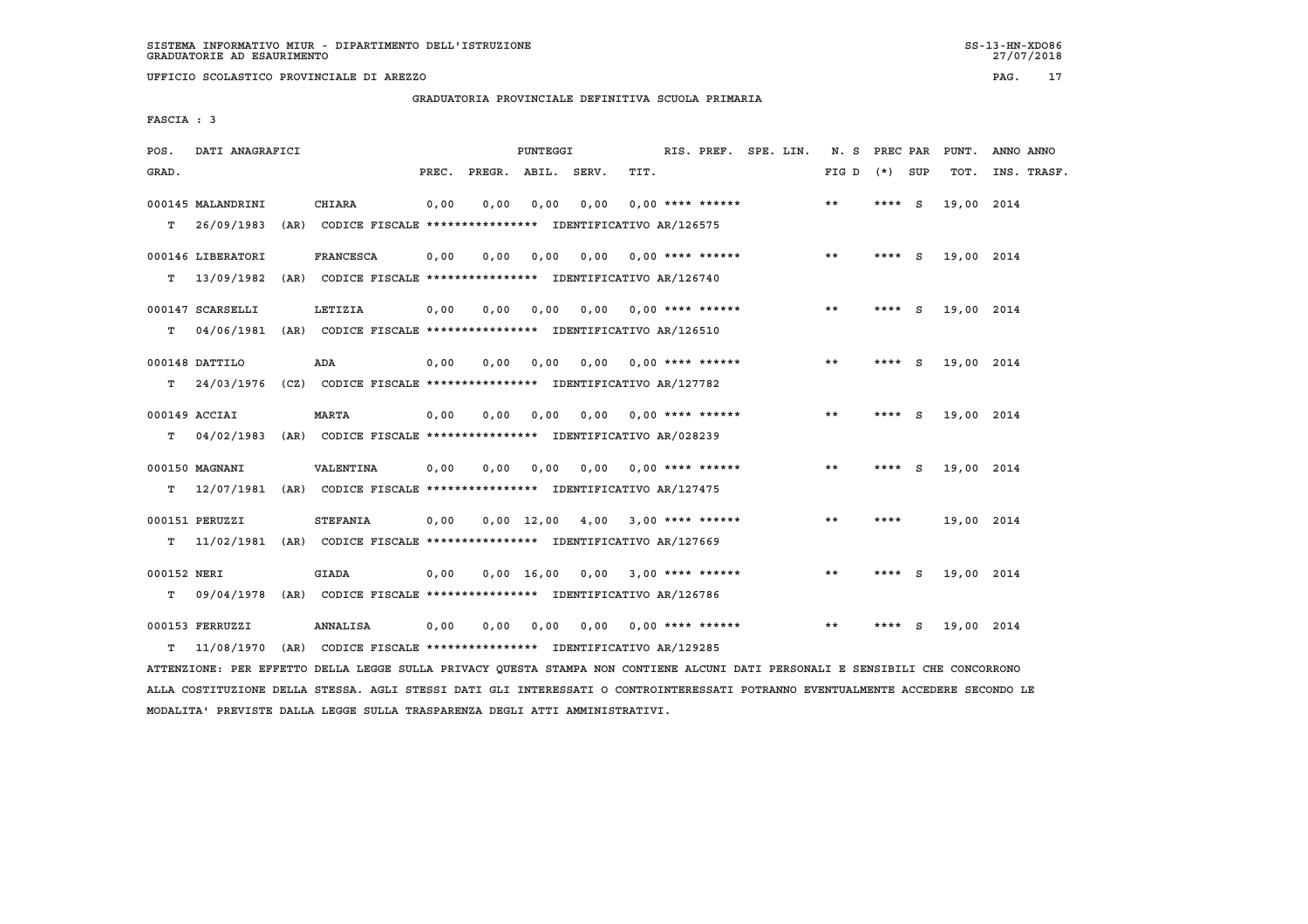**GRADUATORIA PROVINCIALE DEFINITIVA SCUOLA PRIMARIA**

 **FASCIA : 3**

| POS.        | DATI ANAGRAFICI   |                                                                          |       |              | PUNTEGGI       |       |                           | RIS. PREF. SPE. LIN. |       | N. S PREC PAR |          | PUNT.      | ANNO ANNO   |
|-------------|-------------------|--------------------------------------------------------------------------|-------|--------------|----------------|-------|---------------------------|----------------------|-------|---------------|----------|------------|-------------|
| GRAD.       |                   |                                                                          | PREC. | PREGR. ABIL. |                | SERV. | TIT.                      |                      | FIG D | (*) SUP       |          | TOT.       | INS. TRASF. |
|             | 000145 MALANDRINI | <b>CHIARA</b>                                                            | 0,00  | 0,00         | 0,00           | 0,00  | $0.00$ **** ******        |                      | $* *$ | ****          | <b>S</b> | 19,00 2014 |             |
| т           | 26/09/1983        | (AR) CODICE FISCALE **************** IDENTIFICATIVO AR/126575            |       |              |                |       |                           |                      |       |               |          |            |             |
|             | 000146 LIBERATORI | <b>FRANCESCA</b>                                                         | 0,00  | 0,00         | 0,00           |       | $0.00$ $0.00$ **** ****** |                      | $* *$ | **** S        |          | 19,00 2014 |             |
| т           | 13/09/1982        | (AR) CODICE FISCALE **************** IDENTIFICATIVO AR/126740            |       |              |                |       |                           |                      |       |               |          |            |             |
|             | 000147 SCARSELLI  | LETIZIA                                                                  | 0,00  | 0,00         | 0,00           | 0,00  | $0.00$ **** ******        |                      | $* *$ | ****          | <b>S</b> | 19,00 2014 |             |
| т           | 04/06/1981        | (AR) CODICE FISCALE **************** IDENTIFICATIVO AR/126510            |       |              |                |       |                           |                      |       |               |          |            |             |
|             | 000148 DATTILO    | ADA                                                                      | 0,00  | 0.00         | 0,00           | 0,00  | $0.00$ **** ******        |                      | **    | **** S        |          | 19,00 2014 |             |
| T.          | 24/03/1976        | (CZ) CODICE FISCALE **************** IDENTIFICATIVO AR/127782            |       |              |                |       |                           |                      |       |               |          |            |             |
|             | 000149 ACCIAI     | <b>MARTA</b>                                                             | 0.00  | 0.00         | 0,00           | 0.00  | $0,00$ **** ******        |                      | $* *$ | **** S        |          | 19,00 2014 |             |
| т           | 04/02/1983        | (AR) CODICE FISCALE **************** IDENTIFICATIVO AR/028239            |       |              |                |       |                           |                      |       |               |          |            |             |
|             | 000150 MAGNANI    | VALENTINA                                                                | 0,00  | 0.00         | 0,00           | 0,00  | $0.00$ **** ******        |                      | $* *$ | **** $S$      |          | 19,00 2014 |             |
| т           |                   | 12/07/1981 (AR) CODICE FISCALE **************** IDENTIFICATIVO AR/127475 |       |              |                |       |                           |                      |       |               |          |            |             |
|             | 000151 PERUZZI    | <b>STEFANIA</b>                                                          | 0.00  |              | $0.00$ $12.00$ |       | $4,00$ 3,00 **** ******   |                      | $* *$ | ****          |          | 19,00 2014 |             |
| т           |                   | 11/02/1981 (AR) CODICE FISCALE **************** IDENTIFICATIVO AR/127669 |       |              |                |       |                           |                      |       |               |          |            |             |
| 000152 NERI |                   | <b>GIADA</b>                                                             | 0,00  |              | $0,00$ 16,00   |       | $0,00$ 3,00 **** ******   |                      | $* *$ | ****          | - S      | 19,00 2014 |             |
| т           | 09/04/1978        | (AR) CODICE FISCALE **************** IDENTIFICATIVO AR/126786            |       |              |                |       |                           |                      |       |               |          |            |             |
|             | 000153 FERRUZZI   | <b>ANNALISA</b>                                                          | 0,00  | 0.00         | 0,00           | 0.00  | $0.00$ **** ******        |                      | $* *$ |               | S        | 19,00 2014 |             |
| т           | 11/08/1970        | (AR) CODICE FISCALE **************** IDENTIFICATIVO AR/129285            |       |              |                |       |                           |                      |       |               |          |            |             |

 **ATTENZIONE: PER EFFETTO DELLA LEGGE SULLA PRIVACY QUESTA STAMPA NON CONTIENE ALCUNI DATI PERSONALI E SENSIBILI CHE CONCORRONO ALLA COSTITUZIONE DELLA STESSA. AGLI STESSI DATI GLI INTERESSATI O CONTROINTERESSATI POTRANNO EVENTUALMENTE ACCEDERE SECONDO LE MODALITA' PREVISTE DALLA LEGGE SULLA TRASPARENZA DEGLI ATTI AMMINISTRATIVI.**

27/07/2018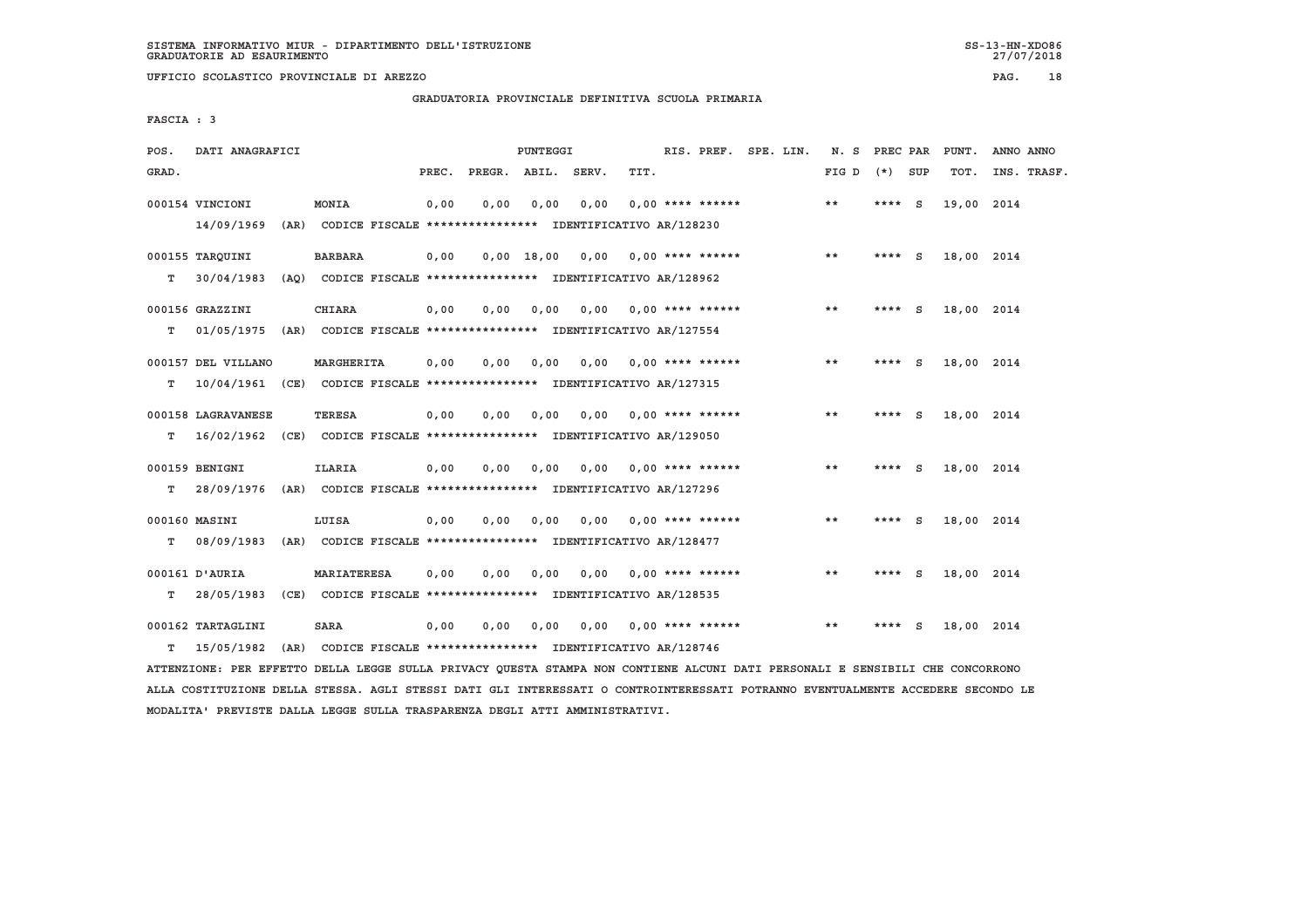**UFFICIO SCOLASTICO PROVINCIALE DI AREZZO PAG. 18**

 **GRADUATORIA PROVINCIALE DEFINITIVA SCUOLA PRIMARIA**

 **FASCIA : 3**

| POS.  | DATI ANAGRAFICI             |      |                                                                          |       |              | PUNTEGGI     |       |                    | RIS. PREF. SPE. LIN. | N.S   | PREC PAR |     | PUNT.      | ANNO ANNO   |
|-------|-----------------------------|------|--------------------------------------------------------------------------|-------|--------------|--------------|-------|--------------------|----------------------|-------|----------|-----|------------|-------------|
| GRAD. |                             |      |                                                                          | PREC. | PREGR. ABIL. |              | SERV. | TIT.               |                      | FIG D | $(*)$    | SUP | TOT.       | INS. TRASF. |
|       | 000154 VINCIONI             |      | MONIA                                                                    | 0,00  | 0,00         | 0,00         | 0,00  | $0.00$ **** ****** |                      | $* *$ | ****     | - S | 19,00 2014 |             |
|       | 14/09/1969                  | (AR) | CODICE FISCALE **************** IDENTIFICATIVO AR/128230                 |       |              |              |       |                    |                      |       |          |     |            |             |
|       | 000155 TARQUINI             |      | <b>BARBARA</b>                                                           | 0,00  |              | $0,00$ 18,00 | 0.00  | $0.00$ **** ****** |                      | **    | ****     | - S | 18,00 2014 |             |
| т     | 30/04/1983                  |      | (AQ) CODICE FISCALE **************** IDENTIFICATIVO AR/128962            |       |              |              |       |                    |                      |       |          |     |            |             |
|       | 000156 GRAZZINI             |      | <b>CHIARA</b>                                                            | 0,00  | 0,00         | 0,00         | 0,00  | $0.00$ **** ****** |                      | $* *$ | ****     | - S | 18,00 2014 |             |
| т     | 01/05/1975                  | (AR) | CODICE FISCALE **************** IDENTIFICATIVO AR/127554                 |       |              |              |       |                    |                      |       |          |     |            |             |
|       | 000157 DEL VILLANO          |      | MARGHERITA                                                               | 0,00  | 0.00         | 0.00         | 0.00  | $0.00$ **** ****** |                      | $* *$ | ****     | - S | 18,00 2014 |             |
| т     |                             |      | 10/04/1961 (CE) CODICE FISCALE *************** IDENTIFICATIVO AR/127315  |       |              |              |       |                    |                      |       |          |     |            |             |
|       | 000158 LAGRAVANESE          |      | <b>TERESA</b>                                                            | 0.00  | 0.00         | 0.00         | 0.00  | $0.00$ **** ****** |                      | $* *$ | ****     | - S | 18,00 2014 |             |
| т     |                             |      | 16/02/1962 (CE) CODICE FISCALE **************** IDENTIFICATIVO AR/129050 |       |              |              |       |                    |                      |       |          |     |            |             |
|       | 000159 BENIGNI              |      | <b>ILARIA</b>                                                            | 0,00  | 0,00         | 0,00         | 0.00  | 0.00 **** ******   |                      | **    | ****     | - S | 18,00 2014 |             |
| т     | 28/09/1976                  |      | (AR) CODICE FISCALE **************** IDENTIFICATIVO AR/127296            |       |              |              |       |                    |                      |       |          |     |            |             |
|       |                             |      |                                                                          |       |              |              |       |                    |                      |       |          |     |            |             |
| т     | 000160 MASINI<br>08/09/1983 |      | LUISA<br>(AR) CODICE FISCALE **************** IDENTIFICATIVO AR/128477   | 0.00  | 0.00         | 0.00         | 0.00  | $0.00$ **** ****** |                      | **    | ****     | - S | 18,00 2014 |             |
|       |                             |      |                                                                          |       |              |              |       |                    |                      |       |          |     |            |             |
|       | 000161 D'AURIA              |      | <b>MARIATERESA</b>                                                       | 0,00  | 0,00         | 0,00         | 0,00  | $0.00$ **** ****** |                      | **    | ****     | - S | 18,00 2014 |             |
| т     | 28/05/1983                  |      | (CE) CODICE FISCALE **************** IDENTIFICATIVO AR/128535            |       |              |              |       |                    |                      |       |          |     |            |             |
|       | 000162 TARTAGLINI           |      | <b>SARA</b>                                                              | 0.00  | 0.00         | 0.00         | 0.00  | $0.00$ **** ****** |                      | **    | ****     | S   | 18,00 2014 |             |
| т     | 15/05/1982                  |      | (AR) CODICE FISCALE **************** IDENTIFICATIVO AR/128746            |       |              |              |       |                    |                      |       |          |     |            |             |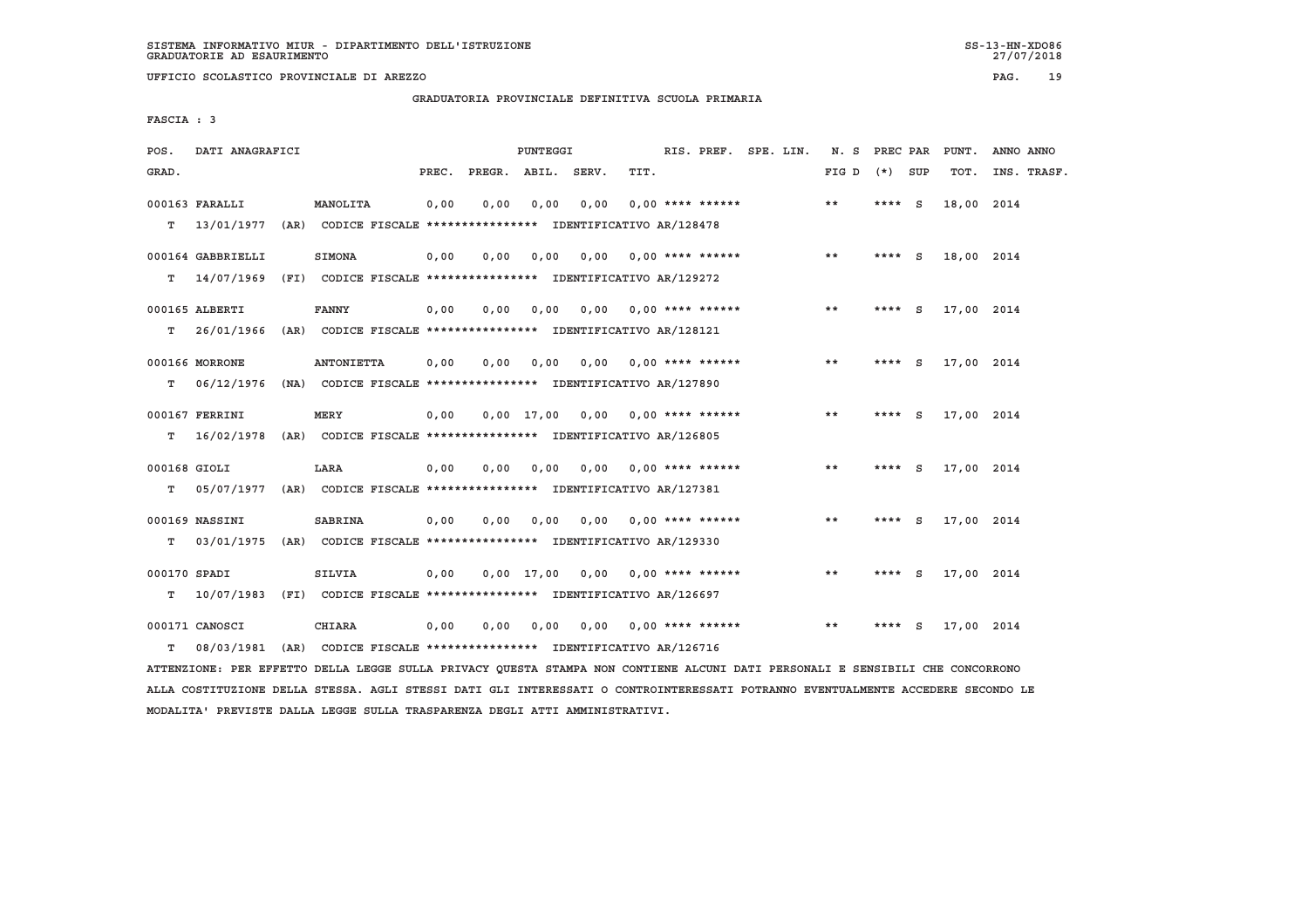**UFFICIO SCOLASTICO PROVINCIALE DI AREZZO PAG. 19**

 **GRADUATORIA PROVINCIALE DEFINITIVA SCUOLA PRIMARIA**

 **FASCIA : 3**

| POS.         | DATI ANAGRAFICI   |                                                                                          |       |                    | PUNTEGGI |      |                                    |  | RIS. PREF. SPE. LIN. | N. S PREC PAR |          |          | PUNT.      | ANNO ANNO   |
|--------------|-------------------|------------------------------------------------------------------------------------------|-------|--------------------|----------|------|------------------------------------|--|----------------------|---------------|----------|----------|------------|-------------|
| GRAD.        |                   |                                                                                          | PREC. | PREGR. ABIL. SERV. |          |      | TIT.                               |  |                      | FIG D         | $(*)$    | SUP      | TOT.       | INS. TRASF. |
|              | 000163 FARALLI    | MANOLITA                                                                                 | 0,00  | 0.00               | 0,00     | 0.00 | $0.00$ **** ******                 |  |                      | **            | **** S   |          | 18,00 2014 |             |
| т            |                   | 13/01/1977 (AR) CODICE FISCALE **************** IDENTIFICATIVO AR/128478                 |       |                    |          |      |                                    |  |                      |               |          |          |            |             |
|              | 000164 GABBRIELLI | <b>SIMONA</b>                                                                            | 0,00  | 0,00               | 0,00     |      | $0.00$ $0.00$ **** ******          |  |                      | $* *$         | **** $S$ |          | 18,00 2014 |             |
| т            | 14/07/1969        | (FI) CODICE FISCALE **************** IDENTIFICATIVO AR/129272                            |       |                    |          |      |                                    |  |                      |               |          |          |            |             |
|              | 000165 ALBERTI    | <b>FANNY</b>                                                                             | 0,00  | 0.00               | 0,00     | 0.00 | $0.00$ **** ******                 |  |                      | **            | ****     | - S      | 17,00 2014 |             |
| т            |                   | 26/01/1966 (AR) CODICE FISCALE **************** IDENTIFICATIVO AR/128121                 |       |                    |          |      |                                    |  |                      |               |          |          |            |             |
|              | 000166 MORRONE    | <b>ANTONIETTA</b>                                                                        | 0,00  | 0,00               | 0.00     | 0.00 | $0.00$ **** ******                 |  |                      | $* *$         | ****     | <b>S</b> | 17,00 2014 |             |
| т            | 06/12/1976        | (NA) CODICE FISCALE **************** IDENTIFICATIVO AR/127890                            |       |                    |          |      |                                    |  |                      |               |          |          |            |             |
|              | 000167 FERRINI    | MERY                                                                                     | 0,00  |                    |          |      | $0,00$ 17,00 0,00 0,00 **** ****** |  |                      | **            | **** $S$ |          | 17,00 2014 |             |
| т            | 16/02/1978        | (AR) CODICE FISCALE **************** IDENTIFICATIVO AR/126805                            |       |                    |          |      |                                    |  |                      |               |          |          |            |             |
|              |                   |                                                                                          |       |                    |          |      |                                    |  |                      |               |          |          |            |             |
| 000168 GIOLI |                   | LARA                                                                                     | 0.00  | 0.00               | 0.00     | 0.00 | $0.00$ **** ******                 |  |                      | $* *$         | ****     | - S      | 17,00 2014 |             |
| т            |                   | 05/07/1977 (AR) CODICE FISCALE *************** IDENTIFICATIVO AR/127381                  |       |                    |          |      |                                    |  |                      |               |          |          |            |             |
|              | 000169 NASSINI    | <b>SABRINA</b>                                                                           | 0,00  | 0,00               | 0,00     | 0.00 | $0.00$ **** ******                 |  |                      | $* *$         | $***$ S  |          | 17,00 2014 |             |
| т            | 03/01/1975        | (AR) CODICE FISCALE **************** IDENTIFICATIVO AR/129330                            |       |                    |          |      |                                    |  |                      |               |          |          |            |             |
| 000170 SPADI |                   |                                                                                          |       |                    |          |      | $0.00$ 17.00 0.00 0.00 **** ****** |  |                      | $* *$         | ****     | s.       |            |             |
| т            |                   | <b>SILVIA</b><br>10/07/1983 (FI) CODICE FISCALE *************** IDENTIFICATIVO AR/126697 | 0,00  |                    |          |      |                                    |  |                      |               |          |          | 17,00 2014 |             |
|              |                   |                                                                                          |       |                    |          |      |                                    |  |                      |               |          |          |            |             |
|              | 000171 CANOSCI    | <b>CHIARA</b>                                                                            | 0,00  | 0,00               | 0,00     | 0,00 | $0.00$ **** ******                 |  |                      | $* *$         |          | S        | 17,00 2014 |             |
| т            |                   | 08/03/1981 (AR) CODICE FISCALE *************** IDENTIFICATIVO AR/126716                  |       |                    |          |      |                                    |  |                      |               |          |          |            |             |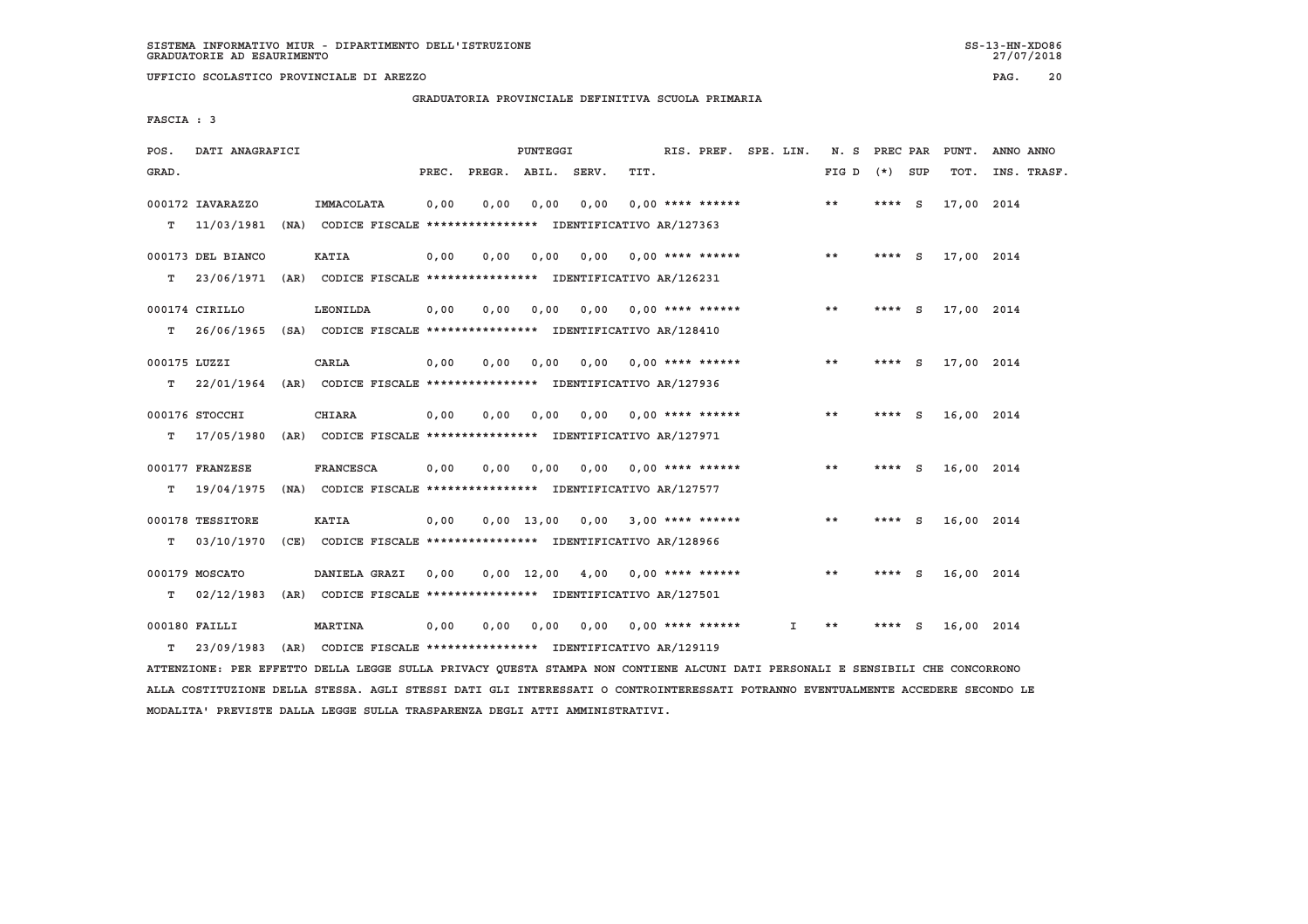**UFFICIO SCOLASTICO PROVINCIALE DI AREZZO PAG. 20**

 **GRADUATORIA PROVINCIALE DEFINITIVA SCUOLA PRIMARIA**

 **FASCIA : 3**

| POS.  | DATI ANAGRAFICI                                                          |      |                                                                             |       |      | PUNTEGGI     |                                                          |      | RIS. PREF. SPE. LIN.      |    | N.S   | PREC PAR |     | PUNT.      | ANNO ANNO   |  |
|-------|--------------------------------------------------------------------------|------|-----------------------------------------------------------------------------|-------|------|--------------|----------------------------------------------------------|------|---------------------------|----|-------|----------|-----|------------|-------------|--|
| GRAD. |                                                                          |      |                                                                             | PREC. |      |              | PREGR. ABIL. SERV.                                       | TIT. |                           |    | FIG D | $(*)$    | SUP | TOT.       | INS. TRASF. |  |
| т     | 000172 IAVARAZZO<br>11/03/1981                                           |      | IMMACOLATA<br>(NA) CODICE FISCALE **************** IDENTIFICATIVO AR/127363 | 0,00  | 0,00 | 0,00         | 0,00                                                     |      | $0.00$ **** ******        |    | $* *$ | $***$ S  |     | 17,00 2014 |             |  |
|       |                                                                          |      |                                                                             |       |      |              |                                                          |      |                           |    |       |          |     |            |             |  |
|       | 000173 DEL BIANCO                                                        |      | <b>KATIA</b>                                                                | 0,00  | 0,00 | 0.00         | 0.00                                                     |      | $0.00$ **** ******        |    | **    | $***$ S  |     | 17,00 2014 |             |  |
| т     | 23/06/1971                                                               |      | (AR) CODICE FISCALE **************** IDENTIFICATIVO AR/126231               |       |      |              |                                                          |      |                           |    |       |          |     |            |             |  |
|       | 000174 CIRILLO                                                           |      | <b>LEONILDA</b>                                                             | 0,00  | 0.00 | 0,00         |                                                          |      | $0.00$ $0.00$ **** ****** |    | **    | **** S   |     | 17,00 2014 |             |  |
| т     | 26/06/1965 (SA) CODICE FISCALE *************** IDENTIFICATIVO AR/128410  |      |                                                                             |       |      |              |                                                          |      |                           |    |       |          |     |            |             |  |
|       | 000175 LUZZI                                                             |      | CARLA                                                                       | 0,00  | 0.00 | 0,00         | 0.00                                                     |      | $0.00$ **** ******        |    | $* *$ | ****     | S.  | 17,00 2014 |             |  |
| T.    | 22/01/1964                                                               |      | (AR) CODICE FISCALE **************** IDENTIFICATIVO AR/127936               |       |      |              |                                                          |      |                           |    |       |          |     |            |             |  |
|       |                                                                          |      |                                                                             |       |      |              |                                                          |      |                           |    |       |          |     |            |             |  |
|       | 000176 STOCCHI                                                           |      | <b>CHIARA</b>                                                               | 0,00  | 0,00 | 0,00         | 0,00                                                     |      | $0.00$ **** ******        |    | $* *$ | **** $S$ |     | 16,00 2014 |             |  |
| т     | 17/05/1980                                                               |      | (AR) CODICE FISCALE **************** IDENTIFICATIVO AR/127971               |       |      |              |                                                          |      |                           |    |       |          |     |            |             |  |
|       | 000177 FRANZESE                                                          |      | <b>FRANCESCA</b>                                                            | 0,00  | 0,00 | 0,00         | 0,00                                                     |      | $0.00$ **** ******        |    | $* *$ | **** $S$ |     | 16,00 2014 |             |  |
| т     | 19/04/1975                                                               | (NA) |                                                                             |       |      |              | CODICE FISCALE **************** IDENTIFICATIVO AR/127577 |      |                           |    |       |          |     |            |             |  |
|       | 000178 TESSITORE                                                         |      | <b>KATIA</b>                                                                | 0,00  |      |              | $0.00$ 13.00 0.00 3.00 **** ******                       |      |                           |    | **    | **** $S$ |     | 16,00 2014 |             |  |
| т     | 03/10/1970                                                               |      | (CE) CODICE FISCALE **************** IDENTIFICATIVO AR/128966               |       |      |              |                                                          |      |                           |    |       |          |     |            |             |  |
|       |                                                                          |      |                                                                             |       |      |              |                                                          |      |                           |    |       |          |     |            |             |  |
|       | 000179 MOSCATO                                                           |      | DANIELA GRAZI                                                               | 0,00  |      | $0,00$ 12,00 | 4,00                                                     |      | $0.00$ **** ******        |    | $* *$ | ****     | - S | 16,00 2014 |             |  |
| т     | 02/12/1983                                                               |      | (AR) CODICE FISCALE **************** IDENTIFICATIVO AR/127501               |       |      |              |                                                          |      |                           |    |       |          |     |            |             |  |
|       | 000180 FAILLI                                                            |      | <b>MARTINA</b>                                                              | 0,00  | 0,00 | 0,00         |                                                          |      | 0,00 0,00 **** ******     | Ι. | **    |          | S   | 16,00 2014 |             |  |
| т     | 23/09/1983 (AR) CODICE FISCALE **************** IDENTIFICATIVO AR/129119 |      |                                                                             |       |      |              |                                                          |      |                           |    |       |          |     |            |             |  |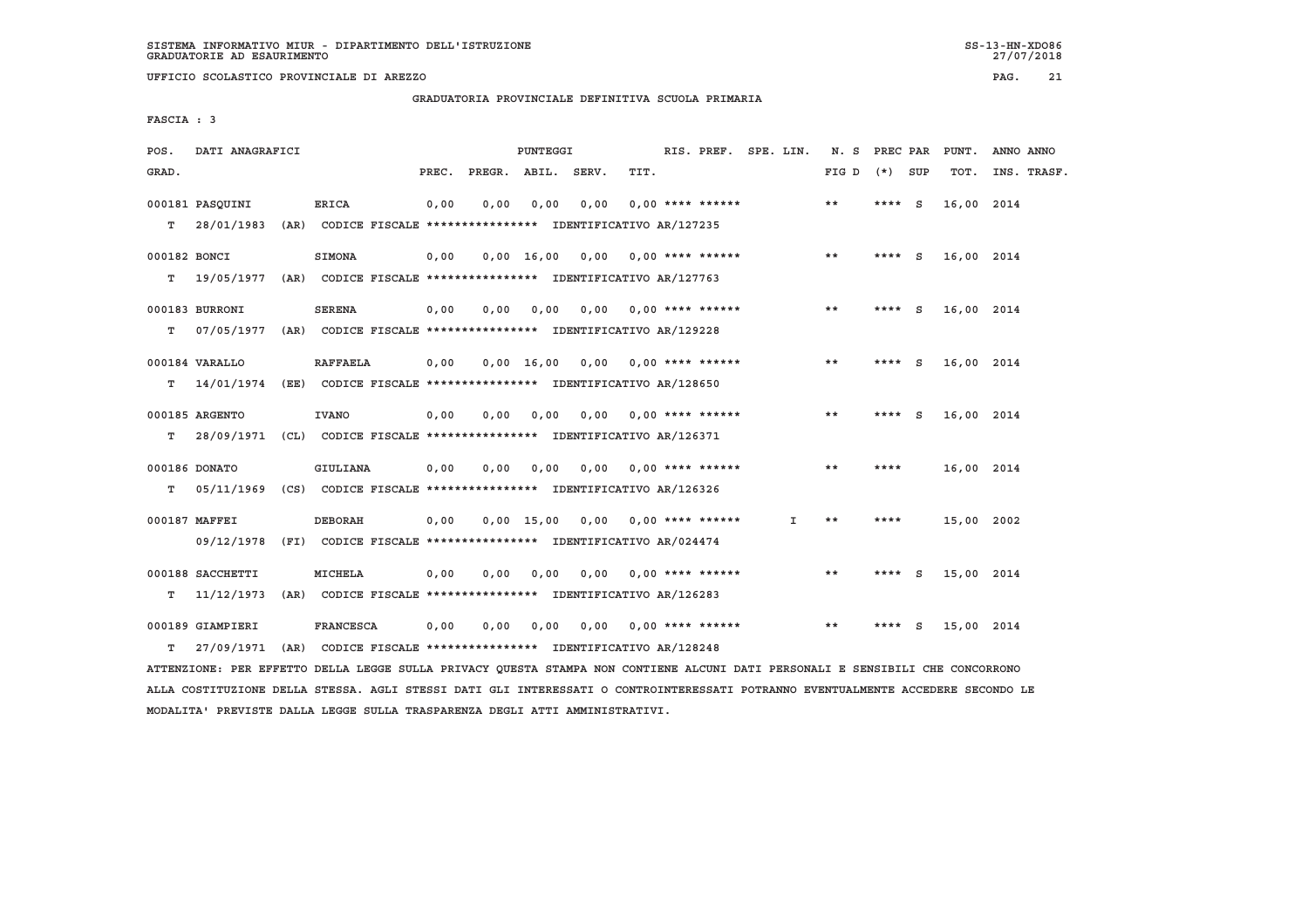27/07/2018

 **GRADUATORIA PROVINCIALE DEFINITIVA SCUOLA PRIMARIA**

 **FASCIA : 3**

| POS.         | DATI ANAGRAFICI                                                         |                  |       |      | PUNTEGGI |                                                               |      | RIS. PREF. SPE. LIN.      |              | N. S PREC PAR |          |          | PUNT.      | ANNO ANNO   |
|--------------|-------------------------------------------------------------------------|------------------|-------|------|----------|---------------------------------------------------------------|------|---------------------------|--------------|---------------|----------|----------|------------|-------------|
| GRAD.        |                                                                         |                  | PREC. |      |          | PREGR. ABIL. SERV.                                            | TIT. |                           |              | FIG D         | $(*)$    | SUP      | TOT.       | INS. TRASF. |
|              | 000181 PASOUINI                                                         | <b>ERICA</b>     | 0,00  | 0.00 | 0.00     | 0,00                                                          |      | $0.00$ **** ******        |              | $***$         | ****     | - S      | 16,00 2014 |             |
| т            | 28/01/1983                                                              |                  |       |      |          | (AR) CODICE FISCALE **************** IDENTIFICATIVO AR/127235 |      |                           |              |               |          |          |            |             |
| 000182 BONCI |                                                                         | <b>SIMONA</b>    | 0,00  |      |          | $0,00$ 16,00 0,00 0,00 **** ******                            |      |                           |              | $* *$         | **** $S$ |          | 16,00 2014 |             |
| т            | 19/05/1977 (AR) CODICE FISCALE *************** IDENTIFICATIVO AR/127763 |                  |       |      |          |                                                               |      |                           |              |               |          |          |            |             |
|              | 000183 BURRONI                                                          | <b>SERENA</b>    | 0,00  | 0.00 | 0,00     |                                                               |      | $0.00$ $0.00$ **** ****** |              | **            | ****     | <b>S</b> | 16,00 2014 |             |
| т            | 07/05/1977                                                              |                  |       |      |          | (AR) CODICE FISCALE **************** IDENTIFICATIVO AR/129228 |      |                           |              |               |          |          |            |             |
|              | 000184 VARALLO                                                          | <b>RAFFAELA</b>  | 0,00  |      |          | $0.00 \quad 16.00 \quad 0.00$                                 |      | $0.00$ **** ******        |              | $* *$         | ****     | - S      | 16,00 2014 |             |
| T.           | 14/01/1974 (EE) CODICE FISCALE *************** IDENTIFICATIVO AR/128650 |                  |       |      |          |                                                               |      |                           |              |               |          |          |            |             |
|              | 000185 ARGENTO                                                          | <b>IVANO</b>     | 0,00  | 0.00 | 0.00     | 0.00                                                          |      | 0,00 **** ******          |              | **            | **** $S$ |          | 16,00 2014 |             |
| T.           | 28/09/1971 (CL) CODICE FISCALE *************** IDENTIFICATIVO AR/126371 |                  |       |      |          |                                                               |      |                           |              |               |          |          |            |             |
|              |                                                                         |                  |       |      |          |                                                               |      |                           |              |               |          |          |            |             |
|              | 000186 DONATO                                                           | GIULIANA         | 0,00  | 0,00 | 0,00     | 0,00                                                          |      | $0.00$ **** ******        |              | $* *$         | ****     |          | 16,00 2014 |             |
| т            | 05/11/1969 (CS) CODICE FISCALE *************** IDENTIFICATIVO AR/126326 |                  |       |      |          |                                                               |      |                           |              |               |          |          |            |             |
|              | 000187 MAFFEI                                                           | <b>DEBORAH</b>   | 0,00  |      |          | $0.00$ 15.00 0.00 0.00 **** ******                            |      |                           | $\mathbf{I}$ | $* *$         | ****     |          | 15,00 2002 |             |
|              | 09/12/1978 (FI) CODICE FISCALE *************** IDENTIFICATIVO AR/024474 |                  |       |      |          |                                                               |      |                           |              |               |          |          |            |             |
|              |                                                                         |                  |       |      |          |                                                               |      |                           |              | **            |          |          |            |             |
|              | 000188 SACCHETTI                                                        | <b>MICHELA</b>   | 0,00  | 0.00 | 0,00     |                                                               |      | $0.00$ $0.00$ **** ****** |              |               | $***$ S  |          | 15,00 2014 |             |
| т            | 11/12/1973                                                              |                  |       |      |          | (AR) CODICE FISCALE **************** IDENTIFICATIVO AR/126283 |      |                           |              |               |          |          |            |             |
|              | 000189 GIAMPIERI                                                        | <b>FRANCESCA</b> | 0.00  | 0.00 | 0.00     |                                                               |      | $0.00$ $0.00$ **** ****** |              | $* *$         | ****     | - S      | 15,00 2014 |             |
| T.           | 27/09/1971                                                              |                  |       |      |          | (AR) CODICE FISCALE **************** IDENTIFICATIVO AR/128248 |      |                           |              |               |          |          |            |             |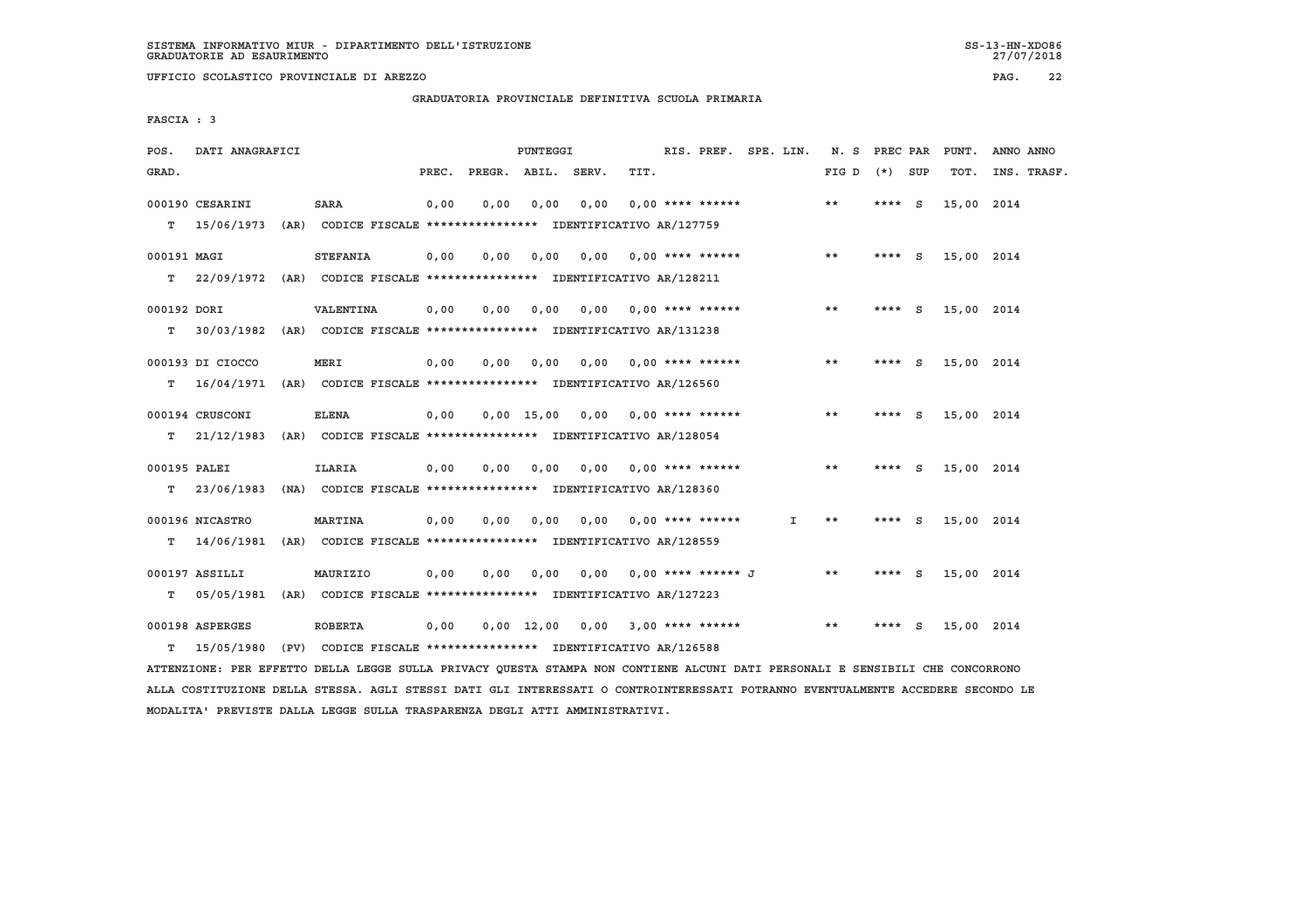**UFFICIO SCOLASTICO PROVINCIALE DI AREZZO PAG. 22**

 **GRADUATORIA PROVINCIALE DEFINITIVA SCUOLA PRIMARIA**

 **FASCIA : 3**

| POS.         | DATI ANAGRAFICI                                                                                                               |                 |       |      | PUNTEGGI |                                                               |                           | RIS. PREF. SPE. LIN. |    | N. S PREC PAR   |          | PUNT.      | ANNO ANNO   |
|--------------|-------------------------------------------------------------------------------------------------------------------------------|-----------------|-------|------|----------|---------------------------------------------------------------|---------------------------|----------------------|----|-----------------|----------|------------|-------------|
| GRAD.        |                                                                                                                               |                 | PREC. |      |          | PREGR. ABIL. SERV.                                            | TIT.                      |                      |    | $FIG D (*) SUB$ |          | TOT.       | INS. TRASF. |
|              | 000190 CESARINI                                                                                                               | <b>SARA</b>     | 0,00  | 0,00 | 0,00     | 0,00                                                          |                           | 0,00 **** ******     |    | $* *$           | $***$ S  | 15,00 2014 |             |
|              | $T = 15/06/1973$                                                                                                              |                 |       |      |          | (AR) CODICE FISCALE *************** IDENTIFICATIVO AR/127759  |                           |                      |    |                 |          |            |             |
| 000191 MAGI  |                                                                                                                               | <b>STEFANIA</b> | 0,00  | 0,00 | 0,00     |                                                               | $0,00$ $0,00$ **** ****** |                      |    | $* *$           | **** $S$ | 15,00 2014 |             |
|              | T 22/09/1972 (AR) CODICE FISCALE **************** IDENTIFICATIVO AR/128211                                                    |                 |       |      |          |                                                               |                           |                      |    |                 |          |            |             |
|              |                                                                                                                               |                 |       |      |          |                                                               |                           |                      |    |                 |          |            |             |
| 000192 DORI  |                                                                                                                               | VALENTINA       | 0,00  | 0,00 | 0,00     |                                                               | 0,00 0,00 **** ******     |                      |    | **              | **** $S$ | 15,00 2014 |             |
|              | T 30/03/1982                                                                                                                  |                 |       |      |          | (AR) CODICE FISCALE **************** IDENTIFICATIVO AR/131238 |                           |                      |    |                 |          |            |             |
|              | 000193 DI CIOCCO                                                                                                              | MERI            | 0,00  | 0,00 |          | 0,00 0,00 0,00 **** ******                                    |                           |                      |    | $* *$           | $***$ S  | 15,00 2014 |             |
| T.           | 16/04/1971                                                                                                                    |                 |       |      |          | (AR) CODICE FISCALE **************** IDENTIFICATIVO AR/126560 |                           |                      |    |                 |          |            |             |
|              |                                                                                                                               |                 |       |      |          |                                                               |                           |                      |    |                 |          |            |             |
|              | 000194 CRUSCONI                                                                                                               | <b>ELENA</b>    | 0,00  |      |          | $0,00$ 15,00 0,00 0,00 **** ******                            |                           |                      |    | **              | **** S   | 15,00 2014 |             |
|              | T 21/12/1983 (AR) CODICE FISCALE **************** IDENTIFICATIVO AR/128054                                                    |                 |       |      |          |                                                               |                           |                      |    |                 |          |            |             |
| 000195 PALEI |                                                                                                                               | <b>ILARIA</b>   | 0,00  | 0,00 | 0,00     |                                                               | 0,00 0,00 **** ******     |                      |    | $* *$           | **** $S$ | 15,00 2014 |             |
| т            | 23/06/1983                                                                                                                    |                 |       |      |          | (NA) CODICE FISCALE **************** IDENTIFICATIVO AR/128360 |                           |                      |    |                 |          |            |             |
|              |                                                                                                                               |                 |       |      |          |                                                               |                           |                      |    |                 |          |            |             |
|              | 000196 NICASTRO                                                                                                               | <b>MARTINA</b>  | 0,00  | 0,00 | 0,00     | 0,00                                                          |                           | 0,00 **** ******     | Ι. | **              | **** S   | 15,00 2014 |             |
| т            | 14/06/1981 (AR) CODICE FISCALE **************** IDENTIFICATIVO AR/128559                                                      |                 |       |      |          |                                                               |                           |                      |    |                 |          |            |             |
|              | 000197 ASSILLI                                                                                                                | MAURIZIO        | 0,00  | 0,00 | 0,00     |                                                               | 0,00 0,00 **** ****** J   |                      |    | $* *$           | $***$ S  | 15,00 2014 |             |
| T.           | 05/05/1981 (AR) CODICE FISCALE *************** IDENTIFICATIVO AR/127223                                                       |                 |       |      |          |                                                               |                           |                      |    |                 |          |            |             |
|              |                                                                                                                               |                 |       |      |          |                                                               |                           |                      |    | **              |          |            |             |
|              | 000198 ASPERGES                                                                                                               | <b>ROBERTA</b>  | 0,00  |      |          | $0,00$ 12,00 0,00 3,00 **** ******                            |                           |                      |    |                 | **** S   | 15,00 2014 |             |
| T.           | 15/05/1980                                                                                                                    |                 |       |      |          | (PV) CODICE FISCALE **************** IDENTIFICATIVO AR/126588 |                           |                      |    |                 |          |            |             |
|              | ATTENZIONE: PER EFFETTO DELLA LEGGE SULLA PRIVACY OUESTA STAMPA NON CONTIENE ALCUNI DATI PERSONALI E SENSIBILI CHE CONCORRONO |                 |       |      |          |                                                               |                           |                      |    |                 |          |            |             |

 **ALLA COSTITUZIONE DELLA STESSA. AGLI STESSI DATI GLI INTERESSATI O CONTROINTERESSATI POTRANNO EVENTUALMENTE ACCEDERE SECONDO LE MODALITA' PREVISTE DALLA LEGGE SULLA TRASPARENZA DEGLI ATTI AMMINISTRATIVI.**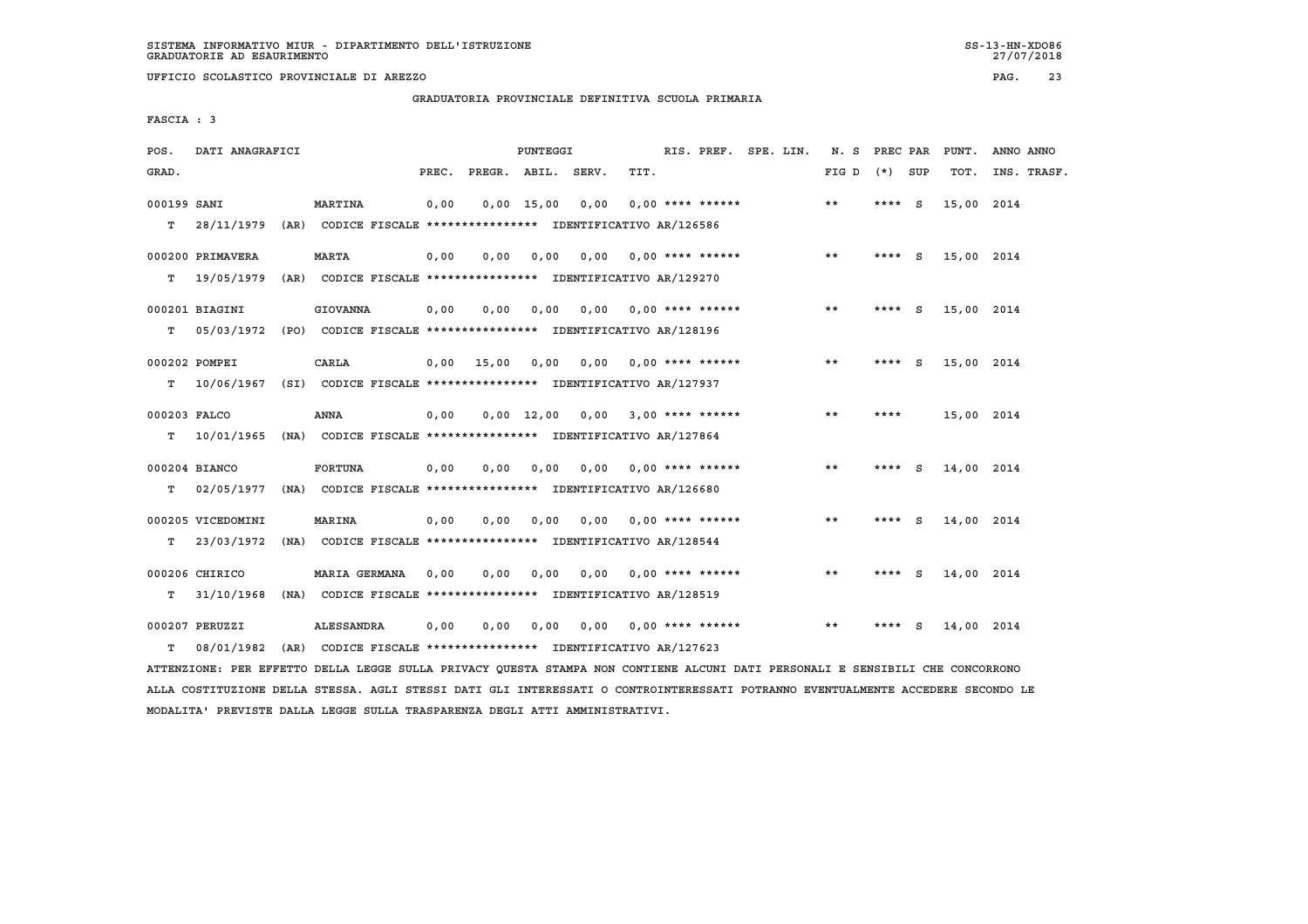**UFFICIO SCOLASTICO PROVINCIALE DI AREZZO PAG. 23**

 **GRADUATORIA PROVINCIALE DEFINITIVA SCUOLA PRIMARIA**

 **FASCIA : 3**

| POS.         | DATI ANAGRAFICI   |                                                                          |       |                    | PUNTEGGI     |      |      | RIS. PREF. SPE. LIN.    |  | N. S  | PREC PAR |          | PUNT.      | ANNO ANNO   |
|--------------|-------------------|--------------------------------------------------------------------------|-------|--------------------|--------------|------|------|-------------------------|--|-------|----------|----------|------------|-------------|
| GRAD.        |                   |                                                                          | PREC. | PREGR. ABIL. SERV. |              |      | TIT. |                         |  | FIG D | (*) SUP  |          | TOT.       | INS. TRASF. |
| 000199 SANI  |                   | <b>MARTINA</b>                                                           | 0,00  |                    | $0,00$ 15,00 | 0,00 |      | $0.00$ **** ******      |  | $* *$ | $***$ S  |          | 15,00 2014 |             |
| т            |                   | 28/11/1979 (AR) CODICE FISCALE *************** IDENTIFICATIVO AR/126586  |       |                    |              |      |      |                         |  |       |          |          |            |             |
|              | 000200 PRIMAVERA  | <b>MARTA</b>                                                             | 0.00  | 0.00               | 0.00         | 0.00 |      | 0,00 **** ******        |  | $***$ | **** $S$ |          | 15,00 2014 |             |
| т            | 19/05/1979        | (AR) CODICE FISCALE **************** IDENTIFICATIVO AR/129270            |       |                    |              |      |      |                         |  |       |          |          |            |             |
|              | 000201 BIAGINI    | <b>GIOVANNA</b>                                                          | 0,00  | 0,00               | 0,00         |      |      | $0,00$ 0,00 **** ****** |  | $* *$ | $***$ S  |          | 15,00 2014 |             |
| т            |                   | 05/03/1972 (PO) CODICE FISCALE **************** IDENTIFICATIVO AR/128196 |       |                    |              |      |      |                         |  |       |          |          |            |             |
|              | 000202 POMPEI     | CARLA                                                                    |       | $0,00$ 15,00       | 0.00         | 0.00 |      | 0,00 **** ******        |  | $* *$ | ****     | <b>S</b> | 15,00 2014 |             |
| т            |                   | 10/06/1967 (SI) CODICE FISCALE *************** IDENTIFICATIVO AR/127937  |       |                    |              |      |      |                         |  |       |          |          |            |             |
| 000203 FALCO |                   | ANNA                                                                     | 0.00  |                    | $0.00$ 12.00 | 0,00 |      | 3,00 **** ******        |  | **    | ****     |          | 15,00 2014 |             |
| т            |                   | 10/01/1965 (NA) CODICE FISCALE **************** IDENTIFICATIVO AR/127864 |       |                    |              |      |      |                         |  |       |          |          |            |             |
|              | 000204 BIANCO     | <b>FORTUNA</b>                                                           | 0,00  | 0.00               | 0.00         | 0.00 |      | $0.00$ **** ******      |  | $* *$ | ****     | - S      | 14,00 2014 |             |
| т            |                   | 02/05/1977 (NA) CODICE FISCALE **************** IDENTIFICATIVO AR/126680 |       |                    |              |      |      |                         |  |       |          |          |            |             |
|              | 000205 VICEDOMINI | <b>MARINA</b>                                                            | 0,00  | 0,00               | 0,00         | 0.00 |      | $0.00$ **** ******      |  | $* *$ | $***$ S  |          | 14,00 2014 |             |
| т            | 23/03/1972        | (NA) CODICE FISCALE **************** IDENTIFICATIVO AR/128544            |       |                    |              |      |      |                         |  |       |          |          |            |             |
|              | 000206 CHIRICO    | <b>MARIA GERMANA</b>                                                     | 0,00  | 0,00               | 0,00         | 0,00 |      | $0.00$ **** ******      |  | **    | ****     | - S      | 14,00 2014 |             |
| т            | 31/10/1968        | (NA) CODICE FISCALE **************** IDENTIFICATIVO AR/128519            |       |                    |              |      |      |                         |  |       |          |          |            |             |
|              | 000207 PERUZZI    | ALESSANDRA                                                               | 0,00  | 0,00               | 0,00         |      |      | $0,00$ 0,00 **** ****** |  | **    | ****     | S        | 14,00 2014 |             |
| т            | 08/01/1982        | (AR) CODICE FISCALE **************** IDENTIFICATIVO AR/127623            |       |                    |              |      |      |                         |  |       |          |          |            |             |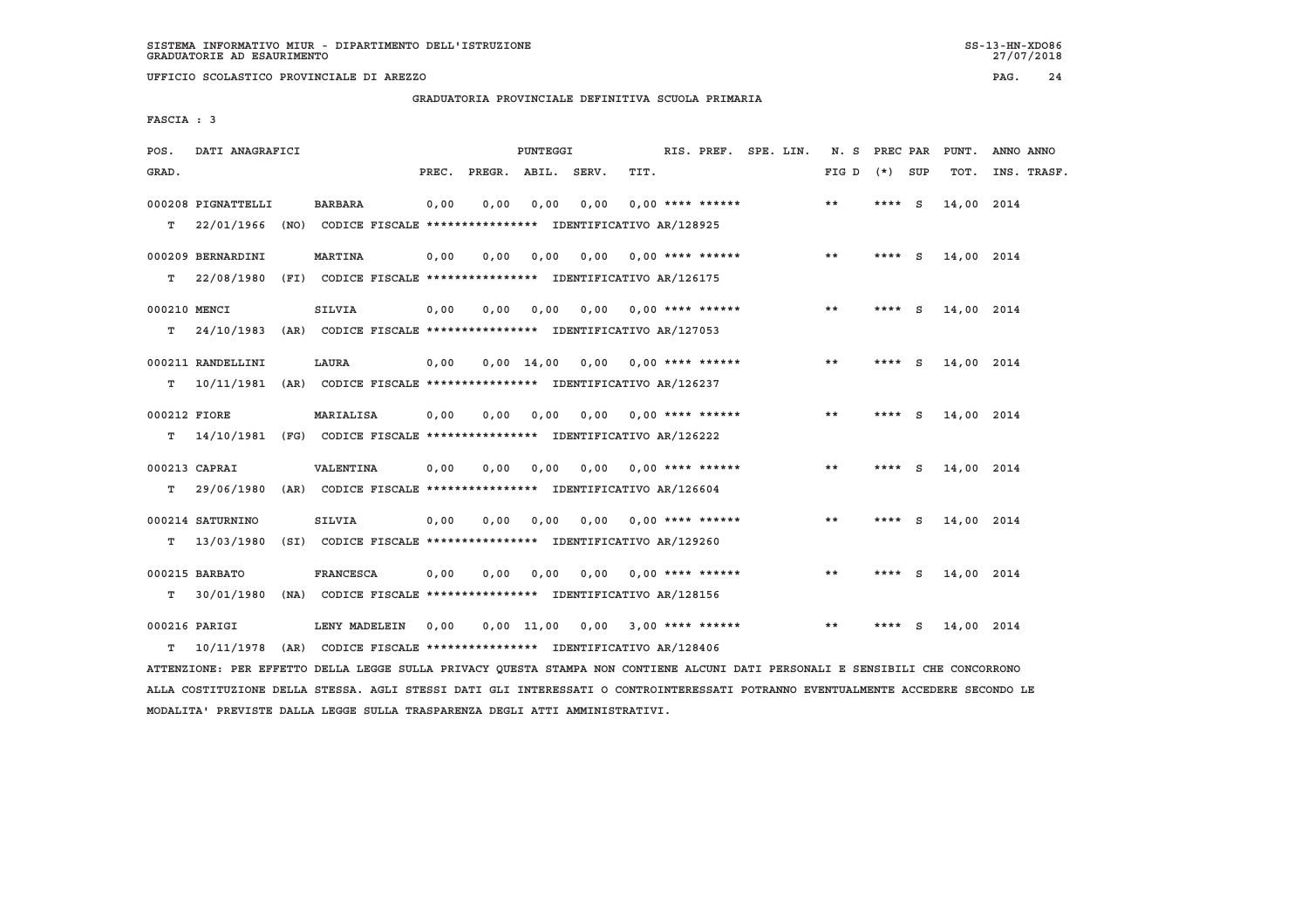**UFFICIO SCOLASTICO PROVINCIALE DI AREZZO PAG. 24**

 **GRADUATORIA PROVINCIALE DEFINITIVA SCUOLA PRIMARIA**

 **FASCIA : 3**

| SERV.<br>TIT.<br>GRAD.<br>PREC.<br>PREGR. ABIL.<br>FIG D<br>(*) SUP<br>TOT.                                                   | INS. TRASF. |
|-------------------------------------------------------------------------------------------------------------------------------|-------------|
|                                                                                                                               |             |
| 000208 PIGNATTELLI<br><b>BARBARA</b><br>0,00<br>0,00<br>0,00<br>0,00<br>$0.00$ **** ******<br>$* *$<br>**** $S$<br>14,00 2014 |             |
| T.<br>22/01/1966<br>(NO) CODICE FISCALE **************** IDENTIFICATIVO AR/128925                                             |             |
| 000209 BERNARDINI<br><b>MARTINA</b><br>0,00<br>0.00<br>0.00<br>0.00<br>$0.00$ **** ******<br>**<br>**** $S$<br>14,00 2014     |             |
| 22/08/1980<br>т<br>(FI) CODICE FISCALE **************** IDENTIFICATIVO AR/126175                                              |             |
| 000210 MENCI<br><b>SILVIA</b><br>0,00<br>0,00<br>0,00<br>0,00<br>$0.00$ **** ******<br>$* *$<br>**** S<br>14,00 2014          |             |
| 24/10/1983 (AR) CODICE FISCALE *************** IDENTIFICATIVO AR/127053<br>т                                                  |             |
| 000211 RANDELLINI<br>LAURA<br>$0.00$ 14.00<br>0.00<br>$0.00$ **** ******<br>**<br>14,00 2014<br>0,00<br>- S<br>****           |             |
| 10/11/1981 (AR) CODICE FISCALE *************** IDENTIFICATIVO AR/126237<br>т                                                  |             |
| $* *$<br>000212 FIORE<br>MARIALISA<br>0.00<br>0.00<br>0.00<br>0.00<br>0,00 **** ******<br>**** S<br>14,00 2014                |             |
| т<br>14/10/1981 (FG) CODICE FISCALE *************** IDENTIFICATIVO AR/126222                                                  |             |
|                                                                                                                               |             |
| <b>VALENTINA</b><br>$0.00$ **** ******<br>$* *$<br>000213 CAPRAI<br>0,00<br>0.00<br>0.00<br>0.00<br>**** S<br>14,00 2014      |             |
| т<br>29/06/1980<br>(AR) CODICE FISCALE **************** IDENTIFICATIVO AR/126604                                              |             |
| <b>SILVIA</b><br>$* *$<br>000214 SATURNINO<br>0,00<br>0.00<br>0.00<br>$0.00$ $0.00$ **** ******<br>**** S<br>14,00 2014       |             |
| т<br>13/03/1980<br>(SI) CODICE FISCALE **************** IDENTIFICATIVO AR/129260                                              |             |
| 000215 BARBATO<br><b>FRANCESCA</b><br>0,00<br>0,00<br>0,00<br>$0.00$ **** ******<br>**<br>14,00 2014<br>0,00<br>- S<br>****   |             |
| т<br>30/01/1980<br>(NA) CODICE FISCALE **************** IDENTIFICATIVO AR/128156                                              |             |
| $* *$<br>000216 PARIGI<br>LENY MADELEIN<br>0,00<br>0,00 11,00<br>$0,00$ 3,00 **** ******<br>14,00 2014<br>- S<br>****         |             |
| 10/11/1978<br>(AR) CODICE FISCALE **************** IDENTIFICATIVO AR/128406<br>T.                                             |             |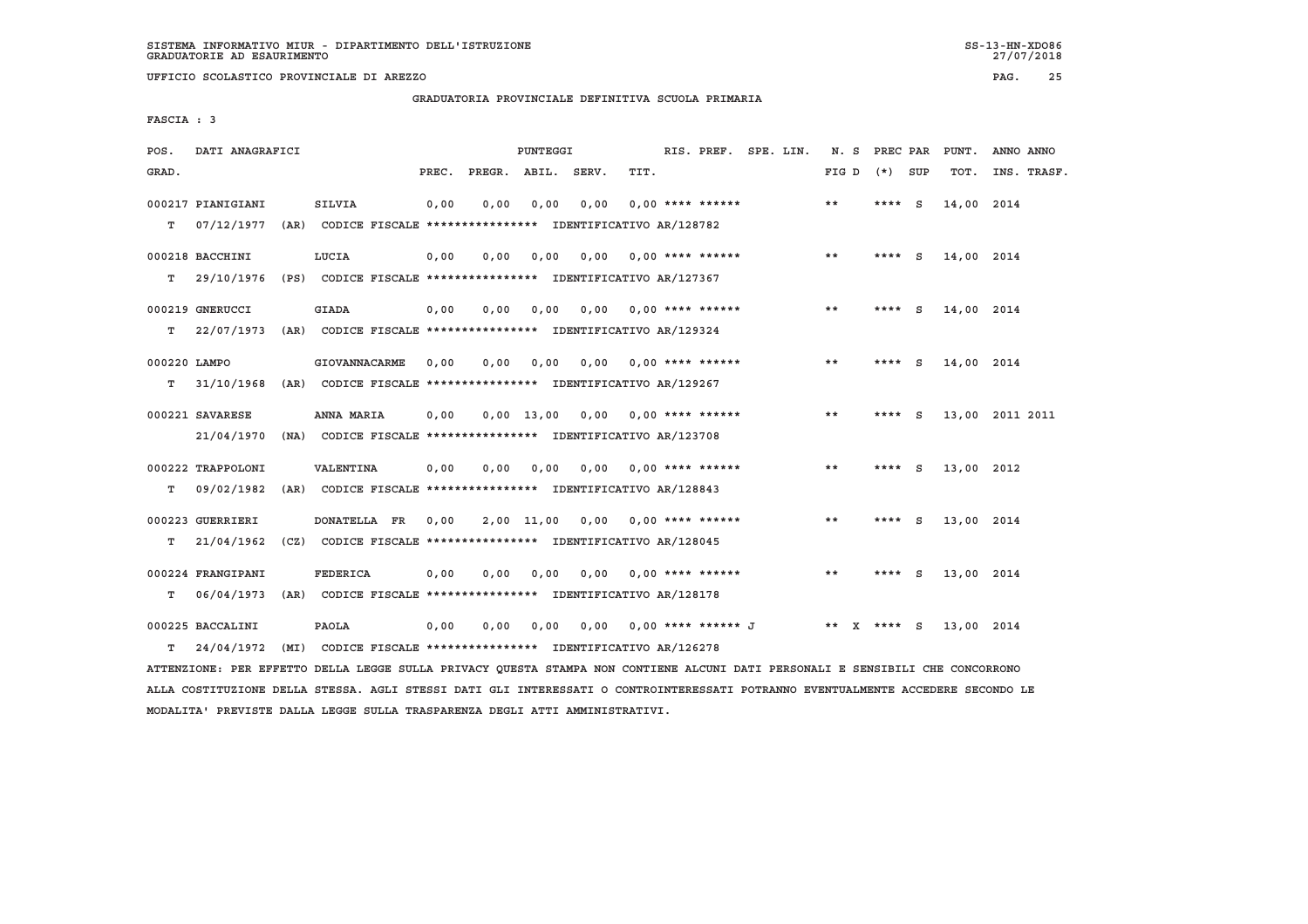**GRADUATORIA PROVINCIALE DEFINITIVA SCUOLA PRIMARIA**

 **FASCIA : 3**

| POS.         | DATI ANAGRAFICI   |      |                                                               |       |      | PUNTEGGI           |      |                                    | RIS. PREF. SPE. LIN. | N. S  | PREC PAR             | PUNT.      | ANNO ANNO       |
|--------------|-------------------|------|---------------------------------------------------------------|-------|------|--------------------|------|------------------------------------|----------------------|-------|----------------------|------------|-----------------|
| GRAD.        |                   |      |                                                               | PREC. |      | PREGR. ABIL. SERV. |      | TIT.                               |                      | FIG D | (*) SUP              | TOT.       | INS. TRASF.     |
|              | 000217 PIANIGIANI |      | <b>SILVIA</b>                                                 | 0,00  | 0,00 | 0,00               | 0,00 | $0.00$ **** ******                 |                      | $***$ | $\mathbf{s}$<br>**** | 14,00 2014 |                 |
| т            | 07/12/1977        |      | (AR) CODICE FISCALE **************** IDENTIFICATIVO AR/128782 |       |      |                    |      |                                    |                      |       |                      |            |                 |
|              | 000218 BACCHINI   |      | LUCIA                                                         | 0,00  | 0,00 | 0,00               |      | $0,00$ 0,00 **** ******            |                      | $* *$ | $***$ S              | 14,00 2014 |                 |
| т            | 29/10/1976        |      | (PS) CODICE FISCALE **************** IDENTIFICATIVO AR/127367 |       |      |                    |      |                                    |                      |       |                      |            |                 |
|              | 000219 GNERUCCI   |      | <b>GIADA</b>                                                  | 0.00  | 0.00 | 0.00               |      | $0.00$ $0.00$ **** ******          |                      | $* *$ | - S<br>****          | 14,00 2014 |                 |
| T.           | 22/07/1973        |      | (AR) CODICE FISCALE **************** IDENTIFICATIVO AR/129324 |       |      |                    |      |                                    |                      |       |                      |            |                 |
| 000220 LAMPO |                   |      | <b>GIOVANNACARME</b>                                          | 0.00  | 0.00 | 0.00               |      | $0,00$ 0,00 **** ******            |                      | $***$ | $***$ S              | 14,00 2014 |                 |
| т            | 31/10/1968        |      | (AR) CODICE FISCALE **************** IDENTIFICATIVO AR/129267 |       |      |                    |      |                                    |                      |       |                      |            |                 |
|              | 000221 SAVARESE   |      | ANNA MARIA                                                    | 0,00  |      |                    |      | $0,00$ 13,00 0,00 0,00 **** ****** |                      | $***$ | **** S               |            | 13,00 2011 2011 |
|              | 21/04/1970        |      | (NA) CODICE FISCALE **************** IDENTIFICATIVO AR/123708 |       |      |                    |      |                                    |                      |       |                      |            |                 |
|              | 000222 TRAPPOLONI |      | VALENTINA                                                     | 0,00  | 0.00 | 0.00               | 0.00 | $0.00$ **** ******                 |                      | $* *$ | $***$ S              | 13,00 2012 |                 |
| т            | 09/02/1982        | (AR) | CODICE FISCALE **************** IDENTIFICATIVO AR/128843      |       |      |                    |      |                                    |                      |       |                      |            |                 |
|              | 000223 GUERRIERI  |      | DONATELLA FR                                                  | 0.00  |      |                    |      | $2,00$ 11,00 0,00 0,00 **** ****** |                      | $***$ | **** $S$             | 13,00 2014 |                 |
| т            | 21/04/1962        |      | (CZ) CODICE FISCALE **************** IDENTIFICATIVO AR/128045 |       |      |                    |      |                                    |                      |       |                      |            |                 |
|              | 000224 FRANGIPANI |      | <b>FEDERICA</b>                                               | 0.00  | 0.00 | 0.00               |      | $0.00$ $0.00$ **** ******          |                      | $* *$ | **** S               | 13,00 2014 |                 |
| т            | 06/04/1973        |      | (AR) CODICE FISCALE **************** IDENTIFICATIVO AR/128178 |       |      |                    |      |                                    |                      |       |                      |            |                 |
|              | 000225 BACCALINI  |      | PAOLA                                                         | 0,00  | 0,00 | 0,00               |      | 0,00 0,00 **** ****** J            |                      |       | ** X **** S          | 13,00 2014 |                 |
| т            | 24/04/1972        |      | (MI) CODICE FISCALE *************** IDENTIFICATIVO AR/126278  |       |      |                    |      |                                    |                      |       |                      |            |                 |

 **ATTENZIONE: PER EFFETTO DELLA LEGGE SULLA PRIVACY QUESTA STAMPA NON CONTIENE ALCUNI DATI PERSONALI E SENSIBILI CHE CONCORRONO ALLA COSTITUZIONE DELLA STESSA. AGLI STESSI DATI GLI INTERESSATI O CONTROINTERESSATI POTRANNO EVENTUALMENTE ACCEDERE SECONDO LE MODALITA' PREVISTE DALLA LEGGE SULLA TRASPARENZA DEGLI ATTI AMMINISTRATIVI.**

27/07/2018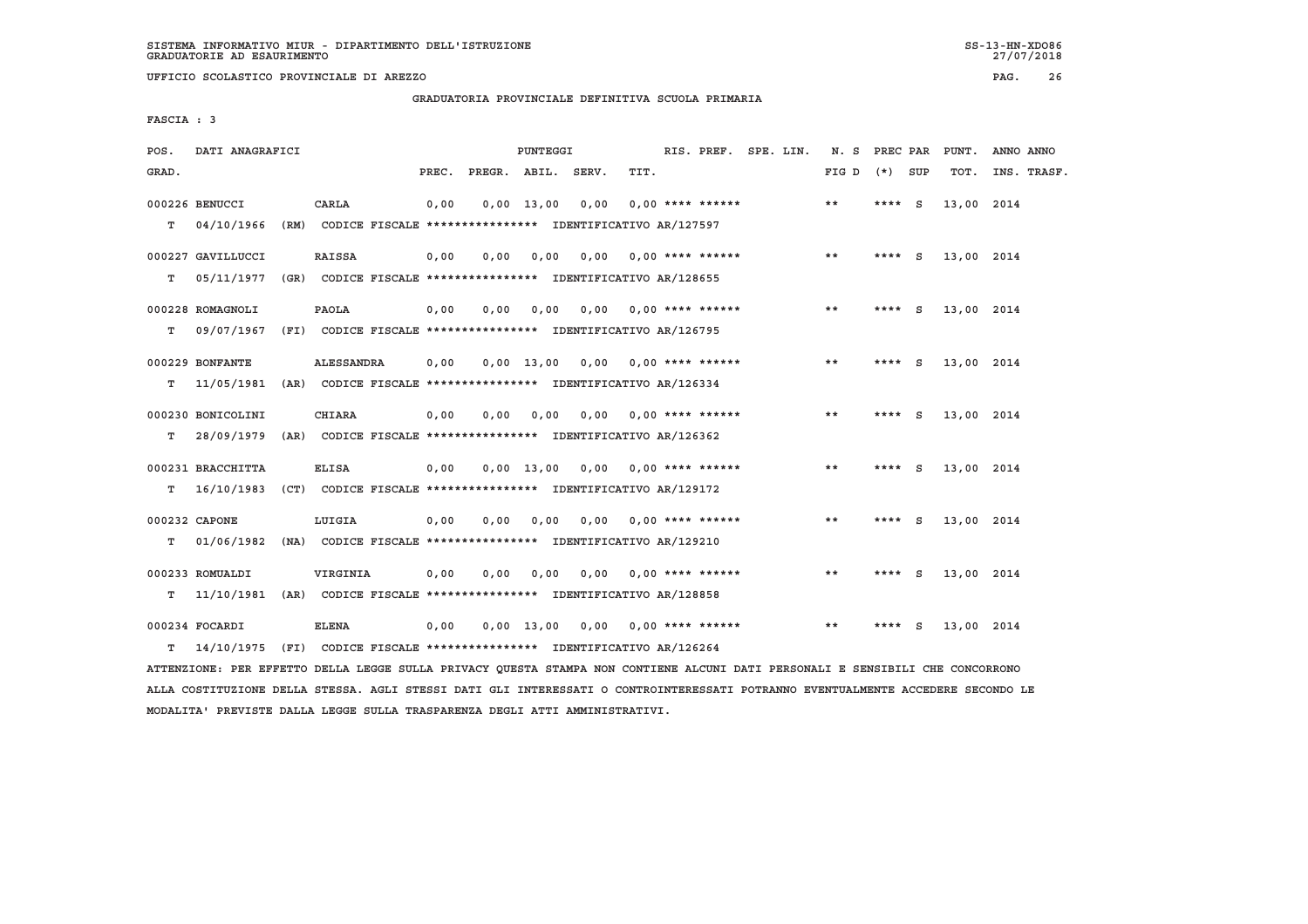**GRADUATORIA PROVINCIALE DEFINITIVA SCUOLA PRIMARIA**

 **FASCIA : 3**

| POS.  | DATI ANAGRAFICI                                                          |                   |       |              | PUNTEGGI     |       |                                                               | RIS. PREF. SPE. LIN. |  | N. S  | PREC PAR |     | PUNT.      | ANNO ANNO   |
|-------|--------------------------------------------------------------------------|-------------------|-------|--------------|--------------|-------|---------------------------------------------------------------|----------------------|--|-------|----------|-----|------------|-------------|
| GRAD. |                                                                          |                   | PREC. | PREGR. ABIL. |              | SERV. | TIT.                                                          |                      |  | FIG D | (*) SUP  |     | TOT.       | INS. TRASF. |
|       | 000226 BENUCCI                                                           | CARLA             | 0,00  |              | $0,00$ 13,00 | 0,00  |                                                               | $0.00$ **** ******   |  | **    | ****     | - S | 13,00 2014 |             |
| т     | 04/10/1966                                                               |                   |       |              |              |       | (RM) CODICE FISCALE **************** IDENTIFICATIVO AR/127597 |                      |  |       |          |     |            |             |
|       | 000227 GAVILLUCCI                                                        | <b>RAISSA</b>     | 0,00  | 0,00         | 0,00         | 0,00  |                                                               | $0.00$ **** ******   |  | $* *$ | ****     | - S | 13,00 2014 |             |
| т     | 05/11/1977                                                               |                   |       |              |              |       | (GR) CODICE FISCALE **************** IDENTIFICATIVO AR/128655 |                      |  |       |          |     |            |             |
|       | 000228 ROMAGNOLI                                                         | PAOLA             | 0.00  | 0.00         | 0.00         | 0.00  |                                                               | $0.00$ **** ******   |  | $* *$ | ****     | - S | 13,00 2014 |             |
| т     | 09/07/1967                                                               |                   |       |              |              |       | (FI) CODICE FISCALE **************** IDENTIFICATIVO AR/126795 |                      |  |       |          |     |            |             |
|       |                                                                          |                   |       |              |              |       |                                                               |                      |  |       |          |     |            |             |
|       | 000229 BONFANTE                                                          | <b>ALESSANDRA</b> | 0,00  |              | $0.00$ 13.00 | 0,00  |                                                               | 0,00 **** ******     |  | $* *$ | **** S   |     | 13,00 2014 |             |
| т     | 11/05/1981                                                               |                   |       |              |              |       | (AR) CODICE FISCALE **************** IDENTIFICATIVO AR/126334 |                      |  |       |          |     |            |             |
|       | 000230 BONICOLINI                                                        | <b>CHIARA</b>     | 0,00  | 0.00         | 0.00         | 0.00  |                                                               | $0.00$ **** ******   |  | $* *$ | **** $S$ |     | 13,00 2014 |             |
| т     | 28/09/1979                                                               |                   |       |              |              |       | (AR) CODICE FISCALE **************** IDENTIFICATIVO AR/126362 |                      |  |       |          |     |            |             |
|       | 000231 BRACCHITTA                                                        | <b>ELISA</b>      | 0,00  |              | $0,00$ 13,00 |       | $0,00$ $0,00$ **** ******                                     |                      |  | $* *$ | **** S   |     | 13,00 2014 |             |
| т     | 16/10/1983                                                               |                   |       |              |              |       | (CT) CODICE FISCALE **************** IDENTIFICATIVO AR/129172 |                      |  |       |          |     |            |             |
|       |                                                                          |                   |       |              |              |       |                                                               |                      |  |       |          |     |            |             |
|       | 000232 CAPONE                                                            | LUIGIA            | 0,00  | 0.00         | 0.00         | 0.00  |                                                               | $0.00$ **** ******   |  | **    | **** S   |     | 13,00 2014 |             |
| т     | 01/06/1982                                                               |                   |       |              |              |       | (NA) CODICE FISCALE **************** IDENTIFICATIVO AR/129210 |                      |  |       |          |     |            |             |
|       | 000233 ROMUALDI                                                          | VIRGINIA          | 0,00  | 0,00         | 0,00         | 0,00  |                                                               | $0.00$ **** ******   |  | $* *$ | ****     | S.  | 13,00 2014 |             |
| т     | 11/10/1981                                                               |                   |       |              |              |       | (AR) CODICE FISCALE **************** IDENTIFICATIVO AR/128858 |                      |  |       |          |     |            |             |
|       |                                                                          |                   |       |              |              |       |                                                               |                      |  |       |          |     |            |             |
|       | 000234 FOCARDI                                                           | <b>ELENA</b>      | 0,00  |              | $0.00$ 13.00 | 0,00  |                                                               | $0.00$ **** ******   |  | **    | ****     | - S | 13,00 2014 |             |
| т     | 14/10/1975 (FI) CODICE FISCALE **************** IDENTIFICATIVO AR/126264 |                   |       |              |              |       |                                                               |                      |  |       |          |     |            |             |

 **ATTENZIONE: PER EFFETTO DELLA LEGGE SULLA PRIVACY QUESTA STAMPA NON CONTIENE ALCUNI DATI PERSONALI E SENSIBILI CHE CONCORRONO ALLA COSTITUZIONE DELLA STESSA. AGLI STESSI DATI GLI INTERESSATI O CONTROINTERESSATI POTRANNO EVENTUALMENTE ACCEDERE SECONDO LE MODALITA' PREVISTE DALLA LEGGE SULLA TRASPARENZA DEGLI ATTI AMMINISTRATIVI.**

27/07/2018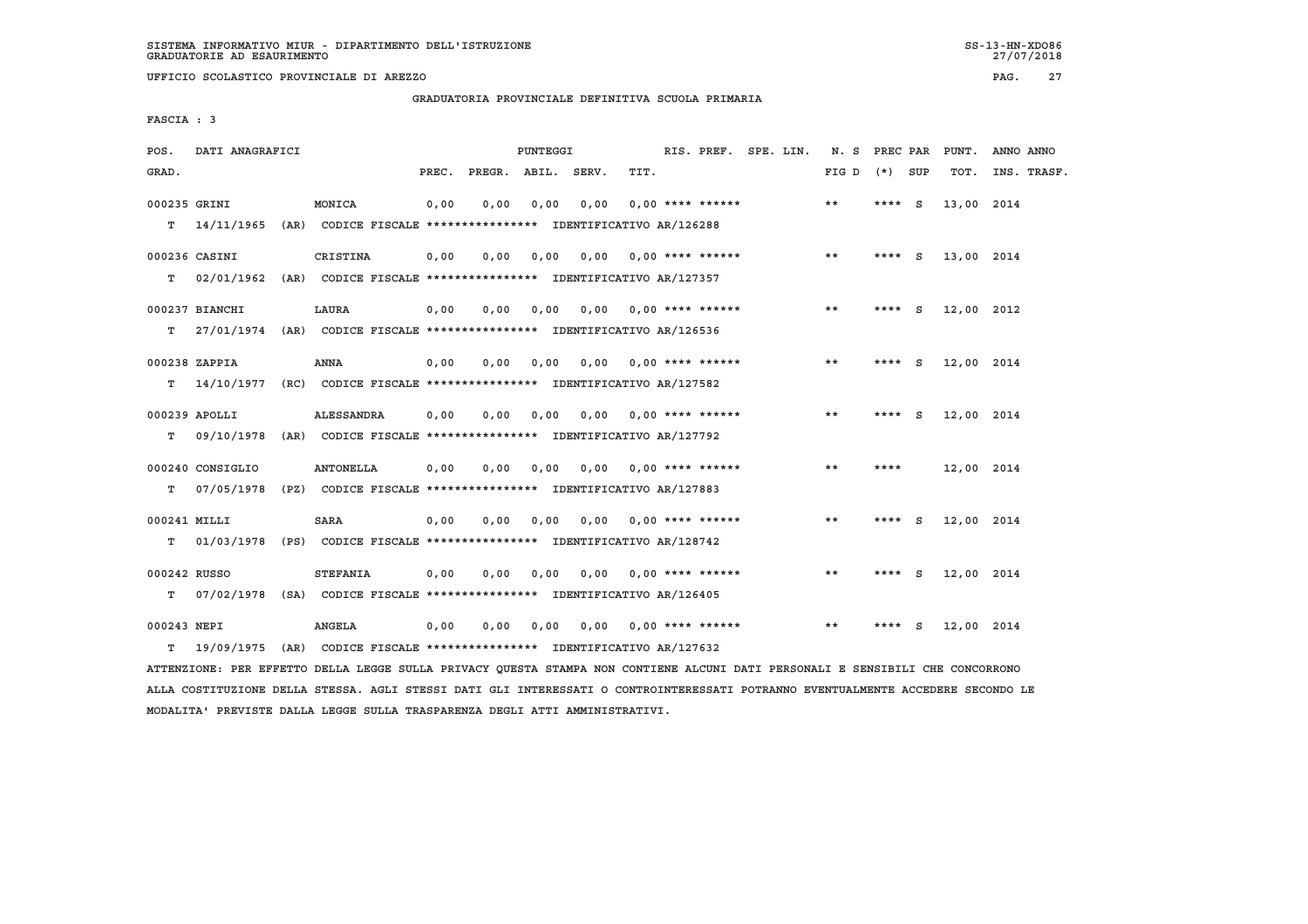**UFFICIO SCOLASTICO PROVINCIALE DI AREZZO PAG. 27**

 **GRADUATORIA PROVINCIALE DEFINITIVA SCUOLA PRIMARIA**

 **FASCIA : 3**

| POS.         | DATI ANAGRAFICI  |                                                                          |       |                    | PUNTEGGI |      |      |                           | RIS. PREF. SPE. LIN. | N. S PREC PAR |          |          | PUNT.      | ANNO ANNO   |
|--------------|------------------|--------------------------------------------------------------------------|-------|--------------------|----------|------|------|---------------------------|----------------------|---------------|----------|----------|------------|-------------|
| GRAD.        |                  |                                                                          | PREC. | PREGR. ABIL. SERV. |          |      | TIT. |                           |                      | FIG D         | (*) SUP  |          | TOT.       | INS. TRASF. |
| 000235 GRINI |                  | MONICA                                                                   | 0,00  | 0.00               | 0,00     | 0,00 |      | $0.00$ **** ******        |                      | **            | **** $S$ |          | 13,00 2014 |             |
| T.           |                  | 14/11/1965 (AR) CODICE FISCALE **************** IDENTIFICATIVO AR/126288 |       |                    |          |      |      |                           |                      |               |          |          |            |             |
|              | 000236 CASINI    | CRISTINA                                                                 | 0,00  | 0,00               | 0,00     | 0,00 |      | $0.00$ **** ******        |                      | $***$         | ****     | <b>S</b> | 13,00 2014 |             |
| т            |                  | 02/01/1962 (AR) CODICE FISCALE **************** IDENTIFICATIVO AR/127357 |       |                    |          |      |      |                           |                      |               |          |          |            |             |
|              | 000237 BIANCHI   | LAURA                                                                    | 0,00  | 0.00               | 0,00     |      |      | $0.00$ $0.00$ **** ****** |                      | $* *$         | ****     | <b>S</b> | 12,00 2012 |             |
| т            |                  | 27/01/1974 (AR) CODICE FISCALE *************** IDENTIFICATIVO AR/126536  |       |                    |          |      |      |                           |                      |               |          |          |            |             |
|              | 000238 ZAPPIA    | <b>ANNA</b>                                                              | 0,00  | 0,00               | 0,00     | 0,00 |      | $0.00$ **** ******        |                      | $***$         | $***$ S  |          | 12,00 2014 |             |
| т            |                  | 14/10/1977 (RC) CODICE FISCALE *************** IDENTIFICATIVO AR/127582  |       |                    |          |      |      |                           |                      |               |          |          |            |             |
|              |                  |                                                                          |       |                    |          |      |      |                           |                      |               |          |          |            |             |
|              | $000239$ APOLLI  | <b>ALESSANDRA</b>                                                        | 0.00  | 0.00               | 0.00     | 0.00 |      | $0.00$ **** ******        |                      | $***$         | ****     | <b>S</b> | 12,00 2014 |             |
| т            | 09/10/1978       | (AR) CODICE FISCALE **************** IDENTIFICATIVO AR/127792            |       |                    |          |      |      |                           |                      |               |          |          |            |             |
|              | 000240 CONSIGLIO | <b>ANTONELLA</b>                                                         | 0,00  | 0.00               | 0.00     | 0,00 |      | $0.00$ **** ******        |                      | $***$         | ****     |          | 12,00 2014 |             |
| т            | 07/05/1978       | (PZ) CODICE FISCALE **************** IDENTIFICATIVO AR/127883            |       |                    |          |      |      |                           |                      |               |          |          |            |             |
| 000241 MILLI |                  | <b>SARA</b>                                                              | 0,00  | 0,00               | 0,00     | 0,00 |      | $0.00$ **** ******        |                      | $***$         | ****     | - S      | 12,00 2014 |             |
| т            |                  | 01/03/1978 (PS) CODICE FISCALE *************** IDENTIFICATIVO AR/128742  |       |                    |          |      |      |                           |                      |               |          |          |            |             |
|              |                  |                                                                          |       |                    |          |      |      |                           |                      |               |          |          |            |             |
| 000242 RUSSO |                  | <b>STEFANIA</b>                                                          | 0.00  | 0.00               | 0,00     |      |      | $0.00$ $0.00$ **** ****** |                      | **            | **** S   |          | 12,00 2014 |             |
| т            |                  | 07/02/1978 (SA) CODICE FISCALE **************** IDENTIFICATIVO AR/126405 |       |                    |          |      |      |                           |                      |               |          |          |            |             |
| 000243 NEPI  |                  | <b>ANGELA</b>                                                            | 0,00  | 0,00               | 0,00     | 0,00 |      | $0.00$ **** ******        |                      | $* *$         | ****     | - S      | 12,00 2014 |             |
| T.           | 19/09/1975       | (AR) CODICE FISCALE **************** IDENTIFICATIVO AR/127632            |       |                    |          |      |      |                           |                      |               |          |          |            |             |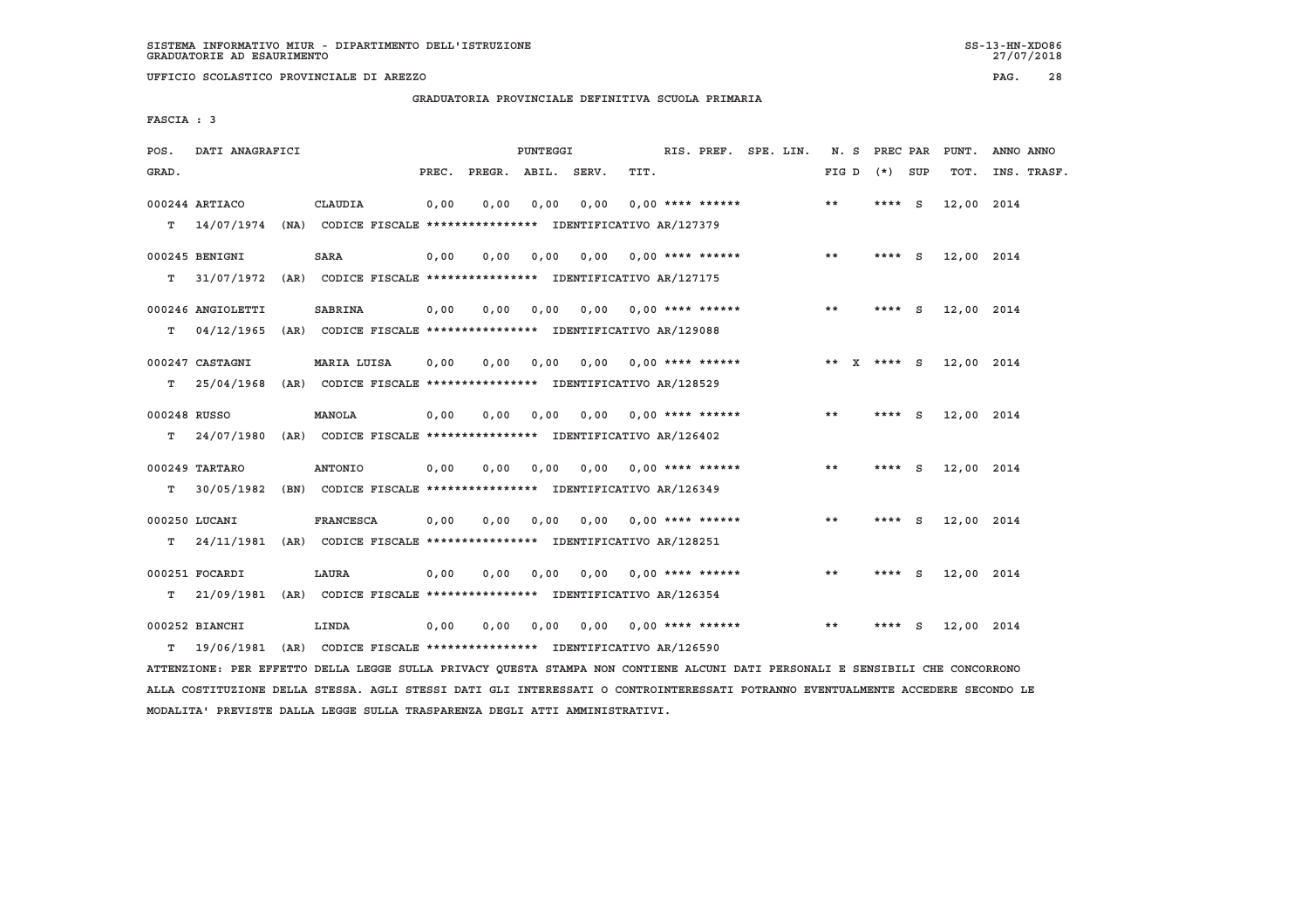**UFFICIO SCOLASTICO PROVINCIALE DI AREZZO PAG. 28**

 **GRADUATORIA PROVINCIALE DEFINITIVA SCUOLA PRIMARIA**

 **FASCIA : 3**

| POS.         | DATI ANAGRAFICI                                                         |                  |       |      | PUNTEGGI |                                                                       |      | RIS. PREF. SPE. LIN.      |  |       | N. S PREC PAR   |          | PUNT.      | ANNO ANNO |             |
|--------------|-------------------------------------------------------------------------|------------------|-------|------|----------|-----------------------------------------------------------------------|------|---------------------------|--|-------|-----------------|----------|------------|-----------|-------------|
| GRAD.        |                                                                         |                  | PREC. |      |          | PREGR. ABIL. SERV.                                                    | TIT. |                           |  | FIG D | (*) SUP         |          | TOT.       |           | INS. TRASF. |
| T.           | 000244 ARTIACO<br>14/07/1974                                            | CLAUDIA          | 0,00  | 0.00 | 0.00     | 0.00<br>(NA) CODICE FISCALE **************** IDENTIFICATIVO AR/127379 |      | $0.00$ **** ******        |  | **    | **** $S$        |          | 12,00 2014 |           |             |
|              |                                                                         |                  |       |      |          |                                                                       |      |                           |  |       |                 |          |            |           |             |
|              | 000245 BENIGNI                                                          | <b>SARA</b>      | 0,00  | 0,00 | 0,00     | 0.00                                                                  |      | $0.00$ **** ******        |  | $* *$ | **** S          |          | 12,00 2014 |           |             |
| т            | 31/07/1972 (AR) CODICE FISCALE *************** IDENTIFICATIVO AR/127175 |                  |       |      |          |                                                                       |      |                           |  |       |                 |          |            |           |             |
|              | 000246 ANGIOLETTI                                                       | <b>SABRINA</b>   | 0,00  | 0.00 | 0.00     |                                                                       |      | $0.00$ $0.00$ **** ****** |  | $* *$ | **** S          |          | 12,00 2014 |           |             |
| т            | 04/12/1965                                                              |                  |       |      |          | (AR) CODICE FISCALE **************** IDENTIFICATIVO AR/129088         |      |                           |  |       |                 |          |            |           |             |
|              | 000247 CASTAGNI                                                         | MARIA LUISA      | 0,00  | 0,00 | 0.00     | 0.00                                                                  |      | $0.00$ **** ******        |  |       | ** $X$ **** $S$ |          | 12,00 2014 |           |             |
| т            | 25/04/1968                                                              |                  |       |      |          | (AR) CODICE FISCALE **************** IDENTIFICATIVO AR/128529         |      |                           |  |       |                 |          |            |           |             |
| 000248 RUSSO |                                                                         | MANOLA           | 0,00  | 0.00 | 0.00     | 0.00                                                                  |      | $0.00$ **** ******        |  | **    | $***$ S         |          | 12,00 2014 |           |             |
| т            | 24/07/1980                                                              |                  |       |      |          | (AR) CODICE FISCALE **************** IDENTIFICATIVO AR/126402         |      |                           |  |       |                 |          |            |           |             |
|              |                                                                         |                  |       |      |          |                                                                       |      |                           |  |       |                 |          |            |           |             |
| т            | 000249 TARTARO<br>30/05/1982                                            | ANTONIO          | 0,00  | 0.00 | 0,00     | 0.00<br>(BN) CODICE FISCALE **************** IDENTIFICATIVO AR/126349 |      | $0.00$ **** ******        |  | $* *$ | ****            | - S      | 12,00 2014 |           |             |
|              |                                                                         |                  |       |      |          |                                                                       |      |                           |  |       |                 |          |            |           |             |
|              | 000250 LUCANI                                                           | <b>FRANCESCA</b> | 0,00  | 0,00 | 0,00     | 0,00                                                                  |      | $0.00$ **** ******        |  | $***$ | **** $S$        |          | 12,00 2014 |           |             |
| т            | 24/11/1981 (AR) CODICE FISCALE *************** IDENTIFICATIVO AR/128251 |                  |       |      |          |                                                                       |      |                           |  |       |                 |          |            |           |             |
|              | 000251 FOCARDI                                                          | LAURA            | 0.00  | 0.00 | 0.00     | 0.00                                                                  |      | $0.00$ **** ******        |  | **    | $***$ S         |          | 12,00 2014 |           |             |
| т            | 21/09/1981 (AR) CODICE FISCALE *************** IDENTIFICATIVO AR/126354 |                  |       |      |          |                                                                       |      |                           |  |       |                 |          |            |           |             |
|              | 000252 BIANCHI                                                          | LINDA            | 0,00  | 0,00 | 0,00     | 0,00                                                                  |      | $0.00$ **** ******        |  | $* *$ | ****            | <b>S</b> | 12,00 2014 |           |             |
| T.           | 19/06/1981                                                              |                  |       |      |          | (AR) CODICE FISCALE **************** IDENTIFICATIVO AR/126590         |      |                           |  |       |                 |          |            |           |             |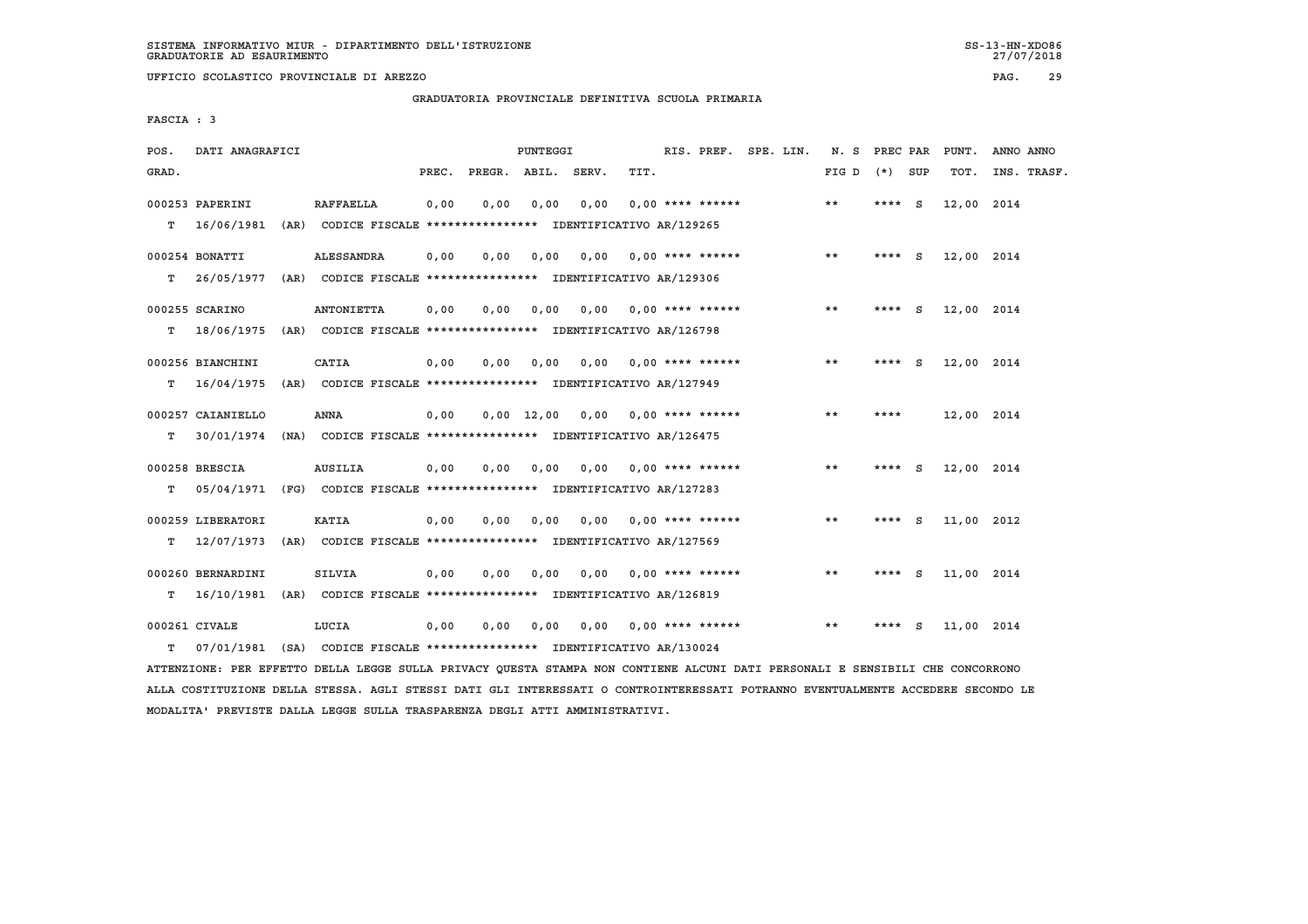**UFFICIO SCOLASTICO PROVINCIALE DI AREZZO PAG. 29**

 **GRADUATORIA PROVINCIALE DEFINITIVA SCUOLA PRIMARIA**

 **FASCIA : 3**

| POS.  | DATI ANAGRAFICI   |      |                                                               |       |                    | PUNTEGGI     |      |                           | RIS. PREF. SPE. LIN. |  | N. S  | PREC PAR |          | PUNT.      | ANNO ANNO   |
|-------|-------------------|------|---------------------------------------------------------------|-------|--------------------|--------------|------|---------------------------|----------------------|--|-------|----------|----------|------------|-------------|
| GRAD. |                   |      |                                                               | PREC. | PREGR. ABIL. SERV. |              |      | TIT.                      |                      |  | FIG D | $(*)$    | SUP      | TOT.       | INS. TRASF. |
|       | 000253 PAPERINI   |      | <b>RAFFAELLA</b>                                              | 0,00  | 0.00               | 0.00         | 0.00 | $0.00$ **** ******        |                      |  | **    | **** $S$ |          | 12,00 2014 |             |
| т     | 16/06/1981        | (AR) | CODICE FISCALE **************** IDENTIFICATIVO AR/129265      |       |                    |              |      |                           |                      |  |       |          |          |            |             |
|       | 000254 BONATTI    |      | <b>ALESSANDRA</b>                                             | 0.00  | 0.00               | 0.00         | 0.00 | $0.00$ **** ******        |                      |  | **    | ****     | - S      | 12,00 2014 |             |
| т     | 26/05/1977        |      | (AR) CODICE FISCALE **************** IDENTIFICATIVO AR/129306 |       |                    |              |      |                           |                      |  |       |          |          |            |             |
|       | 000255 SCARINO    |      | <b>ANTONIETTA</b>                                             | 0,00  | 0,00               | 0,00         |      | $0,00$ $0,00$ **** ****** |                      |  | **    | ****     | <b>S</b> | 12,00 2014 |             |
| т     | 18/06/1975        |      | (AR) CODICE FISCALE **************** IDENTIFICATIVO AR/126798 |       |                    |              |      |                           |                      |  |       |          |          |            |             |
|       | 000256 BIANCHINI  |      | CATIA                                                         | 0,00  | 0.00               | 0,00         | 0.00 | $0.00$ **** ******        |                      |  | $* *$ | ****     | <b>S</b> | 12,00 2014 |             |
| т     | 16/04/1975        |      | (AR) CODICE FISCALE **************** IDENTIFICATIVO AR/127949 |       |                    |              |      |                           |                      |  |       |          |          |            |             |
|       | 000257 CAIANIELLO |      | <b>ANNA</b>                                                   | 0,00  |                    | $0,00$ 12,00 | 0,00 | $0.00$ **** ******        |                      |  | **    | ****     |          | 12,00 2014 |             |
| т     | 30/01/1974        |      | (NA) CODICE FISCALE **************** IDENTIFICATIVO AR/126475 |       |                    |              |      |                           |                      |  |       |          |          |            |             |
|       | 000258 BRESCIA    |      | <b>AUSILIA</b>                                                | 0.00  | 0.00               | 0.00         | 0.00 | $0.00$ **** ******        |                      |  | $* *$ | ****     | - S      | 12,00 2014 |             |
| т     | 05/04/1971        |      | (FG) CODICE FISCALE **************** IDENTIFICATIVO AR/127283 |       |                    |              |      |                           |                      |  |       |          |          |            |             |
|       | 000259 LIBERATORI |      | <b>KATIA</b>                                                  | 0,00  | 0,00               | 0,00         | 0.00 | $0.00$ **** ******        |                      |  | $* *$ | $***$ S  |          | 11,00 2012 |             |
| т     | 12/07/1973        |      | (AR) CODICE FISCALE **************** IDENTIFICATIVO AR/127569 |       |                    |              |      |                           |                      |  |       |          |          |            |             |
|       | 000260 BERNARDINI |      | <b>SILVIA</b>                                                 | 0,00  | 0,00               | 0,00         |      | $0,00$ $0,00$ **** ****** |                      |  | $* *$ | ****     | - S      | 11,00 2014 |             |
| т     | 16/10/1981        |      | (AR) CODICE FISCALE **************** IDENTIFICATIVO AR/126819 |       |                    |              |      |                           |                      |  |       |          |          |            |             |
|       | 000261 CIVALE     |      | LUCIA                                                         | 0,00  | 0.00               | 0,00         | 0.00 | $0.00$ **** ******        |                      |  | $* *$ |          | S        | 11,00 2014 |             |
| т     | 07/01/1981        |      | (SA) CODICE FISCALE **************** IDENTIFICATIVO AR/130024 |       |                    |              |      |                           |                      |  |       |          |          |            |             |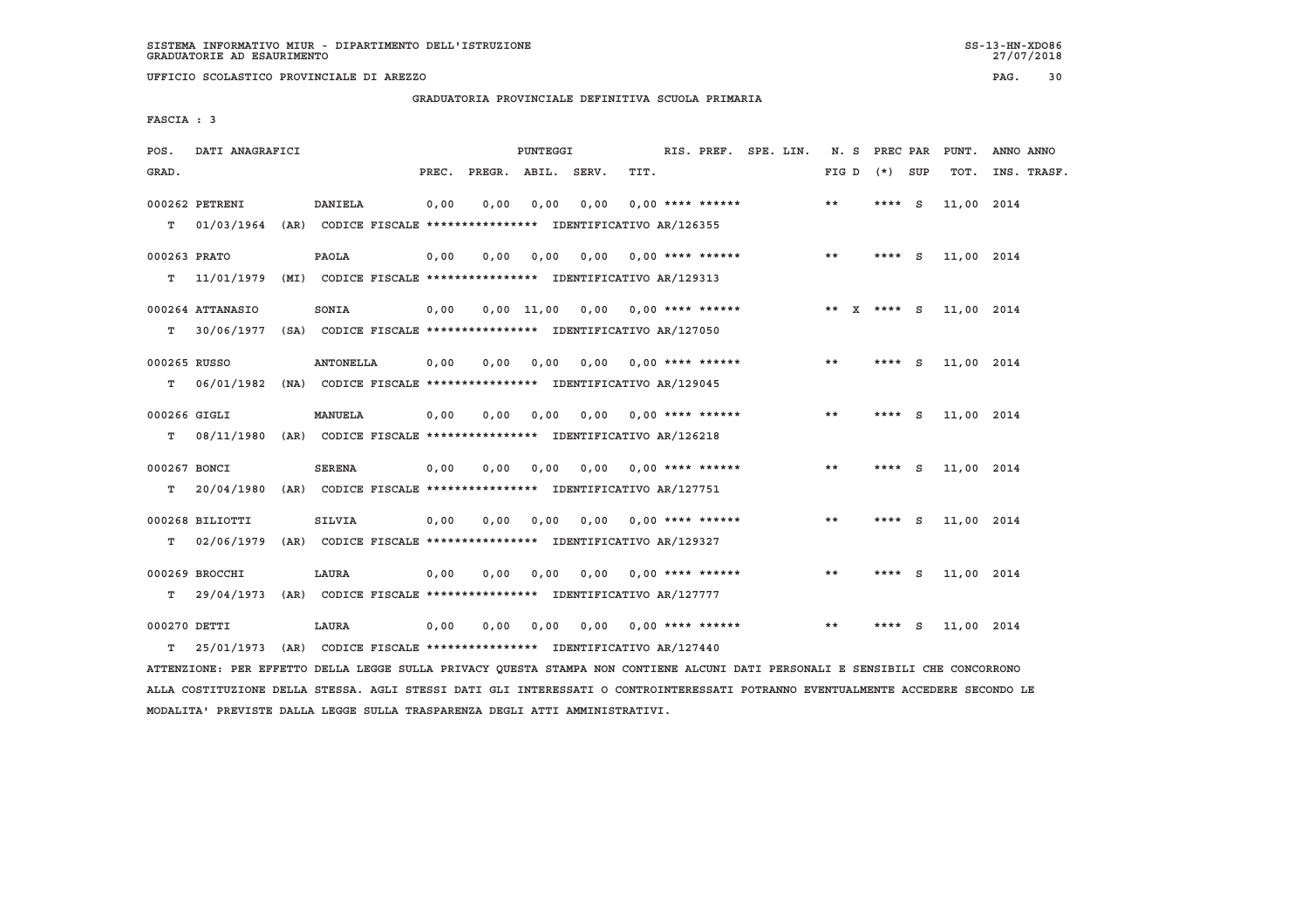**UFFICIO SCOLASTICO PROVINCIALE DI AREZZO PAG. 30**

 **GRADUATORIA PROVINCIALE DEFINITIVA SCUOLA PRIMARIA**

 **FASCIA : 3**

| POS.         | DATI ANAGRAFICI                                                                           |                                                               |       |                    | PUNTEGGI |      |                                    | RIS. PREF. SPE. LIN. | N. S PREC PAR |          |     | PUNT.      | ANNO ANNO   |
|--------------|-------------------------------------------------------------------------------------------|---------------------------------------------------------------|-------|--------------------|----------|------|------------------------------------|----------------------|---------------|----------|-----|------------|-------------|
| GRAD.        |                                                                                           |                                                               | PREC. | PREGR. ABIL. SERV. |          |      | TIT.                               |                      | FIG D         | $(*)$    | SUP | TOT.       | INS. TRASF. |
| т            | 000262 PETRENI<br>01/03/1964 (AR) CODICE FISCALE *************** IDENTIFICATIVO AR/126355 | <b>DANIELA</b>                                                | 0,00  | 0.00               | 0,00     | 0.00 | $0.00$ **** ******                 |                      | $* *$         | **** S   |     | 11,00 2014 |             |
|              |                                                                                           |                                                               |       |                    |          |      |                                    |                      |               |          |     |            |             |
| 000263 PRATO |                                                                                           | PAOLA                                                         | 0,00  | 0.00               | 0.00     | 0.00 | $0.00$ **** ******                 |                      | $* *$         | $***$ S  |     | 11,00 2014 |             |
| т            | 11/01/1979                                                                                | (MI) CODICE FISCALE **************** IDENTIFICATIVO AR/129313 |       |                    |          |      |                                    |                      |               |          |     |            |             |
|              | 000264 ATTANASIO                                                                          | SONIA                                                         | 0.00  |                    |          |      | $0.00$ 11.00 0.00 0.00 **** ****** |                      | ** X **** S   |          |     | 11,00 2014 |             |
| T.           | 30/06/1977                                                                                | (SA) CODICE FISCALE **************** IDENTIFICATIVO AR/127050 |       |                    |          |      |                                    |                      |               |          |     |            |             |
| 000265 RUSSO |                                                                                           | <b>ANTONELLA</b>                                              | 0,00  | 0,00               | 0,00     | 0,00 | $0.00$ **** ******                 |                      | **            | $***$ S  |     | 11,00 2014 |             |
| т            | 06/01/1982                                                                                | (NA) CODICE FISCALE **************** IDENTIFICATIVO AR/129045 |       |                    |          |      |                                    |                      |               |          |     |            |             |
|              |                                                                                           |                                                               |       |                    |          |      |                                    |                      |               |          |     |            |             |
| 000266 GIGLI |                                                                                           | <b>MANUELA</b>                                                | 0.00  | 0.00               | 0.00     |      | $0.00$ $0.00$ **** ******          |                      | $***$         | **** $S$ |     | 11,00 2014 |             |
| T.           | 08/11/1980                                                                                | (AR) CODICE FISCALE **************** IDENTIFICATIVO AR/126218 |       |                    |          |      |                                    |                      |               |          |     |            |             |
| 000267 BONCI |                                                                                           | <b>SERENA</b>                                                 | 0.00  | 0.00               | 0.00     | 0.00 | $0.00$ **** ******                 |                      | **            | **** $S$ |     | 11,00 2014 |             |
| т            | 20/04/1980                                                                                | (AR) CODICE FISCALE **************** IDENTIFICATIVO AR/127751 |       |                    |          |      |                                    |                      |               |          |     |            |             |
|              | 000268 BILIOTTI                                                                           | <b>SILVIA</b>                                                 | 0,00  | 0.00               | 0.00     | 0.00 | $0.00$ **** ******                 |                      | $* *$         | ****     | s.  | 11,00 2014 |             |
| т            | 02/06/1979                                                                                | (AR) CODICE FISCALE **************** IDENTIFICATIVO AR/129327 |       |                    |          |      |                                    |                      |               |          |     |            |             |
|              |                                                                                           |                                                               |       |                    |          |      |                                    |                      |               |          |     |            |             |
|              | 000269 BROCCHI                                                                            | LAURA                                                         | 0.00  | 0.00               | 0,00     | 0.00 | $0.00$ **** ******                 |                      | $***$         | $***$ S  |     | 11,00 2014 |             |
| т            | 29/04/1973                                                                                | (AR) CODICE FISCALE **************** IDENTIFICATIVO AR/127777 |       |                    |          |      |                                    |                      |               |          |     |            |             |
| 000270 DETTI |                                                                                           | LAURA                                                         | 0.00  | 0.00               | 0.00     | 0.00 | $0.00$ **** ******                 |                      | $* *$         | ****     | - S | 11,00 2014 |             |
| т            | 25/01/1973                                                                                | (AR) CODICE FISCALE **************** IDENTIFICATIVO AR/127440 |       |                    |          |      |                                    |                      |               |          |     |            |             |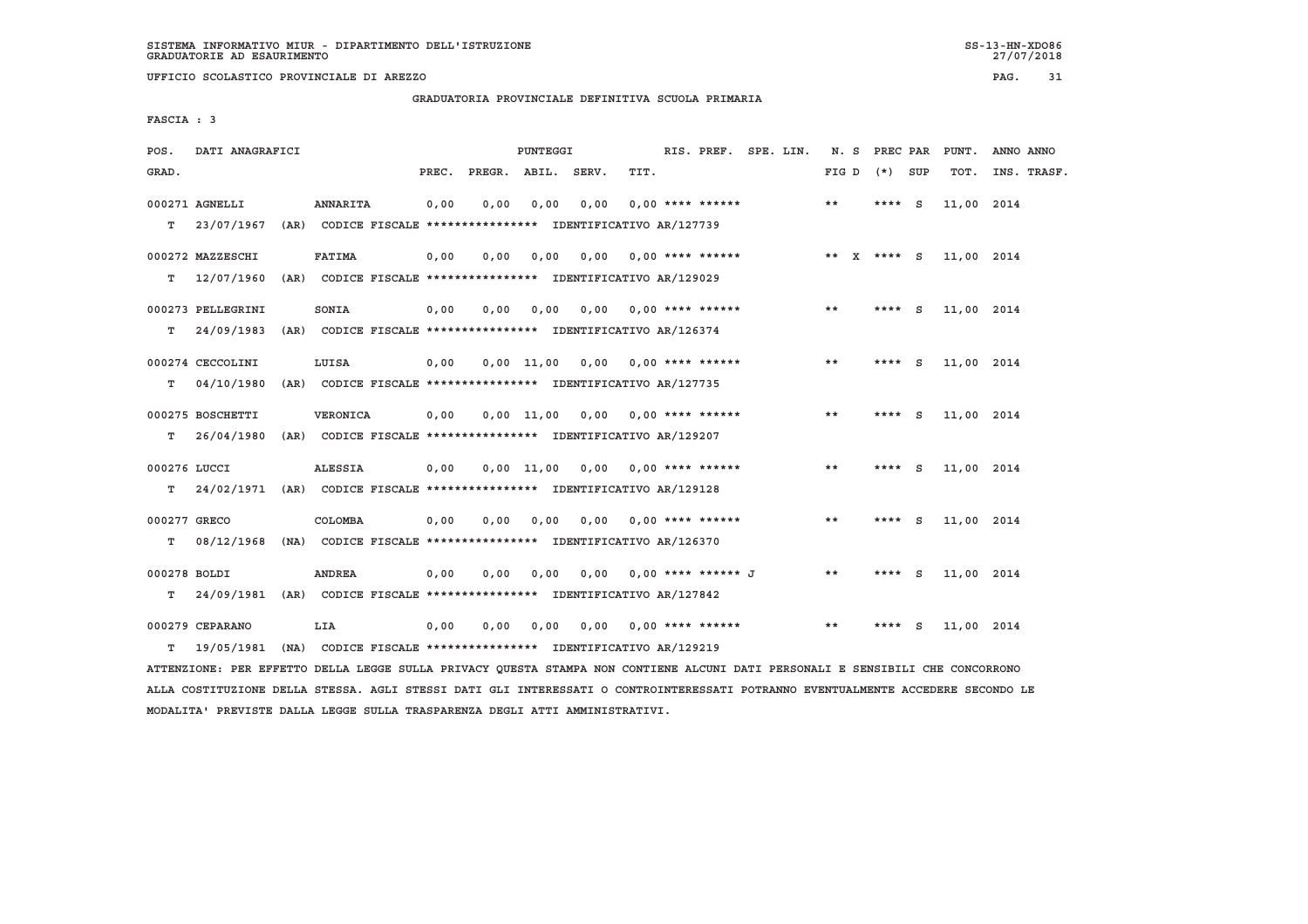**UFFICIO SCOLASTICO PROVINCIALE DI AREZZO PAG. 31**

 **GRADUATORIA PROVINCIALE DEFINITIVA SCUOLA PRIMARIA**

 **FASCIA : 3**

| POS.         | DATI ANAGRAFICI   |                                                                          |       |                    | PUNTEGGI       |      |                           | RIS. PREF. SPE. LIN. | N. S        | PREC PAR |     | PUNT.      | ANNO ANNO   |
|--------------|-------------------|--------------------------------------------------------------------------|-------|--------------------|----------------|------|---------------------------|----------------------|-------------|----------|-----|------------|-------------|
| GRAD.        |                   |                                                                          | PREC. | PREGR. ABIL. SERV. |                |      | TIT.                      |                      | FIG D       | (*) SUP  |     | TOT.       | INS. TRASF. |
|              | 000271 AGNELLI    | <b>ANNARITA</b>                                                          | 0,00  | 0,00               | 0,00           | 0,00 | $0.00$ **** ******        |                      | $* *$       | $***$ S  |     | 11,00 2014 |             |
| т            | 23/07/1967        | (AR) CODICE FISCALE **************** IDENTIFICATIVO AR/127739            |       |                    |                |      |                           |                      |             |          |     |            |             |
|              | 000272 MAZZESCHI  | <b>FATIMA</b>                                                            | 0.00  | 0.00               | 0.00           | 0.00 | 0,00 **** ******          |                      | ** X **** S |          |     | 11,00 2014 |             |
| т            | 12/07/1960        | (AR) CODICE FISCALE **************** IDENTIFICATIVO AR/129029            |       |                    |                |      |                           |                      |             |          |     |            |             |
|              | 000273 PELLEGRINI | SONIA                                                                    | 0,00  | 0.00               | 0,00           | 0.00 | $0.00$ **** ******        |                      | $* *$       | **** S   |     | 11,00 2014 |             |
| т            | 24/09/1983        | (AR) CODICE FISCALE **************** IDENTIFICATIVO AR/126374            |       |                    |                |      |                           |                      |             |          |     |            |             |
|              | 000274 CECCOLINI  | LUISA                                                                    | 0,00  |                    | $0,00$ 11,00   |      | 0,00 0,00 **** ******     |                      | $* *$       | ****     | - S | 11,00 2014 |             |
| т            | 04/10/1980        | (AR) CODICE FISCALE **************** IDENTIFICATIVO AR/127735            |       |                    |                |      |                           |                      |             |          |     |            |             |
|              | 000275 BOSCHETTI  | VERONICA                                                                 | 0,00  |                    | $0.00$ $11.00$ | 0.00 | $0.00$ **** ******        |                      | **          | ****     | - S | 11,00 2014 |             |
| т            | 26/04/1980        | (AR) CODICE FISCALE **************** IDENTIFICATIVO AR/129207            |       |                    |                |      |                           |                      |             |          |     |            |             |
| 000276 LUCCI |                   | <b>ALESSIA</b>                                                           | 0,00  |                    | $0,00$ 11,00   |      | $0,00$ $0,00$ **** ****** |                      | $* *$       | **** $S$ |     | 11,00 2014 |             |
| т            |                   | 24/02/1971 (AR) CODICE FISCALE **************** IDENTIFICATIVO AR/129128 |       |                    |                |      |                           |                      |             |          |     |            |             |
| 000277 GRECO |                   | COLOMBA                                                                  | 0,00  | 0.00               | 0.00           | 0.00 | $0,00$ **** ******        |                      | **          | ****     | - S | 11,00 2014 |             |
| т            | 08/12/1968        | (NA) CODICE FISCALE *************** IDENTIFICATIVO AR/126370             |       |                    |                |      |                           |                      |             |          |     |            |             |
| 000278 BOLDI |                   | <b>ANDREA</b>                                                            | 0,00  | 0,00               | 0,00           |      | 0,00 0,00 **** ****** J   |                      | **          | ****     | - S | 11,00 2014 |             |
| т            | 24/09/1981        | (AR) CODICE FISCALE **************** IDENTIFICATIVO AR/127842            |       |                    |                |      |                           |                      |             |          |     |            |             |
|              | 000279 CEPARANO   | LIA                                                                      | 0,00  | 0,00               | 0,00           | 0,00 | 0,00 **** ******          |                      | $* *$       | ****     | - S | 11,00 2014 |             |
| т            | 19/05/1981        | (NA) CODICE FISCALE *************** IDENTIFICATIVO AR/129219             |       |                    |                |      |                           |                      |             |          |     |            |             |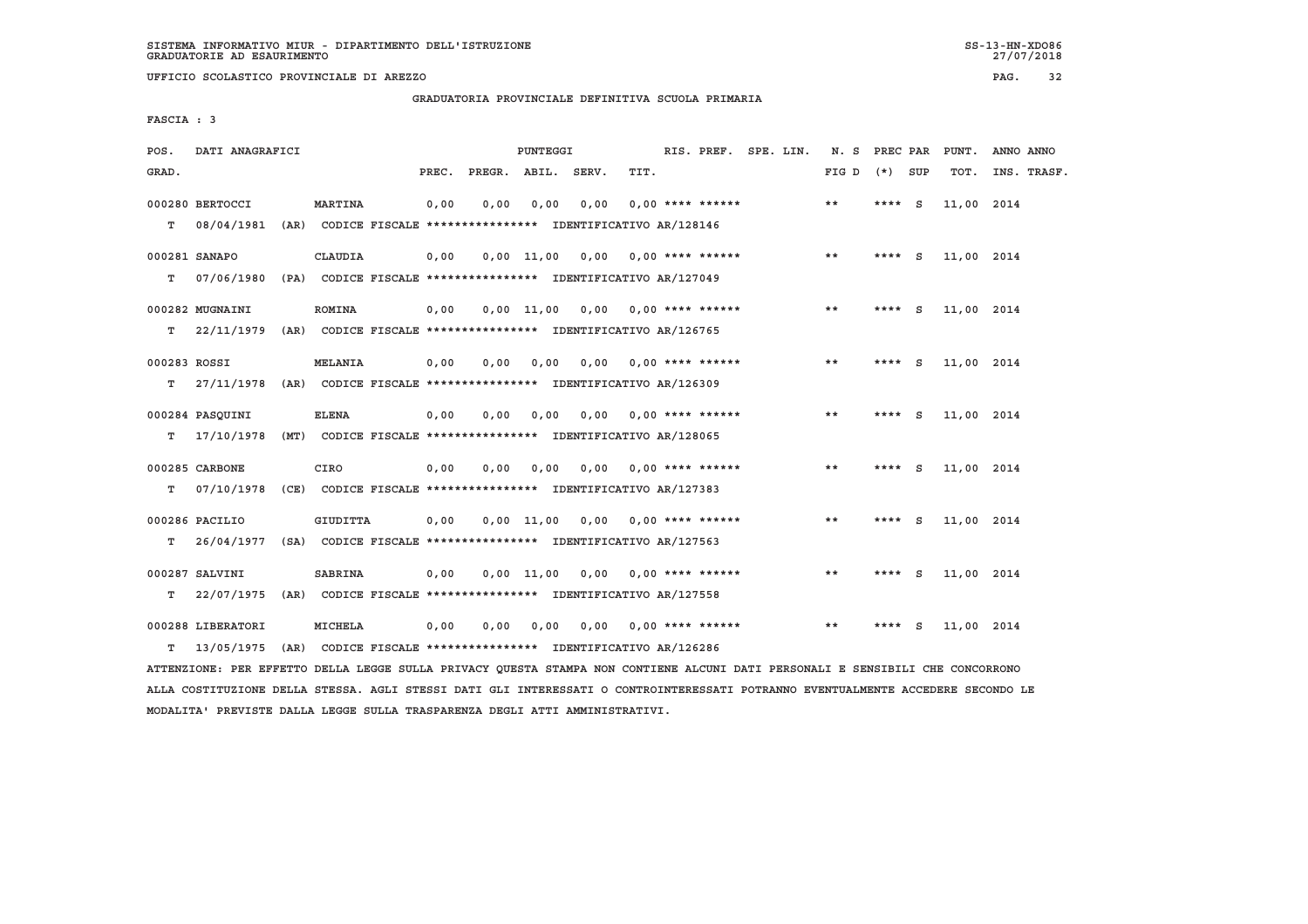**UFFICIO SCOLASTICO PROVINCIALE DI AREZZO PAG. 32**

 **GRADUATORIA PROVINCIALE DEFINITIVA SCUOLA PRIMARIA**

 **FASCIA : 3**

| POS.         | DATI ANAGRAFICI                                                         |                 |       |      | PUNTEGGI       |                                                                       |      | RIS. PREF. SPE. LIN.      |  | N. S PREC PAR |          |          | PUNT.      | ANNO ANNO   |  |
|--------------|-------------------------------------------------------------------------|-----------------|-------|------|----------------|-----------------------------------------------------------------------|------|---------------------------|--|---------------|----------|----------|------------|-------------|--|
| GRAD.        |                                                                         |                 | PREC. |      |                | PREGR. ABIL. SERV.                                                    | TIT. |                           |  | FIG D         | (*) SUP  |          | TOT.       | INS. TRASF. |  |
| T.           | 000280 BERTOCCI<br>08/04/1981                                           | <b>MARTINA</b>  | 0,00  | 0.00 | 0,00           | 0,00<br>(AR) CODICE FISCALE **************** IDENTIFICATIVO AR/128146 |      | $0.00$ **** ******        |  | $* *$         | **** $S$ |          | 11,00 2014 |             |  |
|              |                                                                         |                 |       |      |                |                                                                       |      |                           |  |               |          |          |            |             |  |
|              | 000281 SANAPO                                                           | <b>CLAUDIA</b>  | 0,00  |      |                | $0,00$ $11,00$ $0,00$                                                 |      | 0,00 **** ******          |  | $***$         | ****     | <b>S</b> | 11,00 2014 |             |  |
| т            | 07/06/1980                                                              |                 |       |      |                | (PA) CODICE FISCALE **************** IDENTIFICATIVO AR/127049         |      |                           |  |               |          |          |            |             |  |
|              | 000282 MUGNAINI                                                         | <b>ROMINA</b>   | 0,00  |      | $0,00$ $11,00$ | 0,00 0,00 **** ******                                                 |      |                           |  | **            | ****     | <b>S</b> | 11,00 2014 |             |  |
| т            | 22/11/1979                                                              |                 |       |      |                | (AR) CODICE FISCALE **************** IDENTIFICATIVO AR/126765         |      |                           |  |               |          |          |            |             |  |
| 000283 ROSSI |                                                                         | <b>MELANIA</b>  | 0,00  | 0,00 | 0,00           | 0,00                                                                  |      | $0.00$ **** ******        |  | $* *$         | $***$ S  |          | 11,00 2014 |             |  |
| т            | 27/11/1978                                                              |                 |       |      |                | (AR) CODICE FISCALE **************** IDENTIFICATIVO AR/126309         |      |                           |  |               |          |          |            |             |  |
|              | 000284 PASOUINI                                                         | <b>ELENA</b>    | 0.00  | 0.00 | 0,00           | 0.00                                                                  |      | $0.00$ **** ******        |  | $* *$         | ****     | <b>S</b> | 11,00 2014 |             |  |
| т            | 17/10/1978                                                              |                 |       |      |                | (MT) CODICE FISCALE **************** IDENTIFICATIVO AR/128065         |      |                           |  |               |          |          |            |             |  |
|              | 000285 CARBONE                                                          | CIRO            | 0,00  | 0.00 | 0.00           | 0,00                                                                  |      | $0.00$ **** ******        |  | $***$         | **** $S$ |          | 11,00 2014 |             |  |
| т            | 07/10/1978                                                              |                 |       |      |                | (CE) CODICE FISCALE **************** IDENTIFICATIVO AR/127383         |      |                           |  |               |          |          |            |             |  |
|              | 000286 PACILIO                                                          | <b>GIUDITTA</b> | 0,00  |      |                | $0,00$ $11,00$ $0,00$                                                 |      | $0.00$ **** ******        |  | $***$         | ****     | - S      | 11,00 2014 |             |  |
| т            | 26/04/1977 (SA) CODICE FISCALE *************** IDENTIFICATIVO AR/127563 |                 |       |      |                |                                                                       |      |                           |  |               |          |          |            |             |  |
|              |                                                                         |                 |       |      |                |                                                                       |      |                           |  |               |          |          |            |             |  |
|              | 000287 SALVINI                                                          | <b>SABRINA</b>  | 0.00  |      | 0.00 11.00     |                                                                       |      | $0.00$ $0.00$ **** ****** |  | **            | **** S   |          | 11,00 2014 |             |  |
| т            | 22/07/1975                                                              |                 |       |      |                | (AR) CODICE FISCALE **************** IDENTIFICATIVO AR/127558         |      |                           |  |               |          |          |            |             |  |
|              | 000288 LIBERATORI                                                       | MICHELA         | 0,00  | 0,00 | 0,00           | 0,00                                                                  |      | $0.00$ **** ******        |  | $* *$         | **** S   |          | 11,00 2014 |             |  |
| т            | 13/05/1975                                                              |                 |       |      |                | (AR) CODICE FISCALE **************** IDENTIFICATIVO AR/126286         |      |                           |  |               |          |          |            |             |  |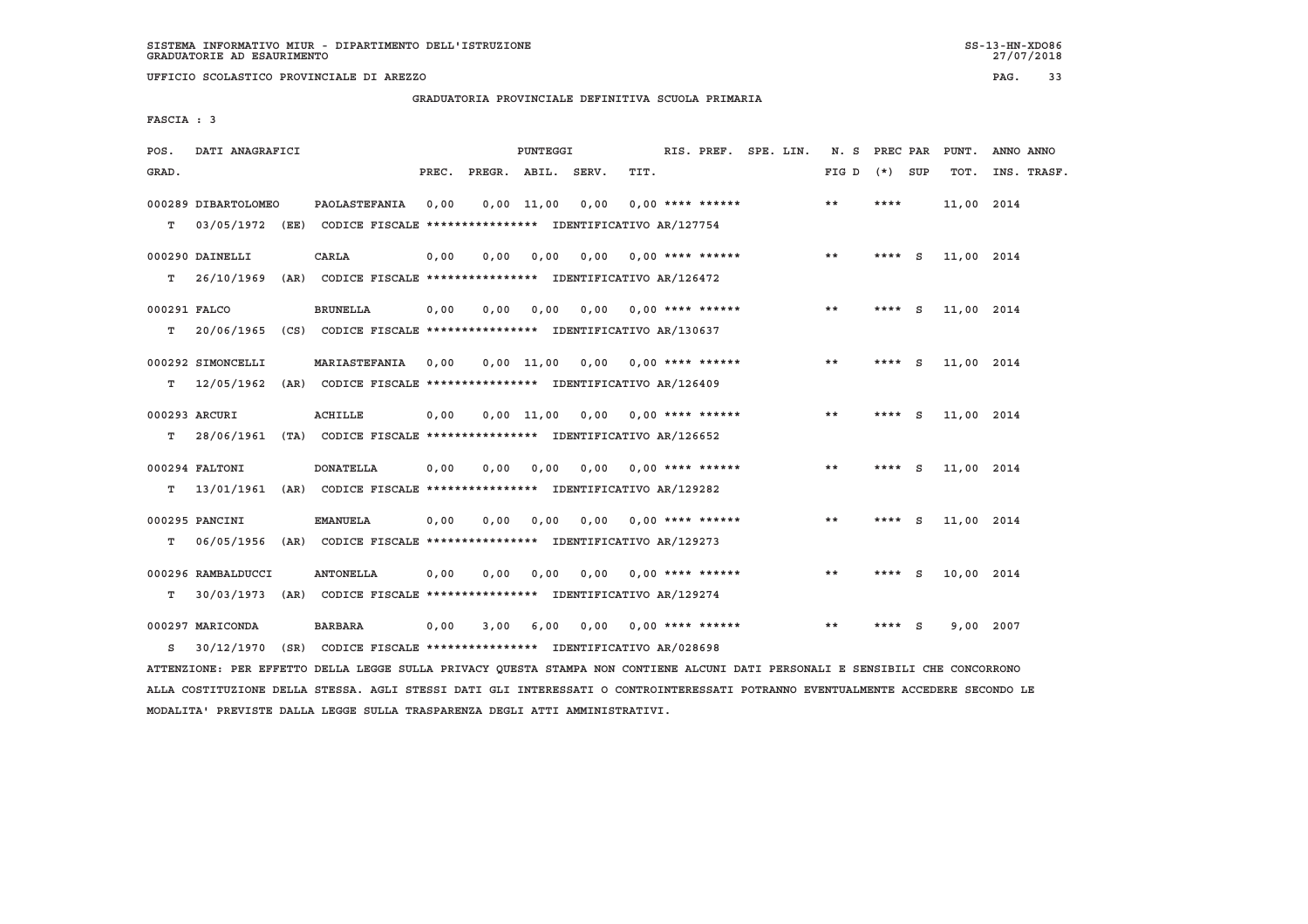**UFFICIO SCOLASTICO PROVINCIALE DI AREZZO PAG. 33**

 **GRADUATORIA PROVINCIALE DEFINITIVA SCUOLA PRIMARIA**

 **FASCIA : 3**

| POS.         | DATI ANAGRAFICI     |                                                                          |       |                    | PUNTEGGI       |      |                           | RIS. PREF. SPE. LIN. | N. S  | PREC PAR |          | PUNT.      | ANNO ANNO   |
|--------------|---------------------|--------------------------------------------------------------------------|-------|--------------------|----------------|------|---------------------------|----------------------|-------|----------|----------|------------|-------------|
| GRAD.        |                     |                                                                          | PREC. | PREGR. ABIL. SERV. |                |      | TIT.                      |                      | FIG D | $(*)$    | SUP      | TOT.       | INS. TRASF. |
|              | 000289 DIBARTOLOMEO | PAOLASTEFANIA                                                            | 0,00  |                    | 0.00 11.00     | 0.00 | $0.00$ **** ******        |                      | **    | ****     |          | 11,00 2014 |             |
| т            |                     | 03/05/1972 (EE) CODICE FISCALE *************** IDENTIFICATIVO AR/127754  |       |                    |                |      |                           |                      |       |          |          |            |             |
|              | 000290 DAINELLI     | CARLA                                                                    | 0,00  | 0.00               | 0.00           |      | $0.00$ $0.00$ **** ****** |                      | **    | ****     | <b>S</b> | 11,00 2014 |             |
| т            | 26/10/1969          | (AR) CODICE FISCALE **************** IDENTIFICATIVO AR/126472            |       |                    |                |      |                           |                      |       |          |          |            |             |
| 000291 FALCO |                     | <b>BRUNELLA</b>                                                          | 0.00  | 0.00               | 0.00           | 0.00 | $0.00$ **** ******        |                      | **    | ****     | - S      | 11,00 2014 |             |
| т            | 20/06/1965          | (CS) CODICE FISCALE **************** IDENTIFICATIVO AR/130637            |       |                    |                |      |                           |                      |       |          |          |            |             |
|              | 000292 SIMONCELLI   | MARIASTEFANIA                                                            | 0.00  |                    | $0.00$ $11.00$ | 0.00 | $0.00$ **** ******        |                      | **    | **** S   |          | 11,00 2014 |             |
| т            |                     | 12/05/1962 (AR) CODICE FISCALE **************** IDENTIFICATIVO AR/126409 |       |                    |                |      |                           |                      |       |          |          |            |             |
|              | 000293 ARCURI       | ACHILLE                                                                  | 0,00  |                    | $0.00$ $11.00$ | 0,00 | $0.00$ **** ******        |                      | $* *$ | **** $S$ |          | 11,00 2014 |             |
| т            |                     | 28/06/1961 (TA) CODICE FISCALE **************** IDENTIFICATIVO AR/126652 |       |                    |                |      |                           |                      |       |          |          |            |             |
|              | 000294 FALTONI      | <b>DONATELLA</b>                                                         | 0,00  | 0,00               | 0.00           | 0.00 | $0.00$ **** ******        |                      | $* *$ | $***$ S  |          | 11,00 2014 |             |
| т            |                     | 13/01/1961 (AR) CODICE FISCALE **************** IDENTIFICATIVO AR/129282 |       |                    |                |      |                           |                      |       |          |          |            |             |
|              | 000295 PANCINI      | <b>EMANUELA</b>                                                          | 0,00  | 0.00               | 0,00           | 0.00 | $0.00$ **** ******        |                      | $***$ | ****     | S.       | 11,00 2014 |             |
| т            |                     | 06/05/1956 (AR) CODICE FISCALE *************** IDENTIFICATIVO AR/129273  |       |                    |                |      |                           |                      |       |          |          |            |             |
|              | 000296 RAMBALDUCCI  | <b>ANTONELLA</b>                                                         | 0,00  | 0,00               | 0,00           | 0,00 | $0.00$ **** ******        |                      | $* *$ | ****     | S.       | 10,00 2014 |             |
| т            | 30/03/1973          | (AR) CODICE FISCALE **************** IDENTIFICATIVO AR/129274            |       |                    |                |      |                           |                      |       |          |          |            |             |
|              | 000297 MARICONDA    | <b>BARBARA</b>                                                           | 0,00  | 3,00               | 6,00           | 0,00 | $0.00$ **** ******        |                      | $* *$ |          | - S      | 9,00       | 2007        |
| s            |                     | 30/12/1970 (SR) CODICE FISCALE *************** IDENTIFICATIVO AR/028698  |       |                    |                |      |                           |                      |       |          |          |            |             |